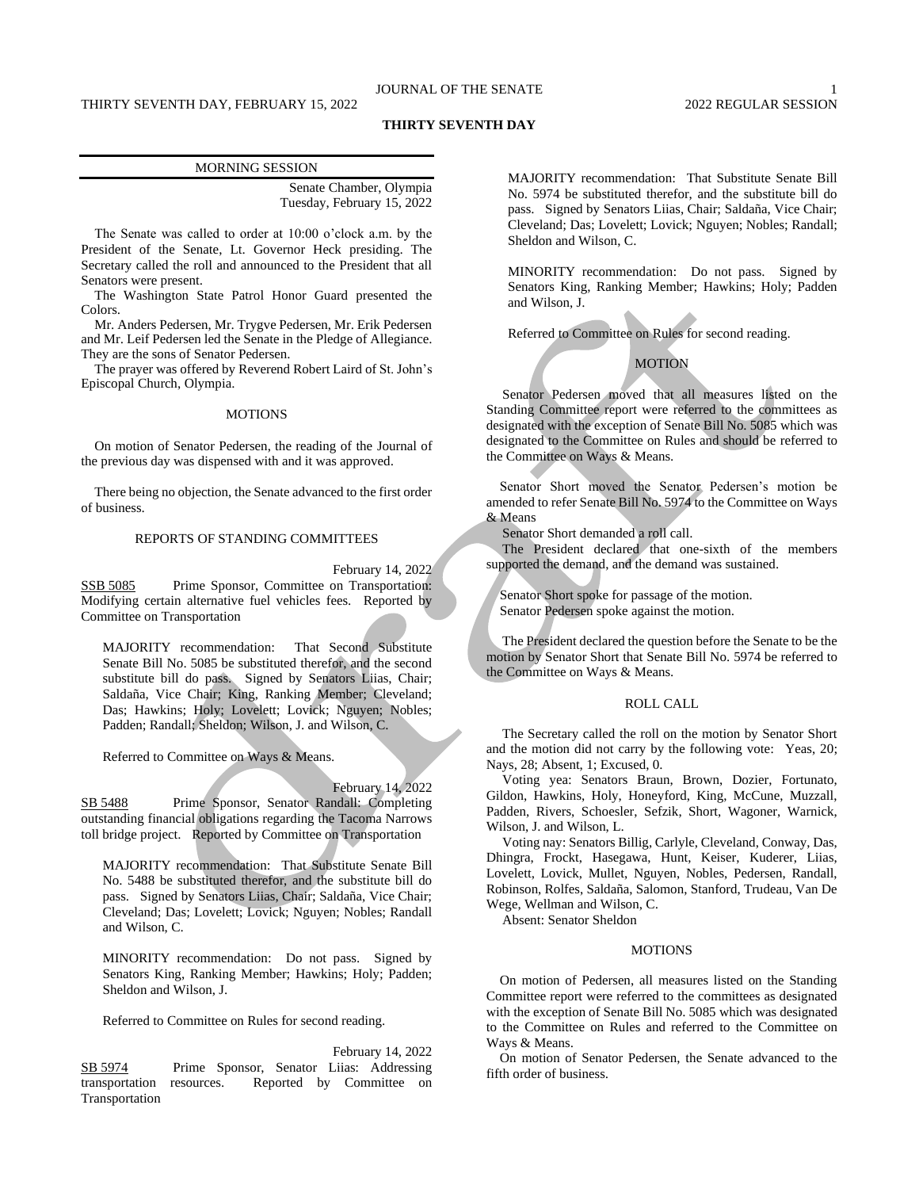# THIRTY SEVENTH DAY, FEBRUARY 15, 2022

# JOURNAL OF THE SENATE 1 2022 REGULAR SESSION

# **THIRTY SEVENTH DAY**

# MORNING SESSION Senate Chamber, Olympia

Tuesday, February 15, 2022

The Senate was called to order at 10:00 o'clock a.m. by the President of the Senate, Lt. Governor Heck presiding. The Secretary called the roll and announced to the President that all Senators were present.

The Washington State Patrol Honor Guard presented the Colors.

Mr. Anders Pedersen, Mr. Trygve Pedersen, Mr. Erik Pedersen and Mr. Leif Pedersen led the Senate in the Pledge of Allegiance. They are the sons of Senator Pedersen.

The prayer was offered by Reverend Robert Laird of St. John's Episcopal Church, Olympia.

# MOTIONS

On motion of Senator Pedersen, the reading of the Journal of the previous day was dispensed with and it was approved.

There being no objection, the Senate advanced to the first order of business.

#### REPORTS OF STANDING COMMITTEES

February 14, 2022

SSB 5085 Prime Sponsor, Committee on Transportation: Modifying certain alternative fuel vehicles fees. Reported by Committee on Transportation

MAJORITY recommendation: That Second Substitute Senate Bill No. 5085 be substituted therefor, and the second substitute bill do pass. Signed by Senators Liias, Chair; Saldaña, Vice Chair; King, Ranking Member; Cleveland; Das; Hawkins; Holy; Lovelett; Lovick; Nguyen; Nobles; Padden; Randall; Sheldon; Wilson, J. and Wilson, C.

Referred to Committee on Ways & Means.

#### February 14, 2022

SB 5488 Prime Sponsor, Senator Randall: Completing outstanding financial obligations regarding the Tacoma Narrows toll bridge project. Reported by Committee on Transportation

MAJORITY recommendation: That Substitute Senate Bill No. 5488 be substituted therefor, and the substitute bill do pass. Signed by Senators Liias, Chair; Saldaña, Vice Chair; Cleveland; Das; Lovelett; Lovick; Nguyen; Nobles; Randall and Wilson, C.

MINORITY recommendation: Do not pass. Signed by Senators King, Ranking Member; Hawkins; Holy; Padden; Sheldon and Wilson, J.

Referred to Committee on Rules for second reading.

February 14, 2022 SB 5974 Prime Sponsor, Senator Liias: Addressing transportation resources. Reported by Committee on Transportation

MAJORITY recommendation: That Substitute Senate Bill No. 5974 be substituted therefor, and the substitute bill do pass. Signed by Senators Liias, Chair; Saldaña, Vice Chair; Cleveland; Das; Lovelett; Lovick; Nguyen; Nobles; Randall; Sheldon and Wilson, C.

MINORITY recommendation: Do not pass. Signed by Senators King, Ranking Member; Hawkins; Holy; Padden and Wilson, J.

Referred to Committee on Rules for second reading.

# **MOTION**

Senator Pedersen moved that all measures listed on the Standing Committee report were referred to the committees as designated with the exception of Senate Bill No. 5085 which was designated to the Committee on Rules and should be referred to the Committee on Ways & Means.

Senator Short moved the Senator Pedersen's motion be amended to refer Senate Bill No. 5974 to the Committee on Ways & Means

Senator Short demanded a roll call.

The President declared that one-sixth of the members supported the demand, and the demand was sustained.

Senator Short spoke for passage of the motion. Senator Pedersen spoke against the motion.

The President declared the question before the Senate to be the motion by Senator Short that Senate Bill No. 5974 be referred to the Committee on Ways & Means.

# ROLL CALL

The Secretary called the roll on the motion by Senator Short and the motion did not carry by the following vote: Yeas, 20; Nays, 28; Absent, 1; Excused, 0.

Voting yea: Senators Braun, Brown, Dozier, Fortunato, Gildon, Hawkins, Holy, Honeyford, King, McCune, Muzzall, Padden, Rivers, Schoesler, Sefzik, Short, Wagoner, Warnick, Wilson, J. and Wilson, L.

Voting nay: Senators Billig, Carlyle, Cleveland, Conway, Das, Dhingra, Frockt, Hasegawa, Hunt, Keiser, Kuderer, Liias, Lovelett, Lovick, Mullet, Nguyen, Nobles, Pedersen, Randall, Robinson, Rolfes, Saldaña, Salomon, Stanford, Trudeau, Van De Wege, Wellman and Wilson, C.

Absent: Senator Sheldon

#### MOTIONS

On motion of Pedersen, all measures listed on the Standing Committee report were referred to the committees as designated with the exception of Senate Bill No. 5085 which was designated to the Committee on Rules and referred to the Committee on Ways & Means.

On motion of Senator Pedersen, the Senate advanced to the fifth order of business.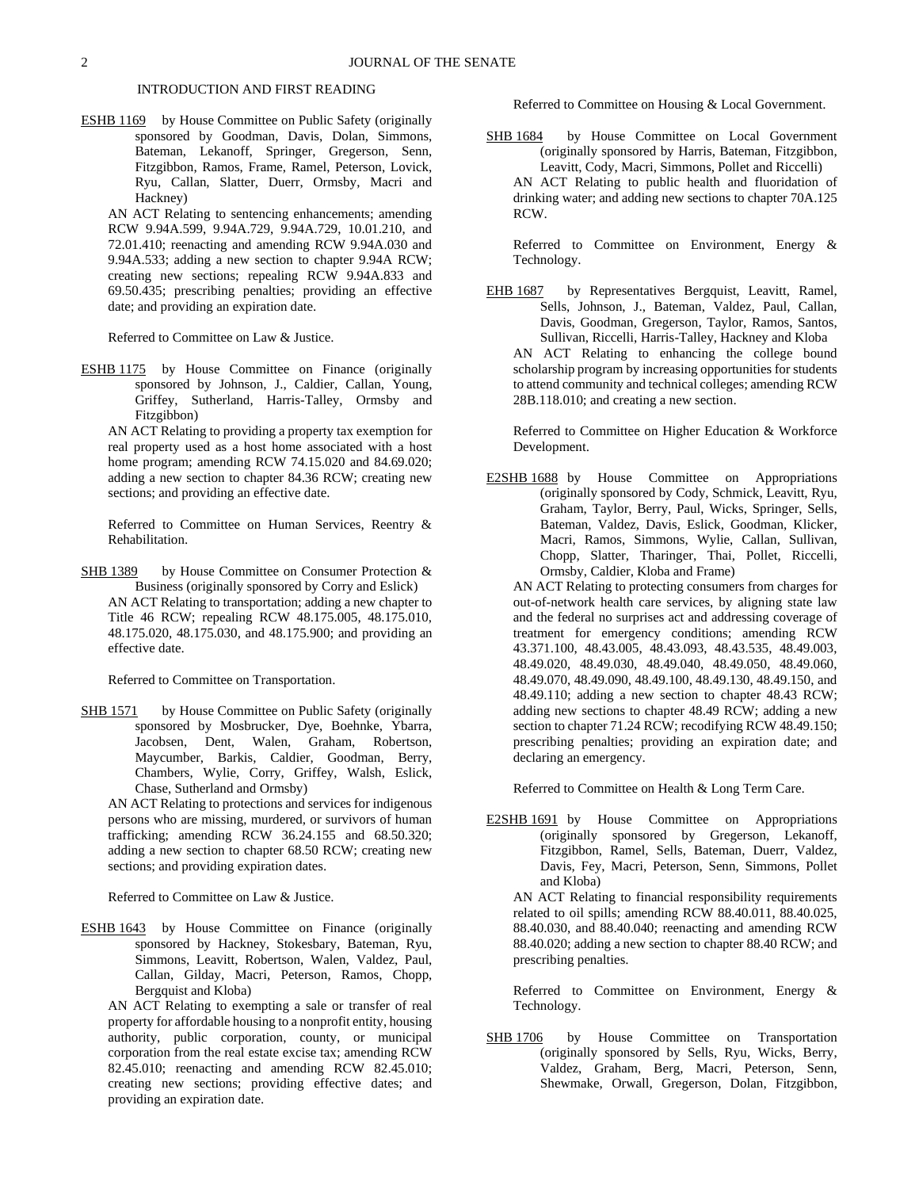# INTRODUCTION AND FIRST READING

ESHB 1169 by House Committee on Public Safety (originally sponsored by Goodman, Davis, Dolan, Simmons, Bateman, Lekanoff, Springer, Gregerson, Senn, Fitzgibbon, Ramos, Frame, Ramel, Peterson, Lovick, Ryu, Callan, Slatter, Duerr, Ormsby, Macri and Hackney)

AN ACT Relating to sentencing enhancements; amending RCW 9.94A.599, 9.94A.729, 9.94A.729, 10.01.210, and 72.01.410; reenacting and amending RCW 9.94A.030 and 9.94A.533; adding a new section to chapter 9.94A RCW; creating new sections; repealing RCW 9.94A.833 and 69.50.435; prescribing penalties; providing an effective date; and providing an expiration date.

Referred to Committee on Law & Justice.

ESHB 1175 by House Committee on Finance (originally sponsored by Johnson, J., Caldier, Callan, Young, Griffey, Sutherland, Harris-Talley, Ormsby and Fitzgibbon)

AN ACT Relating to providing a property tax exemption for real property used as a host home associated with a host home program; amending RCW 74.15.020 and 84.69.020; adding a new section to chapter 84.36 RCW; creating new sections; and providing an effective date.

Referred to Committee on Human Services, Reentry & Rehabilitation.

SHB 1389 by House Committee on Consumer Protection & Business (originally sponsored by Corry and Eslick) AN ACT Relating to transportation; adding a new chapter to Title 46 RCW; repealing RCW 48.175.005, 48.175.010, 48.175.020, 48.175.030, and 48.175.900; and providing an effective date.

Referred to Committee on Transportation.

SHB 1571 by House Committee on Public Safety (originally sponsored by Mosbrucker, Dye, Boehnke, Ybarra, Jacobsen, Dent, Walen, Graham, Robertson, Maycumber, Barkis, Caldier, Goodman, Berry, Chambers, Wylie, Corry, Griffey, Walsh, Eslick, Chase, Sutherland and Ormsby)

AN ACT Relating to protections and services for indigenous persons who are missing, murdered, or survivors of human trafficking; amending RCW 36.24.155 and 68.50.320; adding a new section to chapter 68.50 RCW; creating new sections; and providing expiration dates.

Referred to Committee on Law & Justice.

ESHB 1643 by House Committee on Finance (originally sponsored by Hackney, Stokesbary, Bateman, Ryu, Simmons, Leavitt, Robertson, Walen, Valdez, Paul, Callan, Gilday, Macri, Peterson, Ramos, Chopp, Bergquist and Kloba)

AN ACT Relating to exempting a sale or transfer of real property for affordable housing to a nonprofit entity, housing authority, public corporation, county, or municipal corporation from the real estate excise tax; amending RCW 82.45.010; reenacting and amending RCW 82.45.010; creating new sections; providing effective dates; and providing an expiration date.

Referred to Committee on Housing & Local Government.

SHB 1684 by House Committee on Local Government (originally sponsored by Harris, Bateman, Fitzgibbon, Leavitt, Cody, Macri, Simmons, Pollet and Riccelli) AN ACT Relating to public health and fluoridation of drinking water; and adding new sections to chapter 70A.125 RCW.

Referred to Committee on Environment, Energy & Technology.

EHB 1687 by Representatives Bergquist, Leavitt, Ramel, Sells, Johnson, J., Bateman, Valdez, Paul, Callan, Davis, Goodman, Gregerson, Taylor, Ramos, Santos, Sullivan, Riccelli, Harris-Talley, Hackney and Kloba AN ACT Relating to enhancing the college bound scholarship program by increasing opportunities for students to attend community and technical colleges; amending RCW 28B.118.010; and creating a new section.

Referred to Committee on Higher Education & Workforce Development.

E2SHB 1688 by House Committee on Appropriations (originally sponsored by Cody, Schmick, Leavitt, Ryu, Graham, Taylor, Berry, Paul, Wicks, Springer, Sells, Bateman, Valdez, Davis, Eslick, Goodman, Klicker, Macri, Ramos, Simmons, Wylie, Callan, Sullivan, Chopp, Slatter, Tharinger, Thai, Pollet, Riccelli, Ormsby, Caldier, Kloba and Frame)

AN ACT Relating to protecting consumers from charges for out-of-network health care services, by aligning state law and the federal no surprises act and addressing coverage of treatment for emergency conditions; amending RCW 43.371.100, 48.43.005, 48.43.093, 48.43.535, 48.49.003, 48.49.020, 48.49.030, 48.49.040, 48.49.050, 48.49.060, 48.49.070, 48.49.090, 48.49.100, 48.49.130, 48.49.150, and 48.49.110; adding a new section to chapter 48.43 RCW; adding new sections to chapter 48.49 RCW; adding a new section to chapter 71.24 RCW; recodifying RCW 48.49.150; prescribing penalties; providing an expiration date; and declaring an emergency.

Referred to Committee on Health & Long Term Care.

E2SHB 1691 by House Committee on Appropriations (originally sponsored by Gregerson, Lekanoff, Fitzgibbon, Ramel, Sells, Bateman, Duerr, Valdez, Davis, Fey, Macri, Peterson, Senn, Simmons, Pollet and Kloba)

AN ACT Relating to financial responsibility requirements related to oil spills; amending RCW 88.40.011, 88.40.025, 88.40.030, and 88.40.040; reenacting and amending RCW 88.40.020; adding a new section to chapter 88.40 RCW; and prescribing penalties.

Referred to Committee on Environment, Energy & Technology.

SHB 1706 by House Committee on Transportation (originally sponsored by Sells, Ryu, Wicks, Berry, Valdez, Graham, Berg, Macri, Peterson, Senn, Shewmake, Orwall, Gregerson, Dolan, Fitzgibbon,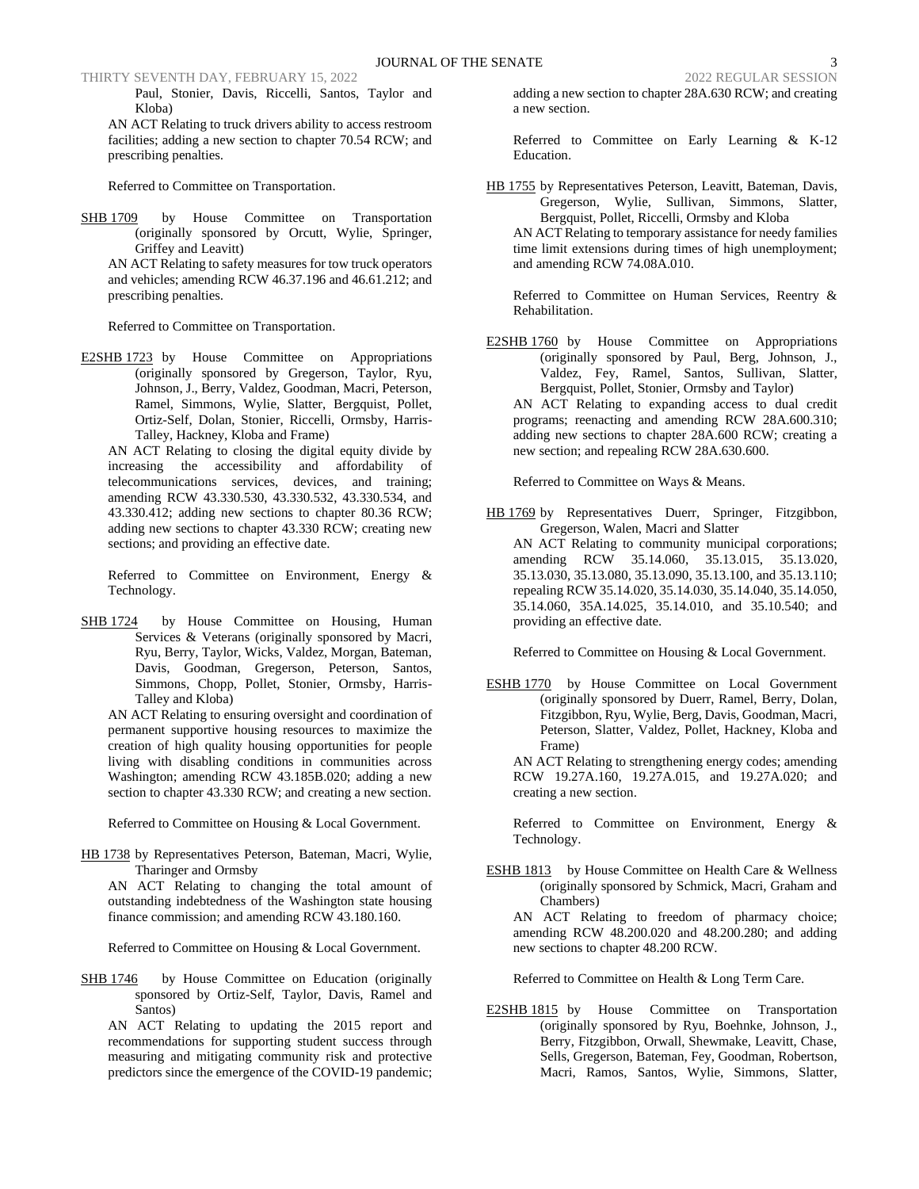Paul, Stonier, Davis, Riccelli, Santos, Taylor and Kloba)

AN ACT Relating to truck drivers ability to access restroom facilities; adding a new section to chapter 70.54 RCW; and prescribing penalties.

Referred to Committee on Transportation.

SHB 1709 by House Committee on Transportation (originally sponsored by Orcutt, Wylie, Springer, Griffey and Leavitt)

AN ACT Relating to safety measures for tow truck operators and vehicles; amending RCW 46.37.196 and 46.61.212; and prescribing penalties.

Referred to Committee on Transportation.

E2SHB 1723 by House Committee on Appropriations (originally sponsored by Gregerson, Taylor, Ryu, Johnson, J., Berry, Valdez, Goodman, Macri, Peterson, Ramel, Simmons, Wylie, Slatter, Bergquist, Pollet, Ortiz-Self, Dolan, Stonier, Riccelli, Ormsby, Harris-Talley, Hackney, Kloba and Frame)

AN ACT Relating to closing the digital equity divide by increasing the accessibility and affordability of telecommunications services, devices, and training; amending RCW 43.330.530, 43.330.532, 43.330.534, and 43.330.412; adding new sections to chapter 80.36 RCW; adding new sections to chapter 43.330 RCW; creating new sections; and providing an effective date.

Referred to Committee on Environment, Energy & Technology.

SHB 1724 by House Committee on Housing, Human Services & Veterans (originally sponsored by Macri, Ryu, Berry, Taylor, Wicks, Valdez, Morgan, Bateman, Davis, Goodman, Gregerson, Peterson, Santos, Simmons, Chopp, Pollet, Stonier, Ormsby, Harris-Talley and Kloba)

AN ACT Relating to ensuring oversight and coordination of permanent supportive housing resources to maximize the creation of high quality housing opportunities for people living with disabling conditions in communities across Washington; amending RCW 43.185B.020; adding a new section to chapter 43.330 RCW; and creating a new section.

Referred to Committee on Housing & Local Government.

HB 1738 by Representatives Peterson, Bateman, Macri, Wylie, Tharinger and Ormsby

AN ACT Relating to changing the total amount of outstanding indebtedness of the Washington state housing finance commission; and amending RCW 43.180.160.

Referred to Committee on Housing & Local Government.

SHB 1746 by House Committee on Education (originally sponsored by Ortiz-Self, Taylor, Davis, Ramel and Santos)

AN ACT Relating to updating the 2015 report and recommendations for supporting student success through measuring and mitigating community risk and protective predictors since the emergence of the COVID-19 pandemic;

adding a new section to chapter 28A.630 RCW; and creating a new section.

Referred to Committee on Early Learning & K-12 Education.

HB 1755 by Representatives Peterson, Leavitt, Bateman, Davis, Gregerson, Wylie, Sullivan, Simmons, Slatter, Bergquist, Pollet, Riccelli, Ormsby and Kloba

AN ACT Relating to temporary assistance for needy families time limit extensions during times of high unemployment; and amending RCW 74.08A.010.

Referred to Committee on Human Services, Reentry & Rehabilitation.

E2SHB 1760 by House Committee on Appropriations (originally sponsored by Paul, Berg, Johnson, J., Valdez, Fey, Ramel, Santos, Sullivan, Slatter, Bergquist, Pollet, Stonier, Ormsby and Taylor)

AN ACT Relating to expanding access to dual credit programs; reenacting and amending RCW 28A.600.310; adding new sections to chapter 28A.600 RCW; creating a new section; and repealing RCW 28A.630.600.

Referred to Committee on Ways & Means.

HB 1769 by Representatives Duerr, Springer, Fitzgibbon, Gregerson, Walen, Macri and Slatter AN ACT Relating to community municipal corporations; amending RCW 35.14.060, 35.13.015, 35.13.020, 35.13.030, 35.13.080, 35.13.090, 35.13.100, and 35.13.110; repealing RCW 35.14.020, 35.14.030, 35.14.040, 35.14.050, 35.14.060, 35A.14.025, 35.14.010, and 35.10.540; and providing an effective date.

Referred to Committee on Housing & Local Government.

ESHB 1770 by House Committee on Local Government (originally sponsored by Duerr, Ramel, Berry, Dolan, Fitzgibbon, Ryu, Wylie, Berg, Davis, Goodman, Macri, Peterson, Slatter, Valdez, Pollet, Hackney, Kloba and Frame)

AN ACT Relating to strengthening energy codes; amending RCW 19.27A.160, 19.27A.015, and 19.27A.020; and creating a new section.

Referred to Committee on Environment, Energy & Technology.

ESHB 1813 by House Committee on Health Care & Wellness (originally sponsored by Schmick, Macri, Graham and Chambers)

AN ACT Relating to freedom of pharmacy choice; amending RCW 48.200.020 and 48.200.280; and adding new sections to chapter 48.200 RCW.

Referred to Committee on Health & Long Term Care.

E2SHB 1815 by House Committee on Transportation (originally sponsored by Ryu, Boehnke, Johnson, J., Berry, Fitzgibbon, Orwall, Shewmake, Leavitt, Chase, Sells, Gregerson, Bateman, Fey, Goodman, Robertson, Macri, Ramos, Santos, Wylie, Simmons, Slatter,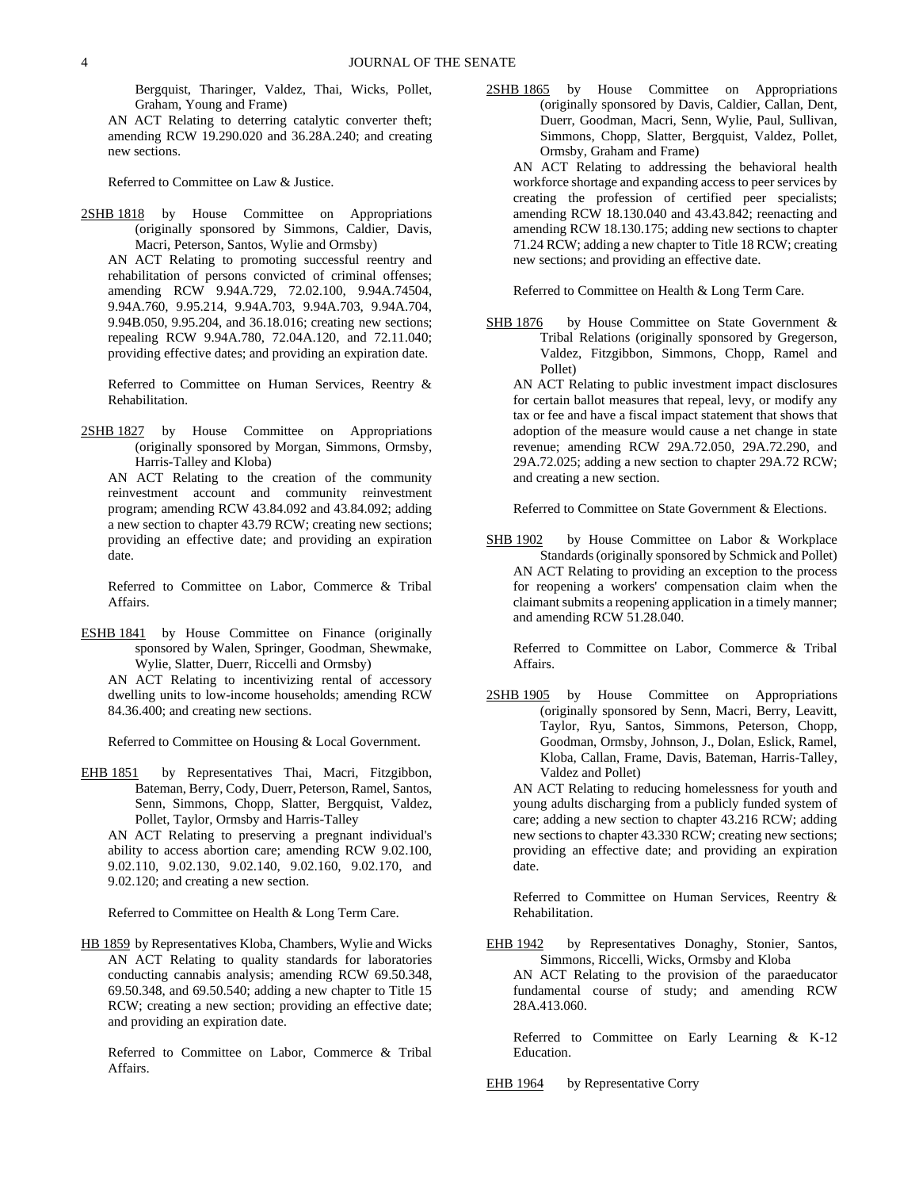Bergquist, Tharinger, Valdez, Thai, Wicks, Pollet, Graham, Young and Frame)

AN ACT Relating to deterring catalytic converter theft; amending RCW 19.290.020 and 36.28A.240; and creating new sections.

Referred to Committee on Law & Justice.

2SHB 1818 by House Committee on Appropriations (originally sponsored by Simmons, Caldier, Davis, Macri, Peterson, Santos, Wylie and Ormsby)

AN ACT Relating to promoting successful reentry and rehabilitation of persons convicted of criminal offenses; amending RCW 9.94A.729, 72.02.100, 9.94A.74504, 9.94A.760, 9.95.214, 9.94A.703, 9.94A.703, 9.94A.704, 9.94B.050, 9.95.204, and 36.18.016; creating new sections; repealing RCW 9.94A.780, 72.04A.120, and 72.11.040; providing effective dates; and providing an expiration date.

Referred to Committee on Human Services, Reentry & Rehabilitation.

2SHB 1827 by House Committee on Appropriations (originally sponsored by Morgan, Simmons, Ormsby, Harris-Talley and Kloba)

AN ACT Relating to the creation of the community reinvestment account and community reinvestment program; amending RCW 43.84.092 and 43.84.092; adding a new section to chapter 43.79 RCW; creating new sections; providing an effective date; and providing an expiration date.

Referred to Committee on Labor, Commerce & Tribal Affairs.

ESHB 1841 by House Committee on Finance (originally sponsored by Walen, Springer, Goodman, Shewmake, Wylie, Slatter, Duerr, Riccelli and Ormsby)

AN ACT Relating to incentivizing rental of accessory dwelling units to low-income households; amending RCW 84.36.400; and creating new sections.

Referred to Committee on Housing & Local Government.

EHB 1851 by Representatives Thai, Macri, Fitzgibbon, Bateman, Berry, Cody, Duerr, Peterson, Ramel, Santos, Senn, Simmons, Chopp, Slatter, Bergquist, Valdez, Pollet, Taylor, Ormsby and Harris-Talley

AN ACT Relating to preserving a pregnant individual's ability to access abortion care; amending RCW 9.02.100, 9.02.110, 9.02.130, 9.02.140, 9.02.160, 9.02.170, and 9.02.120; and creating a new section.

Referred to Committee on Health & Long Term Care.

HB 1859 by Representatives Kloba, Chambers, Wylie and Wicks AN ACT Relating to quality standards for laboratories conducting cannabis analysis; amending RCW 69.50.348, 69.50.348, and 69.50.540; adding a new chapter to Title 15 RCW; creating a new section; providing an effective date; and providing an expiration date.

Referred to Committee on Labor, Commerce & Tribal Affairs.

2SHB 1865 by House Committee on Appropriations (originally sponsored by Davis, Caldier, Callan, Dent, Duerr, Goodman, Macri, Senn, Wylie, Paul, Sullivan, Simmons, Chopp, Slatter, Bergquist, Valdez, Pollet, Ormsby, Graham and Frame)

AN ACT Relating to addressing the behavioral health workforce shortage and expanding access to peer services by creating the profession of certified peer specialists; amending RCW 18.130.040 and 43.43.842; reenacting and amending RCW 18.130.175; adding new sections to chapter 71.24 RCW; adding a new chapter to Title 18 RCW; creating new sections; and providing an effective date.

Referred to Committee on Health & Long Term Care.

SHB 1876 by House Committee on State Government & Tribal Relations (originally sponsored by Gregerson, Valdez, Fitzgibbon, Simmons, Chopp, Ramel and Pollet)

AN ACT Relating to public investment impact disclosures for certain ballot measures that repeal, levy, or modify any tax or fee and have a fiscal impact statement that shows that adoption of the measure would cause a net change in state revenue; amending RCW 29A.72.050, 29A.72.290, and 29A.72.025; adding a new section to chapter 29A.72 RCW; and creating a new section.

Referred to Committee on State Government & Elections.

SHB 1902 by House Committee on Labor & Workplace Standards (originally sponsored by Schmick and Pollet) AN ACT Relating to providing an exception to the process for reopening a workers' compensation claim when the claimant submits a reopening application in a timely manner; and amending RCW 51.28.040.

Referred to Committee on Labor, Commerce & Tribal Affairs.

2SHB 1905 by House Committee on Appropriations (originally sponsored by Senn, Macri, Berry, Leavitt, Taylor, Ryu, Santos, Simmons, Peterson, Chopp, Goodman, Ormsby, Johnson, J., Dolan, Eslick, Ramel, Kloba, Callan, Frame, Davis, Bateman, Harris-Talley, Valdez and Pollet)

AN ACT Relating to reducing homelessness for youth and young adults discharging from a publicly funded system of care; adding a new section to chapter 43.216 RCW; adding new sections to chapter 43.330 RCW; creating new sections; providing an effective date; and providing an expiration date.

Referred to Committee on Human Services, Reentry & Rehabilitation.

EHB 1942 by Representatives Donaghy, Stonier, Santos, Simmons, Riccelli, Wicks, Ormsby and Kloba

AN ACT Relating to the provision of the paraeducator fundamental course of study; and amending RCW 28A.413.060.

Referred to Committee on Early Learning & K-12 Education.

EHB 1964 by Representative Corry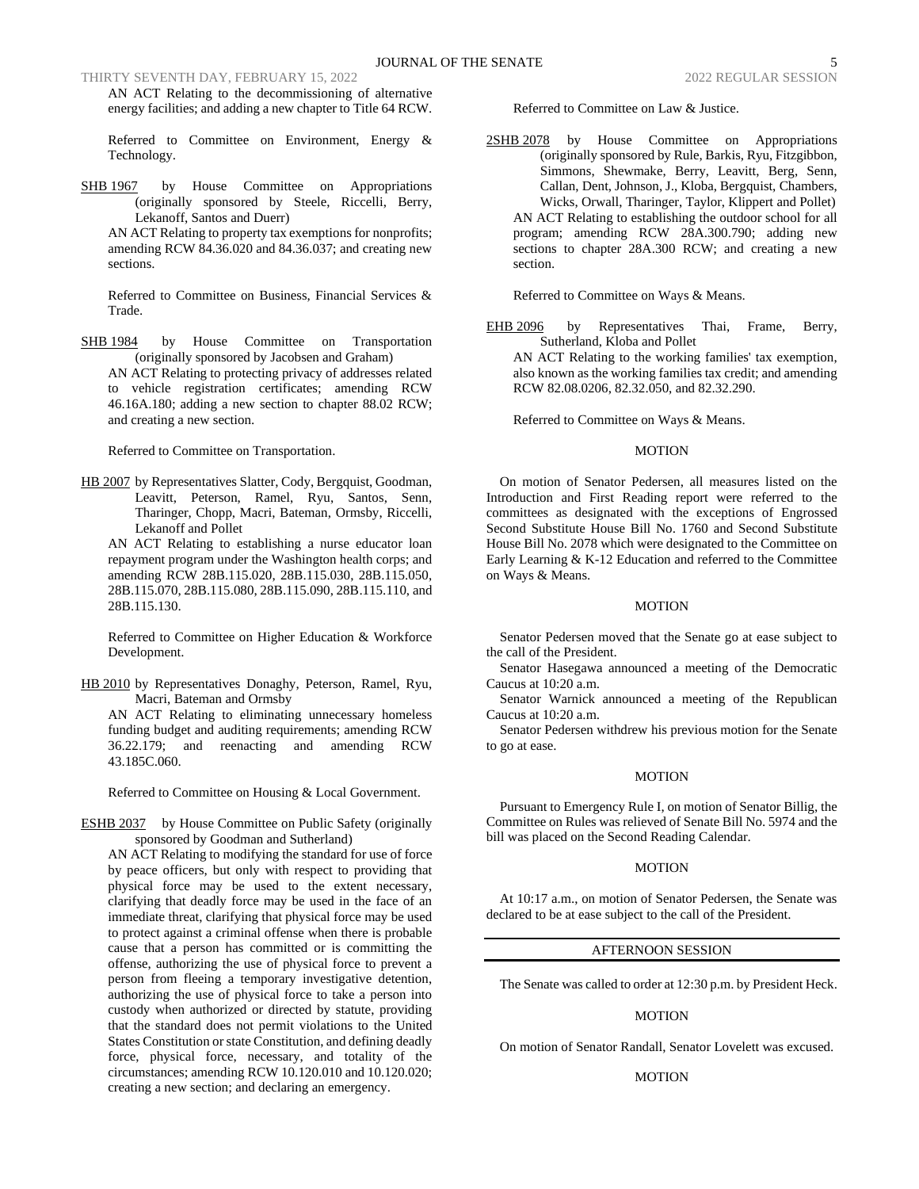AN ACT Relating to the decommissioning of alternative energy facilities; and adding a new chapter to Title 64 RCW.

Referred to Committee on Environment, Energy & Technology.

SHB 1967 by House Committee on Appropriations (originally sponsored by Steele, Riccelli, Berry, Lekanoff, Santos and Duerr)

AN ACT Relating to property tax exemptions for nonprofits; amending RCW 84.36.020 and 84.36.037; and creating new sections.

Referred to Committee on Business, Financial Services & Trade.

SHB 1984 by House Committee on Transportation (originally sponsored by Jacobsen and Graham) AN ACT Relating to protecting privacy of addresses related to vehicle registration certificates; amending RCW 46.16A.180; adding a new section to chapter 88.02 RCW; and creating a new section.

Referred to Committee on Transportation.

HB 2007 by Representatives Slatter, Cody, Bergquist, Goodman, Leavitt, Peterson, Ramel, Ryu, Santos, Senn, Tharinger, Chopp, Macri, Bateman, Ormsby, Riccelli, Lekanoff and Pollet

AN ACT Relating to establishing a nurse educator loan repayment program under the Washington health corps; and amending RCW 28B.115.020, 28B.115.030, 28B.115.050, 28B.115.070, 28B.115.080, 28B.115.090, 28B.115.110, and 28B.115.130.

Referred to Committee on Higher Education & Workforce Development.

HB 2010 by Representatives Donaghy, Peterson, Ramel, Ryu, Macri, Bateman and Ormsby

AN ACT Relating to eliminating unnecessary homeless funding budget and auditing requirements; amending RCW 36.22.179; and reenacting and amending RCW 43.185C.060.

Referred to Committee on Housing & Local Government.

ESHB 2037 by House Committee on Public Safety (originally sponsored by Goodman and Sutherland)

AN ACT Relating to modifying the standard for use of force by peace officers, but only with respect to providing that physical force may be used to the extent necessary, clarifying that deadly force may be used in the face of an immediate threat, clarifying that physical force may be used to protect against a criminal offense when there is probable cause that a person has committed or is committing the offense, authorizing the use of physical force to prevent a person from fleeing a temporary investigative detention, authorizing the use of physical force to take a person into custody when authorized or directed by statute, providing that the standard does not permit violations to the United States Constitution or state Constitution, and defining deadly force, physical force, necessary, and totality of the circumstances; amending RCW 10.120.010 and 10.120.020; creating a new section; and declaring an emergency.

Referred to Committee on Law & Justice.

2SHB 2078 by House Committee on Appropriations (originally sponsored by Rule, Barkis, Ryu, Fitzgibbon, Simmons, Shewmake, Berry, Leavitt, Berg, Senn, Callan, Dent, Johnson, J., Kloba, Bergquist, Chambers, Wicks, Orwall, Tharinger, Taylor, Klippert and Pollet) AN ACT Relating to establishing the outdoor school for all program; amending RCW 28A.300.790; adding new sections to chapter 28A.300 RCW; and creating a new section.

Referred to Committee on Ways & Means.

EHB 2096 by Representatives Thai, Frame, Berry, Sutherland, Kloba and Pollet

AN ACT Relating to the working families' tax exemption, also known as the working families tax credit; and amending RCW 82.08.0206, 82.32.050, and 82.32.290.

Referred to Committee on Ways & Means.

#### MOTION

On motion of Senator Pedersen, all measures listed on the Introduction and First Reading report were referred to the committees as designated with the exceptions of Engrossed Second Substitute House Bill No. 1760 and Second Substitute House Bill No. 2078 which were designated to the Committee on Early Learning & K-12 Education and referred to the Committee on Ways & Means.

#### **MOTION**

Senator Pedersen moved that the Senate go at ease subject to the call of the President.

Senator Hasegawa announced a meeting of the Democratic Caucus at 10:20 a.m.

Senator Warnick announced a meeting of the Republican Caucus at 10:20 a.m.

Senator Pedersen withdrew his previous motion for the Senate to go at ease.

# MOTION

Pursuant to Emergency Rule I, on motion of Senator Billig, the Committee on Rules was relieved of Senate Bill No. 5974 and the bill was placed on the Second Reading Calendar.

# MOTION

At 10:17 a.m., on motion of Senator Pedersen, the Senate was declared to be at ease subject to the call of the President.

#### AFTERNOON SESSION

The Senate was called to order at 12:30 p.m. by President Heck.

# MOTION

On motion of Senator Randall, Senator Lovelett was excused.

#### MOTION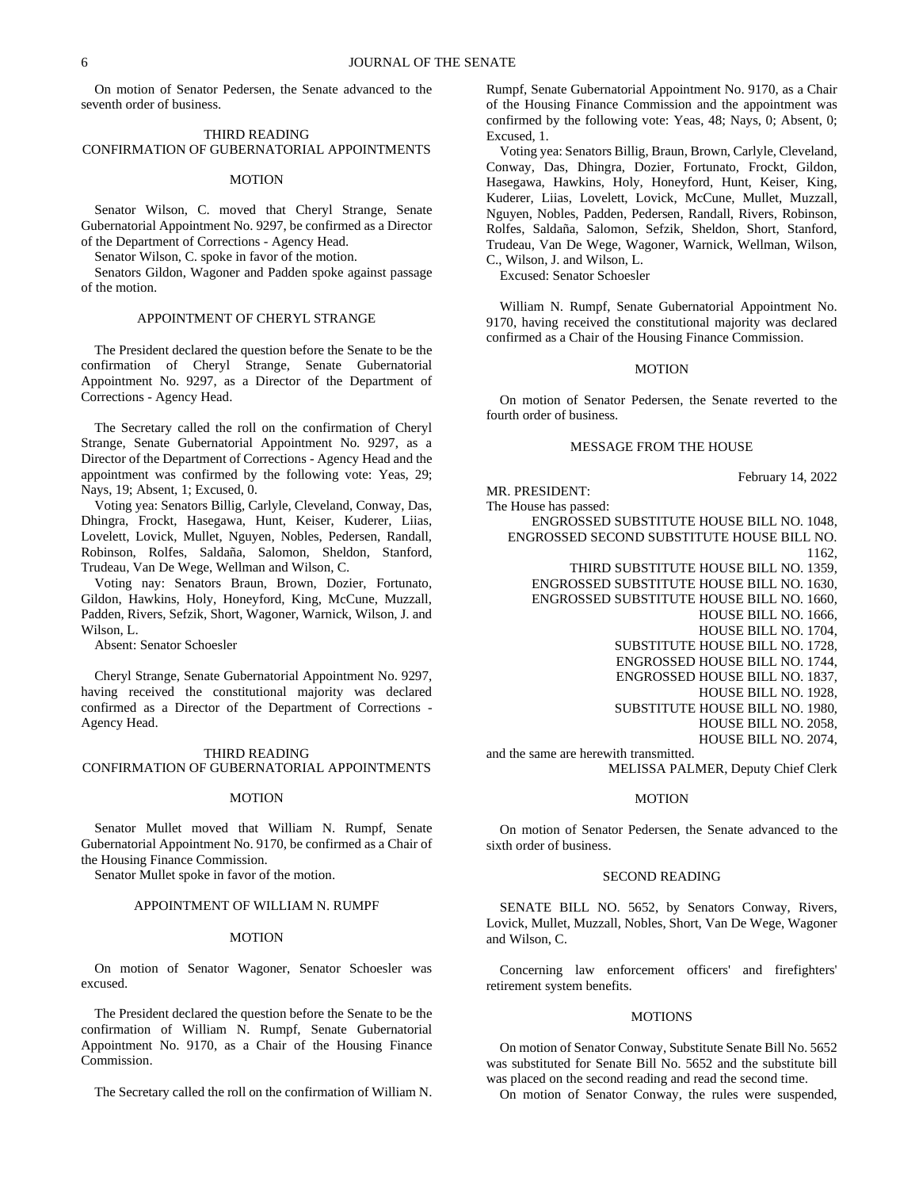On motion of Senator Pedersen, the Senate advanced to the seventh order of business.

# THIRD READING CONFIRMATION OF GUBERNATORIAL APPOINTMENTS

#### **MOTION**

Senator Wilson, C. moved that Cheryl Strange, Senate Gubernatorial Appointment No. 9297, be confirmed as a Director of the Department of Corrections - Agency Head.

Senator Wilson, C. spoke in favor of the motion.

Senators Gildon, Wagoner and Padden spoke against passage of the motion.

#### APPOINTMENT OF CHERYL STRANGE

The President declared the question before the Senate to be the confirmation of Cheryl Strange, Senate Gubernatorial Appointment No. 9297, as a Director of the Department of Corrections - Agency Head.

The Secretary called the roll on the confirmation of Cheryl Strange, Senate Gubernatorial Appointment No. 9297, as a Director of the Department of Corrections - Agency Head and the appointment was confirmed by the following vote: Yeas, 29; Nays, 19; Absent, 1; Excused, 0.

Voting yea: Senators Billig, Carlyle, Cleveland, Conway, Das, Dhingra, Frockt, Hasegawa, Hunt, Keiser, Kuderer, Liias, Lovelett, Lovick, Mullet, Nguyen, Nobles, Pedersen, Randall, Robinson, Rolfes, Saldaña, Salomon, Sheldon, Stanford, Trudeau, Van De Wege, Wellman and Wilson, C.

Voting nay: Senators Braun, Brown, Dozier, Fortunato, Gildon, Hawkins, Holy, Honeyford, King, McCune, Muzzall, Padden, Rivers, Sefzik, Short, Wagoner, Warnick, Wilson, J. and Wilson, L.

Absent: Senator Schoesler

Cheryl Strange, Senate Gubernatorial Appointment No. 9297, having received the constitutional majority was declared confirmed as a Director of the Department of Corrections - Agency Head.

#### THIRD READING

# CONFIRMATION OF GUBERNATORIAL APPOINTMENTS

#### MOTION

Senator Mullet moved that William N. Rumpf, Senate Gubernatorial Appointment No. 9170, be confirmed as a Chair of the Housing Finance Commission.

Senator Mullet spoke in favor of the motion.

#### APPOINTMENT OF WILLIAM N. RUMPF

#### MOTION

On motion of Senator Wagoner, Senator Schoesler was excused.

The President declared the question before the Senate to be the confirmation of William N. Rumpf, Senate Gubernatorial Appointment No. 9170, as a Chair of the Housing Finance Commission.

The Secretary called the roll on the confirmation of William N.

Rumpf, Senate Gubernatorial Appointment No. 9170, as a Chair of the Housing Finance Commission and the appointment was confirmed by the following vote: Yeas, 48; Nays, 0; Absent, 0; Excused, 1.

Voting yea: Senators Billig, Braun, Brown, Carlyle, Cleveland, Conway, Das, Dhingra, Dozier, Fortunato, Frockt, Gildon, Hasegawa, Hawkins, Holy, Honeyford, Hunt, Keiser, King, Kuderer, Liias, Lovelett, Lovick, McCune, Mullet, Muzzall, Nguyen, Nobles, Padden, Pedersen, Randall, Rivers, Robinson, Rolfes, Saldaña, Salomon, Sefzik, Sheldon, Short, Stanford, Trudeau, Van De Wege, Wagoner, Warnick, Wellman, Wilson, C., Wilson, J. and Wilson, L.

Excused: Senator Schoesler

William N. Rumpf, Senate Gubernatorial Appointment No. 9170, having received the constitutional majority was declared confirmed as a Chair of the Housing Finance Commission.

# MOTION

On motion of Senator Pedersen, the Senate reverted to the fourth order of business.

# MESSAGE FROM THE HOUSE

February 14, 2022

MR. PRESIDENT: The House has passed: ENGROSSED SUBSTITUTE HOUSE BILL NO. 1048, ENGROSSED SECOND SUBSTITUTE HOUSE BILL NO. 1162, THIRD SUBSTITUTE HOUSE BILL NO. 1359, ENGROSSED SUBSTITUTE HOUSE BILL NO. 1630, ENGROSSED SUBSTITUTE HOUSE BILL NO. 1660, HOUSE BILL NO. 1666, HOUSE BILL NO. 1704, SUBSTITUTE HOUSE BILL NO. 1728, ENGROSSED HOUSE BILL NO. 1744, ENGROSSED HOUSE BILL NO. 1837, HOUSE BILL NO. 1928, SUBSTITUTE HOUSE BILL NO. 1980, HOUSE BILL NO. 2058, HOUSE BILL NO. 2074, and the same are herewith transmitted.

MELISSA PALMER, Deputy Chief Clerk

# MOTION

On motion of Senator Pedersen, the Senate advanced to the sixth order of business.

#### SECOND READING

SENATE BILL NO. 5652, by Senators Conway, Rivers, Lovick, Mullet, Muzzall, Nobles, Short, Van De Wege, Wagoner and Wilson, C.

Concerning law enforcement officers' and firefighters' retirement system benefits.

### **MOTIONS**

On motion of Senator Conway, Substitute Senate Bill No. 5652 was substituted for Senate Bill No. 5652 and the substitute bill was placed on the second reading and read the second time.

On motion of Senator Conway, the rules were suspended,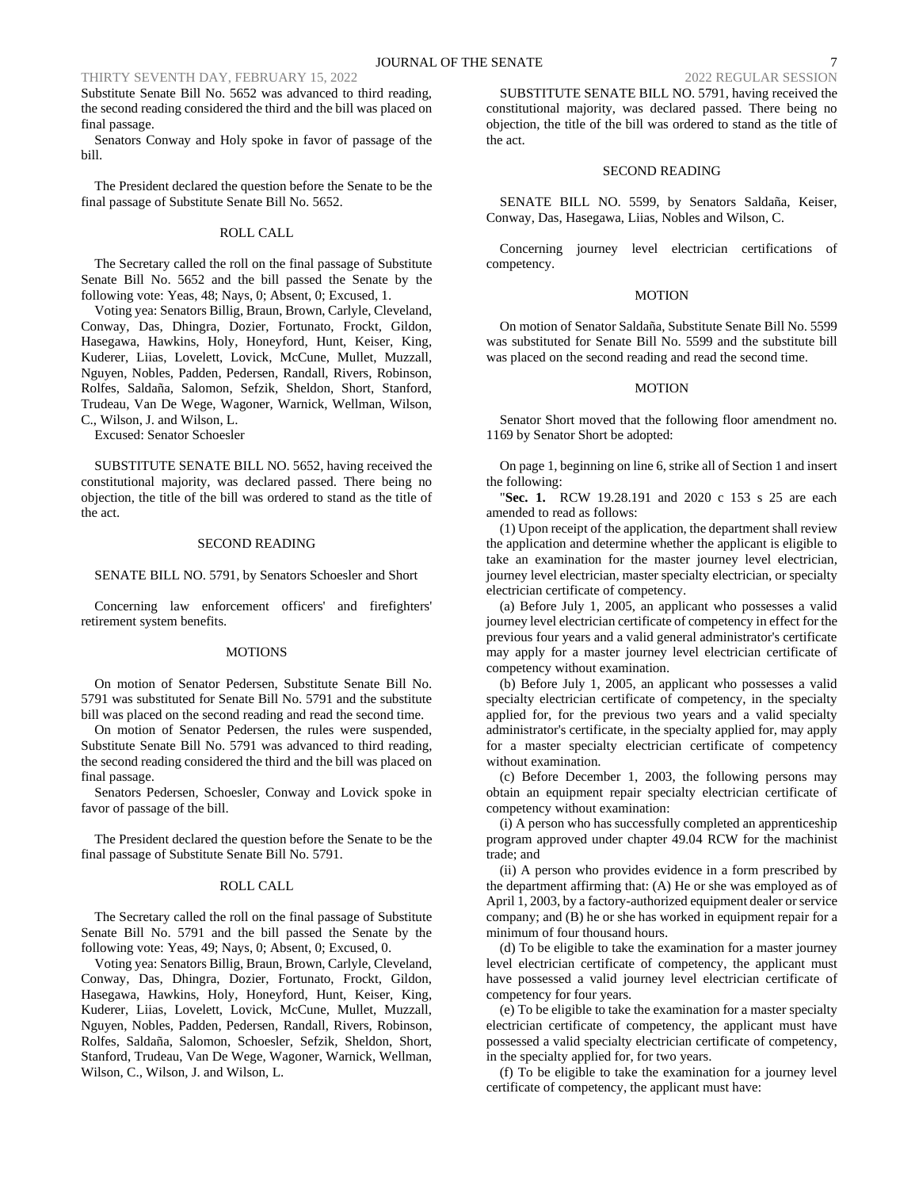Substitute Senate Bill No. 5652 was advanced to third reading, the second reading considered the third and the bill was placed on final passage.

Senators Conway and Holy spoke in favor of passage of the bill.

The President declared the question before the Senate to be the final passage of Substitute Senate Bill No. 5652.

# ROLL CALL

The Secretary called the roll on the final passage of Substitute Senate Bill No. 5652 and the bill passed the Senate by the following vote: Yeas, 48; Nays, 0; Absent, 0; Excused, 1.

Voting yea: Senators Billig, Braun, Brown, Carlyle, Cleveland, Conway, Das, Dhingra, Dozier, Fortunato, Frockt, Gildon, Hasegawa, Hawkins, Holy, Honeyford, Hunt, Keiser, King, Kuderer, Liias, Lovelett, Lovick, McCune, Mullet, Muzzall, Nguyen, Nobles, Padden, Pedersen, Randall, Rivers, Robinson, Rolfes, Saldaña, Salomon, Sefzik, Sheldon, Short, Stanford, Trudeau, Van De Wege, Wagoner, Warnick, Wellman, Wilson, C., Wilson, J. and Wilson, L.

Excused: Senator Schoesler

SUBSTITUTE SENATE BILL NO. 5652, having received the constitutional majority, was declared passed. There being no objection, the title of the bill was ordered to stand as the title of the act.

### SECOND READING

# SENATE BILL NO. 5791, by Senators Schoesler and Short

Concerning law enforcement officers' and firefighters' retirement system benefits.

#### MOTIONS

On motion of Senator Pedersen, Substitute Senate Bill No. 5791 was substituted for Senate Bill No. 5791 and the substitute bill was placed on the second reading and read the second time.

On motion of Senator Pedersen, the rules were suspended, Substitute Senate Bill No. 5791 was advanced to third reading, the second reading considered the third and the bill was placed on final passage.

Senators Pedersen, Schoesler, Conway and Lovick spoke in favor of passage of the bill.

The President declared the question before the Senate to be the final passage of Substitute Senate Bill No. 5791.

#### ROLL CALL

The Secretary called the roll on the final passage of Substitute Senate Bill No. 5791 and the bill passed the Senate by the following vote: Yeas, 49; Nays, 0; Absent, 0; Excused, 0.

Voting yea: Senators Billig, Braun, Brown, Carlyle, Cleveland, Conway, Das, Dhingra, Dozier, Fortunato, Frockt, Gildon, Hasegawa, Hawkins, Holy, Honeyford, Hunt, Keiser, King, Kuderer, Liias, Lovelett, Lovick, McCune, Mullet, Muzzall, Nguyen, Nobles, Padden, Pedersen, Randall, Rivers, Robinson, Rolfes, Saldaña, Salomon, Schoesler, Sefzik, Sheldon, Short, Stanford, Trudeau, Van De Wege, Wagoner, Warnick, Wellman, Wilson, C., Wilson, J. and Wilson, L.

SUBSTITUTE SENATE BILL NO. 5791, having received the constitutional majority, was declared passed. There being no objection, the title of the bill was ordered to stand as the title of the act.

# SECOND READING

SENATE BILL NO. 5599, by Senators Saldaña, Keiser, Conway, Das, Hasegawa, Liias, Nobles and Wilson, C.

Concerning journey level electrician certifications of competency.

# MOTION

On motion of Senator Saldaña, Substitute Senate Bill No. 5599 was substituted for Senate Bill No. 5599 and the substitute bill was placed on the second reading and read the second time.

# MOTION

Senator Short moved that the following floor amendment no. 1169 by Senator Short be adopted:

On page 1, beginning on line 6, strike all of Section 1 and insert the following:

"**Sec. 1.** RCW 19.28.191 and 2020 c 153 s 25 are each amended to read as follows:

(1) Upon receipt of the application, the department shall review the application and determine whether the applicant is eligible to take an examination for the master journey level electrician, journey level electrician, master specialty electrician, or specialty electrician certificate of competency.

(a) Before July 1, 2005, an applicant who possesses a valid journey level electrician certificate of competency in effect for the previous four years and a valid general administrator's certificate may apply for a master journey level electrician certificate of competency without examination.

(b) Before July 1, 2005, an applicant who possesses a valid specialty electrician certificate of competency, in the specialty applied for, for the previous two years and a valid specialty administrator's certificate, in the specialty applied for, may apply for a master specialty electrician certificate of competency without examination.

(c) Before December 1, 2003, the following persons may obtain an equipment repair specialty electrician certificate of competency without examination:

(i) A person who has successfully completed an apprenticeship program approved under chapter 49.04 RCW for the machinist trade; and

(ii) A person who provides evidence in a form prescribed by the department affirming that: (A) He or she was employed as of April 1, 2003, by a factory-authorized equipment dealer or service company; and (B) he or she has worked in equipment repair for a minimum of four thousand hours.

(d) To be eligible to take the examination for a master journey level electrician certificate of competency, the applicant must have possessed a valid journey level electrician certificate of competency for four years.

(e) To be eligible to take the examination for a master specialty electrician certificate of competency, the applicant must have possessed a valid specialty electrician certificate of competency, in the specialty applied for, for two years.

(f) To be eligible to take the examination for a journey level certificate of competency, the applicant must have: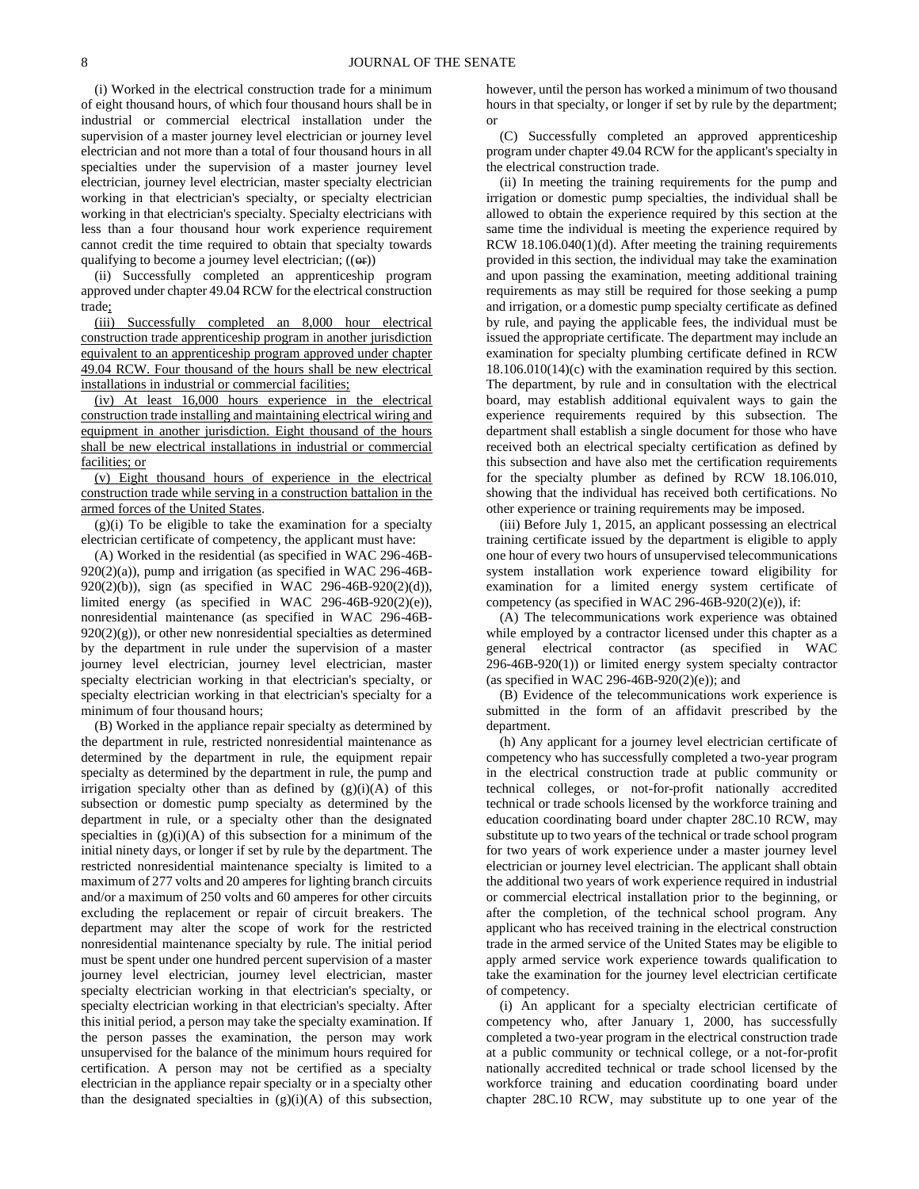(i) Worked in the electrical construction trade for a minimum of eight thousand hours, of which four thousand hours shall be in industrial or commercial electrical installation under the supervision of a master journey level electrician or journey level electrician and not more than a total of four thousand hours in all specialties under the supervision of a master journey level electrician, journey level electrician, master specialty electrician working in that electrician's specialty, or specialty electrician working in that electrician's specialty. Specialty electricians with less than a four thousand hour work experience requirement cannot credit the time required to obtain that specialty towards qualifying to become a journey level electrician;  $((\Theta$ **r**))

(ii) Successfully completed an apprenticeship program approved under chapter 49.04 RCW for the electrical construction trade;

(iii) Successfully completed an 8,000 hour electrical construction trade apprenticeship program in another jurisdiction equivalent to an apprenticeship program approved under chapter 49.04 RCW. Four thousand of the hours shall be new electrical installations in industrial or commercial facilities;

(iv) At least 16,000 hours experience in the electrical construction trade installing and maintaining electrical wiring and equipment in another jurisdiction. Eight thousand of the hours shall be new electrical installations in industrial or commercial facilities; or

(v) Eight thousand hours of experience in the electrical construction trade while serving in a construction battalion in the armed forces of the United States.

 $(g)(i)$  To be eligible to take the examination for a specialty electrician certificate of competency, the applicant must have:

(A) Worked in the residential (as specified in WAC 296-46B- $920(2)(a)$ , pump and irrigation (as specified in WAC 296-46B-920(2)(b)), sign (as specified in WAC 296-46B-920(2)(d)), limited energy (as specified in WAC 296-46B-920(2)(e)), nonresidential maintenance (as specified in WAC 296-46B- $920(2)(g)$ , or other new nonresidential specialties as determined by the department in rule under the supervision of a master journey level electrician, journey level electrician, master specialty electrician working in that electrician's specialty, or specialty electrician working in that electrician's specialty for a minimum of four thousand hours;

(B) Worked in the appliance repair specialty as determined by the department in rule, restricted nonresidential maintenance as determined by the department in rule, the equipment repair specialty as determined by the department in rule, the pump and irrigation specialty other than as defined by  $(g)(i)(A)$  of this subsection or domestic pump specialty as determined by the department in rule, or a specialty other than the designated specialties in  $(g)(i)(A)$  of this subsection for a minimum of the initial ninety days, or longer if set by rule by the department. The restricted nonresidential maintenance specialty is limited to a maximum of 277 volts and 20 amperes for lighting branch circuits and/or a maximum of 250 volts and 60 amperes for other circuits excluding the replacement or repair of circuit breakers. The department may alter the scope of work for the restricted nonresidential maintenance specialty by rule. The initial period must be spent under one hundred percent supervision of a master journey level electrician, journey level electrician, master specialty electrician working in that electrician's specialty, or specialty electrician working in that electrician's specialty. After this initial period, a person may take the specialty examination. If the person passes the examination, the person may work unsupervised for the balance of the minimum hours required for certification. A person may not be certified as a specialty electrician in the appliance repair specialty or in a specialty other than the designated specialties in  $(g)(i)(A)$  of this subsection, however, until the person has worked a minimum of two thousand hours in that specialty, or longer if set by rule by the department; or

(C) Successfully completed an approved apprenticeship program under chapter 49.04 RCW for the applicant's specialty in the electrical construction trade.

(ii) In meeting the training requirements for the pump and irrigation or domestic pump specialties, the individual shall be allowed to obtain the experience required by this section at the same time the individual is meeting the experience required by RCW 18.106.040(1)(d). After meeting the training requirements provided in this section, the individual may take the examination and upon passing the examination, meeting additional training requirements as may still be required for those seeking a pump and irrigation, or a domestic pump specialty certificate as defined by rule, and paying the applicable fees, the individual must be issued the appropriate certificate. The department may include an examination for specialty plumbing certificate defined in RCW 18.106.010(14)(c) with the examination required by this section. The department, by rule and in consultation with the electrical board, may establish additional equivalent ways to gain the experience requirements required by this subsection. The department shall establish a single document for those who have received both an electrical specialty certification as defined by this subsection and have also met the certification requirements for the specialty plumber as defined by RCW 18.106.010, showing that the individual has received both certifications. No other experience or training requirements may be imposed.

(iii) Before July 1, 2015, an applicant possessing an electrical training certificate issued by the department is eligible to apply one hour of every two hours of unsupervised telecommunications system installation work experience toward eligibility for examination for a limited energy system certificate of competency (as specified in WAC 296-46B-920(2)(e)), if:

(A) The telecommunications work experience was obtained while employed by a contractor licensed under this chapter as a general electrical contractor (as specified in WAC 296-46B-920(1)) or limited energy system specialty contractor (as specified in WAC 296-46B-920(2)(e)); and

(B) Evidence of the telecommunications work experience is submitted in the form of an affidavit prescribed by the department.

(h) Any applicant for a journey level electrician certificate of competency who has successfully completed a two-year program in the electrical construction trade at public community or technical colleges, or not-for-profit nationally accredited technical or trade schools licensed by the workforce training and education coordinating board under chapter 28C.10 RCW, may substitute up to two years of the technical or trade school program for two years of work experience under a master journey level electrician or journey level electrician. The applicant shall obtain the additional two years of work experience required in industrial or commercial electrical installation prior to the beginning, or after the completion, of the technical school program. Any applicant who has received training in the electrical construction trade in the armed service of the United States may be eligible to apply armed service work experience towards qualification to take the examination for the journey level electrician certificate of competency.

(i) An applicant for a specialty electrician certificate of competency who, after January 1, 2000, has successfully completed a two-year program in the electrical construction trade at a public community or technical college, or a not-for-profit nationally accredited technical or trade school licensed by the workforce training and education coordinating board under chapter 28C.10 RCW, may substitute up to one year of the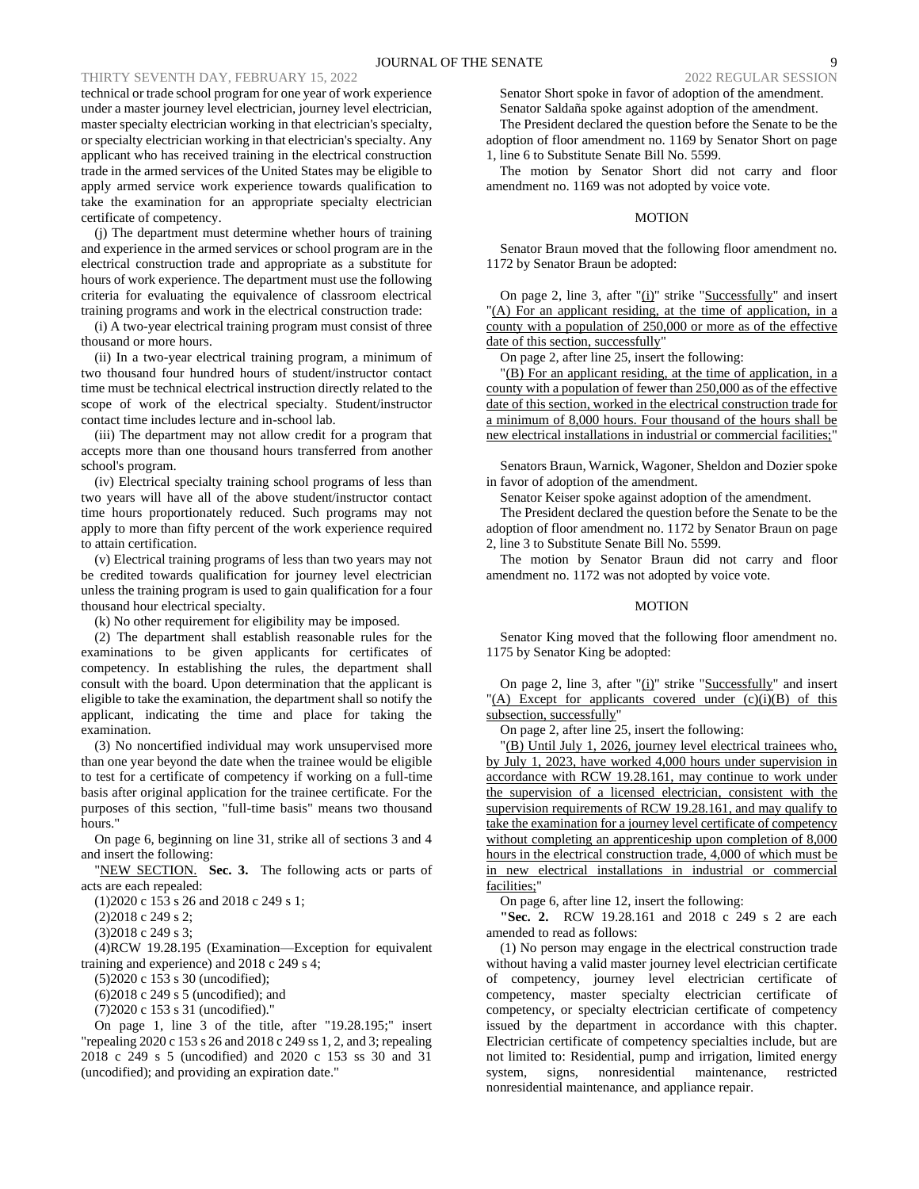# THIRTY SEVENTH DAY, FEBRUARY 15, 2022

technical or trade school program for one year of work experience under a master journey level electrician, journey level electrician, master specialty electrician working in that electrician's specialty, or specialty electrician working in that electrician's specialty. Any applicant who has received training in the electrical construction trade in the armed services of the United States may be eligible to apply armed service work experience towards qualification to take the examination for an appropriate specialty electrician certificate of competency.

(j) The department must determine whether hours of training and experience in the armed services or school program are in the electrical construction trade and appropriate as a substitute for hours of work experience. The department must use the following criteria for evaluating the equivalence of classroom electrical training programs and work in the electrical construction trade:

(i) A two-year electrical training program must consist of three thousand or more hours.

(ii) In a two-year electrical training program, a minimum of two thousand four hundred hours of student/instructor contact time must be technical electrical instruction directly related to the scope of work of the electrical specialty. Student/instructor contact time includes lecture and in-school lab.

(iii) The department may not allow credit for a program that accepts more than one thousand hours transferred from another school's program.

(iv) Electrical specialty training school programs of less than two years will have all of the above student/instructor contact time hours proportionately reduced. Such programs may not apply to more than fifty percent of the work experience required to attain certification.

(v) Electrical training programs of less than two years may not be credited towards qualification for journey level electrician unless the training program is used to gain qualification for a four thousand hour electrical specialty.

(k) No other requirement for eligibility may be imposed.

(2) The department shall establish reasonable rules for the examinations to be given applicants for certificates of competency. In establishing the rules, the department shall consult with the board. Upon determination that the applicant is eligible to take the examination, the department shall so notify the applicant, indicating the time and place for taking the examination.

(3) No noncertified individual may work unsupervised more than one year beyond the date when the trainee would be eligible to test for a certificate of competency if working on a full-time basis after original application for the trainee certificate. For the purposes of this section, "full-time basis" means two thousand hours."

On page 6, beginning on line 31, strike all of sections 3 and 4 and insert the following:

"NEW SECTION. **Sec. 3.** The following acts or parts of acts are each repealed:

(1)2020 c 153 s 26 and 2018 c 249 s 1;

(2)2018 c 249 s 2;

(3)2018 c 249 s 3;

(4)RCW 19.28.195 (Examination—Exception for equivalent training and experience) and 2018 c 249 s 4;

(5)2020 c 153 s 30 (uncodified);

(6)2018 c 249 s 5 (uncodified); and

(7)2020 c 153 s 31 (uncodified)."

On page 1, line 3 of the title, after "19.28.195;" insert "repealing 2020 c 153 s 26 and 2018 c 249 ss 1, 2, and 3; repealing 2018 c 249 s 5 (uncodified) and 2020 c 153 ss 30 and 31 (uncodified); and providing an expiration date."

Senator Short spoke in favor of adoption of the amendment. Senator Saldaña spoke against adoption of the amendment.

The President declared the question before the Senate to be the adoption of floor amendment no. 1169 by Senator Short on page 1, line 6 to Substitute Senate Bill No. 5599.

The motion by Senator Short did not carry and floor amendment no. 1169 was not adopted by voice vote.

# MOTION

Senator Braun moved that the following floor amendment no. 1172 by Senator Braun be adopted:

On page 2, line 3, after " $(i)$ " strike "Successfully" and insert "(A) For an applicant residing, at the time of application, in a county with a population of 250,000 or more as of the effective date of this section, successfully"

On page 2, after line 25, insert the following:

"(B) For an applicant residing, at the time of application, in a county with a population of fewer than 250,000 as of the effective date of this section, worked in the electrical construction trade for a minimum of 8,000 hours. Four thousand of the hours shall be new electrical installations in industrial or commercial facilities;

Senators Braun, Warnick, Wagoner, Sheldon and Dozier spoke in favor of adoption of the amendment.

Senator Keiser spoke against adoption of the amendment.

The President declared the question before the Senate to be the adoption of floor amendment no. 1172 by Senator Braun on page 2, line 3 to Substitute Senate Bill No. 5599.

The motion by Senator Braun did not carry and floor amendment no. 1172 was not adopted by voice vote.

#### **MOTION**

Senator King moved that the following floor amendment no. 1175 by Senator King be adopted:

On page 2, line 3, after " $(i)$ " strike "Successfully" and insert "(A) Except for applicants covered under  $(c)(i)(B)$  of this subsection, successfully"

On page 2, after line 25, insert the following:

"(B) Until July 1, 2026, journey level electrical trainees who, by July 1, 2023, have worked 4,000 hours under supervision in accordance with RCW 19.28.161, may continue to work under the supervision of a licensed electrician, consistent with the supervision requirements of RCW 19.28.161, and may qualify to take the examination for a journey level certificate of competency without completing an apprenticeship upon completion of 8,000 hours in the electrical construction trade, 4,000 of which must be in new electrical installations in industrial or commercial facilities;"

On page 6, after line 12, insert the following:

**"Sec. 2.** RCW 19.28.161 and 2018 c 249 s 2 are each amended to read as follows:

(1) No person may engage in the electrical construction trade without having a valid master journey level electrician certificate of competency, journey level electrician certificate of competency, master specialty electrician certificate of competency, or specialty electrician certificate of competency issued by the department in accordance with this chapter. Electrician certificate of competency specialties include, but are not limited to: Residential, pump and irrigation, limited energy system, signs, nonresidential maintenance, restricted nonresidential maintenance, and appliance repair.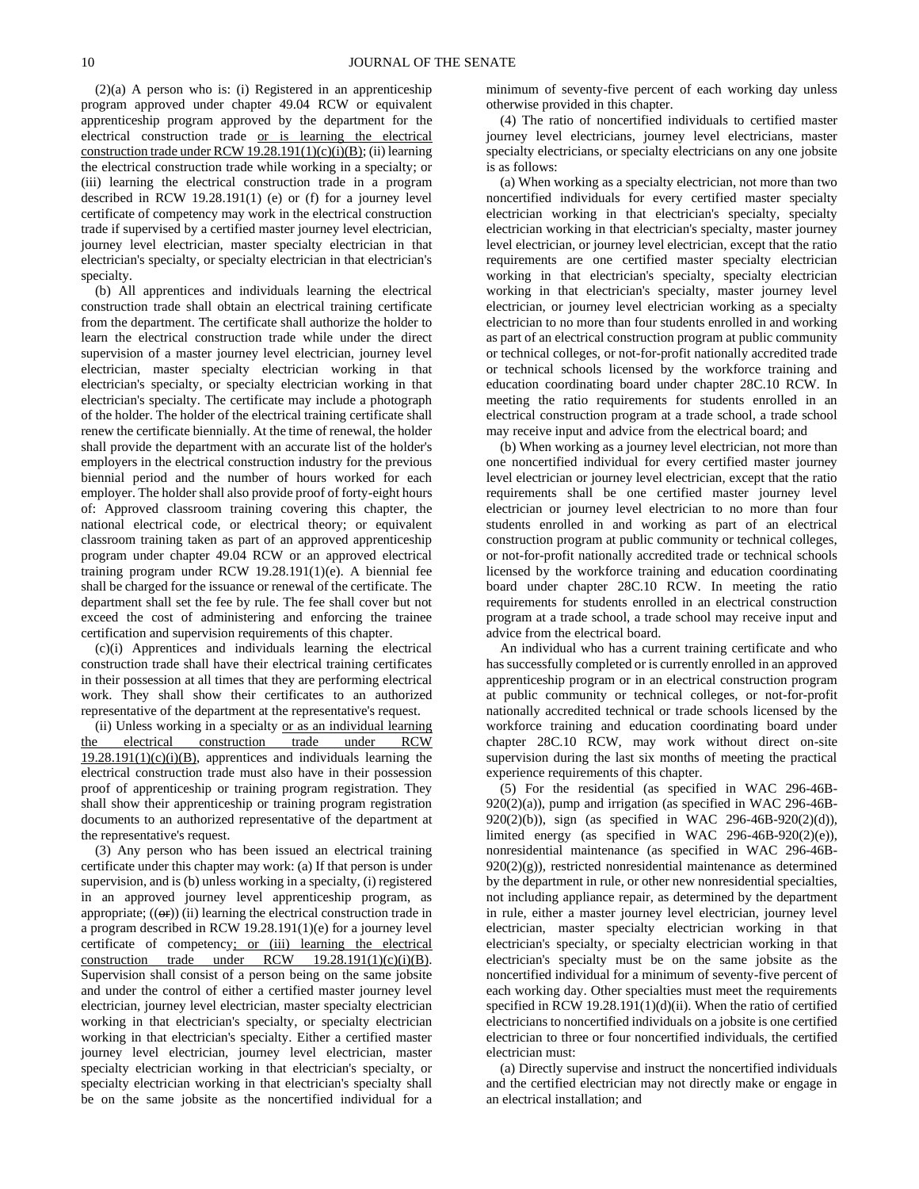(2)(a) A person who is: (i) Registered in an apprenticeship program approved under chapter 49.04 RCW or equivalent apprenticeship program approved by the department for the electrical construction trade or is learning the electrical construction trade under RCW 19.28.191(1)(c)(i)(B); (ii) learning the electrical construction trade while working in a specialty; or (iii) learning the electrical construction trade in a program described in RCW 19.28.191(1) (e) or (f) for a journey level certificate of competency may work in the electrical construction trade if supervised by a certified master journey level electrician, journey level electrician, master specialty electrician in that electrician's specialty, or specialty electrician in that electrician's specialty.

(b) All apprentices and individuals learning the electrical construction trade shall obtain an electrical training certificate from the department. The certificate shall authorize the holder to learn the electrical construction trade while under the direct supervision of a master journey level electrician, journey level electrician, master specialty electrician working in that electrician's specialty, or specialty electrician working in that electrician's specialty. The certificate may include a photograph of the holder. The holder of the electrical training certificate shall renew the certificate biennially. At the time of renewal, the holder shall provide the department with an accurate list of the holder's employers in the electrical construction industry for the previous biennial period and the number of hours worked for each employer. The holder shall also provide proof of forty-eight hours of: Approved classroom training covering this chapter, the national electrical code, or electrical theory; or equivalent classroom training taken as part of an approved apprenticeship program under chapter 49.04 RCW or an approved electrical training program under RCW 19.28.191(1)(e). A biennial fee shall be charged for the issuance or renewal of the certificate. The department shall set the fee by rule. The fee shall cover but not exceed the cost of administering and enforcing the trainee certification and supervision requirements of this chapter.

(c)(i) Apprentices and individuals learning the electrical construction trade shall have their electrical training certificates in their possession at all times that they are performing electrical work. They shall show their certificates to an authorized representative of the department at the representative's request.

(ii) Unless working in a specialty or as an individual learning the electrical construction trade under RCW 19.28.191(1)(c)(i)(B), apprentices and individuals learning the electrical construction trade must also have in their possession proof of apprenticeship or training program registration. They shall show their apprenticeship or training program registration documents to an authorized representative of the department at the representative's request.

(3) Any person who has been issued an electrical training certificate under this chapter may work: (a) If that person is under supervision, and is (b) unless working in a specialty, (i) registered in an approved journey level apprenticeship program, as appropriate;  $((\Theta \mathbf{r}))$  (ii) learning the electrical construction trade in a program described in RCW 19.28.191(1)(e) for a journey level certificate of competency; or (iii) learning the electrical construction trade under  $RCW = 19.28.191(1)(c)(i)(B)$ . Supervision shall consist of a person being on the same jobsite and under the control of either a certified master journey level electrician, journey level electrician, master specialty electrician working in that electrician's specialty, or specialty electrician working in that electrician's specialty. Either a certified master journey level electrician, journey level electrician, master specialty electrician working in that electrician's specialty, or specialty electrician working in that electrician's specialty shall be on the same jobsite as the noncertified individual for a minimum of seventy-five percent of each working day unless otherwise provided in this chapter.

(4) The ratio of noncertified individuals to certified master journey level electricians, journey level electricians, master specialty electricians, or specialty electricians on any one jobsite is as follows:

(a) When working as a specialty electrician, not more than two noncertified individuals for every certified master specialty electrician working in that electrician's specialty, specialty electrician working in that electrician's specialty, master journey level electrician, or journey level electrician, except that the ratio requirements are one certified master specialty electrician working in that electrician's specialty, specialty electrician working in that electrician's specialty, master journey level electrician, or journey level electrician working as a specialty electrician to no more than four students enrolled in and working as part of an electrical construction program at public community or technical colleges, or not-for-profit nationally accredited trade or technical schools licensed by the workforce training and education coordinating board under chapter 28C.10 RCW. In meeting the ratio requirements for students enrolled in an electrical construction program at a trade school, a trade school may receive input and advice from the electrical board; and

(b) When working as a journey level electrician, not more than one noncertified individual for every certified master journey level electrician or journey level electrician, except that the ratio requirements shall be one certified master journey level electrician or journey level electrician to no more than four students enrolled in and working as part of an electrical construction program at public community or technical colleges, or not-for-profit nationally accredited trade or technical schools licensed by the workforce training and education coordinating board under chapter 28C.10 RCW. In meeting the ratio requirements for students enrolled in an electrical construction program at a trade school, a trade school may receive input and advice from the electrical board.

An individual who has a current training certificate and who has successfully completed or is currently enrolled in an approved apprenticeship program or in an electrical construction program at public community or technical colleges, or not-for-profit nationally accredited technical or trade schools licensed by the workforce training and education coordinating board under chapter 28C.10 RCW, may work without direct on-site supervision during the last six months of meeting the practical experience requirements of this chapter.

(5) For the residential (as specified in WAC 296-46B-920(2)(a)), pump and irrigation (as specified in WAC 296-46B-920(2)(b)), sign (as specified in WAC 296-46B-920(2)(d)), limited energy (as specified in WAC 296-46B-920(2)(e)), nonresidential maintenance (as specified in WAC 296-46B-920(2)(g)), restricted nonresidential maintenance as determined by the department in rule, or other new nonresidential specialties, not including appliance repair, as determined by the department in rule, either a master journey level electrician, journey level electrician, master specialty electrician working in that electrician's specialty, or specialty electrician working in that electrician's specialty must be on the same jobsite as the noncertified individual for a minimum of seventy-five percent of each working day. Other specialties must meet the requirements specified in RCW 19.28.191(1)(d)(ii). When the ratio of certified electricians to noncertified individuals on a jobsite is one certified electrician to three or four noncertified individuals, the certified electrician must:

(a) Directly supervise and instruct the noncertified individuals and the certified electrician may not directly make or engage in an electrical installation; and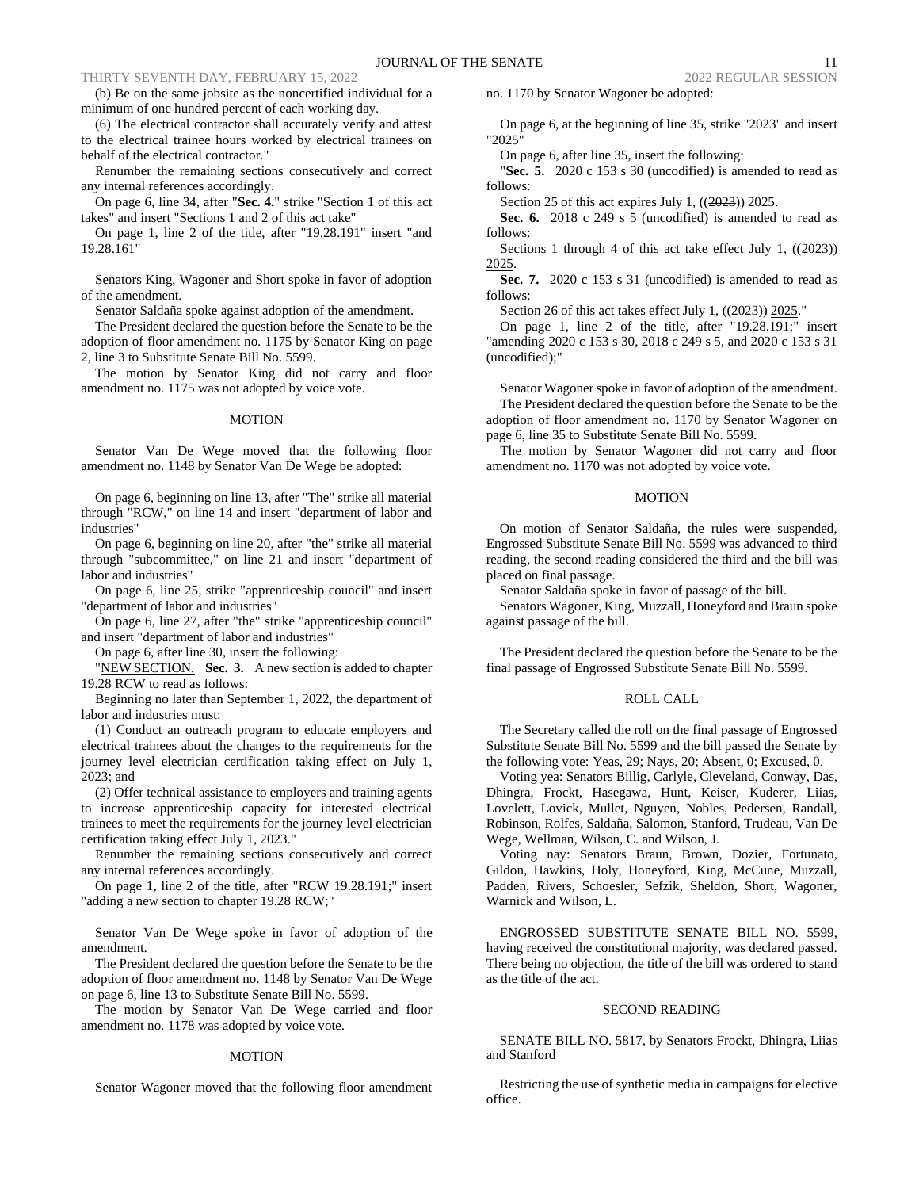(b) Be on the same jobsite as the noncertified individual for a minimum of one hundred percent of each working day.

(6) The electrical contractor shall accurately verify and attest to the electrical trainee hours worked by electrical trainees on behalf of the electrical contractor."

Renumber the remaining sections consecutively and correct any internal references accordingly.

On page 6, line 34, after "**Sec. 4.**" strike "Section 1 of this act takes" and insert "Sections 1 and 2 of this act take"

On page 1, line 2 of the title, after "19.28.191" insert "and 19.28.161"

Senators King, Wagoner and Short spoke in favor of adoption of the amendment.

Senator Saldaña spoke against adoption of the amendment.

The President declared the question before the Senate to be the adoption of floor amendment no. 1175 by Senator King on page 2, line 3 to Substitute Senate Bill No. 5599.

The motion by Senator King did not carry and floor amendment no. 1175 was not adopted by voice vote.

#### MOTION

Senator Van De Wege moved that the following floor amendment no. 1148 by Senator Van De Wege be adopted:

On page 6, beginning on line 13, after "The" strike all material through "RCW," on line 14 and insert "department of labor and industries"

On page 6, beginning on line 20, after "the" strike all material through "subcommittee," on line 21 and insert "department of labor and industries"

On page 6, line 25, strike "apprenticeship council" and insert "department of labor and industries"

On page 6, line 27, after "the" strike "apprenticeship council" and insert "department of labor and industries"

On page 6, after line 30, insert the following:

"NEW SECTION. **Sec. 3.** A new section is added to chapter 19.28 RCW to read as follows:

Beginning no later than September 1, 2022, the department of labor and industries must:

(1) Conduct an outreach program to educate employers and electrical trainees about the changes to the requirements for the journey level electrician certification taking effect on July 1, 2023; and

(2) Offer technical assistance to employers and training agents to increase apprenticeship capacity for interested electrical trainees to meet the requirements for the journey level electrician certification taking effect July 1, 2023."

Renumber the remaining sections consecutively and correct any internal references accordingly.

On page 1, line 2 of the title, after "RCW 19.28.191;" insert "adding a new section to chapter 19.28 RCW;"

Senator Van De Wege spoke in favor of adoption of the amendment.

The President declared the question before the Senate to be the adoption of floor amendment no. 1148 by Senator Van De Wege on page 6, line 13 to Substitute Senate Bill No. 5599.

The motion by Senator Van De Wege carried and floor amendment no. 1178 was adopted by voice vote.

#### MOTION

Senator Wagoner moved that the following floor amendment

no. 1170 by Senator Wagoner be adopted:

On page 6, at the beginning of line 35, strike "2023" and insert "2025"

On page 6, after line 35, insert the following:

"**Sec. 5.** 2020 c 153 s 30 (uncodified) is amended to read as follows:

Section 25 of this act expires July 1,  $((2023))$  2025.

**Sec. 6.** 2018 c 249 s 5 (uncodified) is amended to read as follows:

Sections 1 through 4 of this act take effect July 1,  $((2023))$ 2025.

Sec. 7. 2020 c 153 s 31 (uncodified) is amended to read as follows:

Section 26 of this act takes effect July 1, ((2023)) 2025."

On page 1, line 2 of the title, after "19.28.191;" insert "amending 2020 c 153 s 30, 2018 c 249 s 5, and 2020 c 153 s 31 (uncodified);"

Senator Wagoner spoke in favor of adoption of the amendment.

The President declared the question before the Senate to be the adoption of floor amendment no. 1170 by Senator Wagoner on page 6, line 35 to Substitute Senate Bill No. 5599.

The motion by Senator Wagoner did not carry and floor amendment no. 1170 was not adopted by voice vote.

#### MOTION

On motion of Senator Saldaña, the rules were suspended, Engrossed Substitute Senate Bill No. 5599 was advanced to third reading, the second reading considered the third and the bill was placed on final passage.

Senator Saldaña spoke in favor of passage of the bill.

Senators Wagoner, King, Muzzall, Honeyford and Braun spoke against passage of the bill.

The President declared the question before the Senate to be the final passage of Engrossed Substitute Senate Bill No. 5599.

#### ROLL CALL

The Secretary called the roll on the final passage of Engrossed Substitute Senate Bill No. 5599 and the bill passed the Senate by the following vote: Yeas, 29; Nays, 20; Absent, 0; Excused, 0.

Voting yea: Senators Billig, Carlyle, Cleveland, Conway, Das, Dhingra, Frockt, Hasegawa, Hunt, Keiser, Kuderer, Liias, Lovelett, Lovick, Mullet, Nguyen, Nobles, Pedersen, Randall, Robinson, Rolfes, Saldaña, Salomon, Stanford, Trudeau, Van De Wege, Wellman, Wilson, C. and Wilson, J.

Voting nay: Senators Braun, Brown, Dozier, Fortunato, Gildon, Hawkins, Holy, Honeyford, King, McCune, Muzzall, Padden, Rivers, Schoesler, Sefzik, Sheldon, Short, Wagoner, Warnick and Wilson, L.

ENGROSSED SUBSTITUTE SENATE BILL NO. 5599, having received the constitutional majority, was declared passed. There being no objection, the title of the bill was ordered to stand as the title of the act.

#### SECOND READING

SENATE BILL NO. 5817, by Senators Frockt, Dhingra, Liias and Stanford

Restricting the use of synthetic media in campaigns for elective office.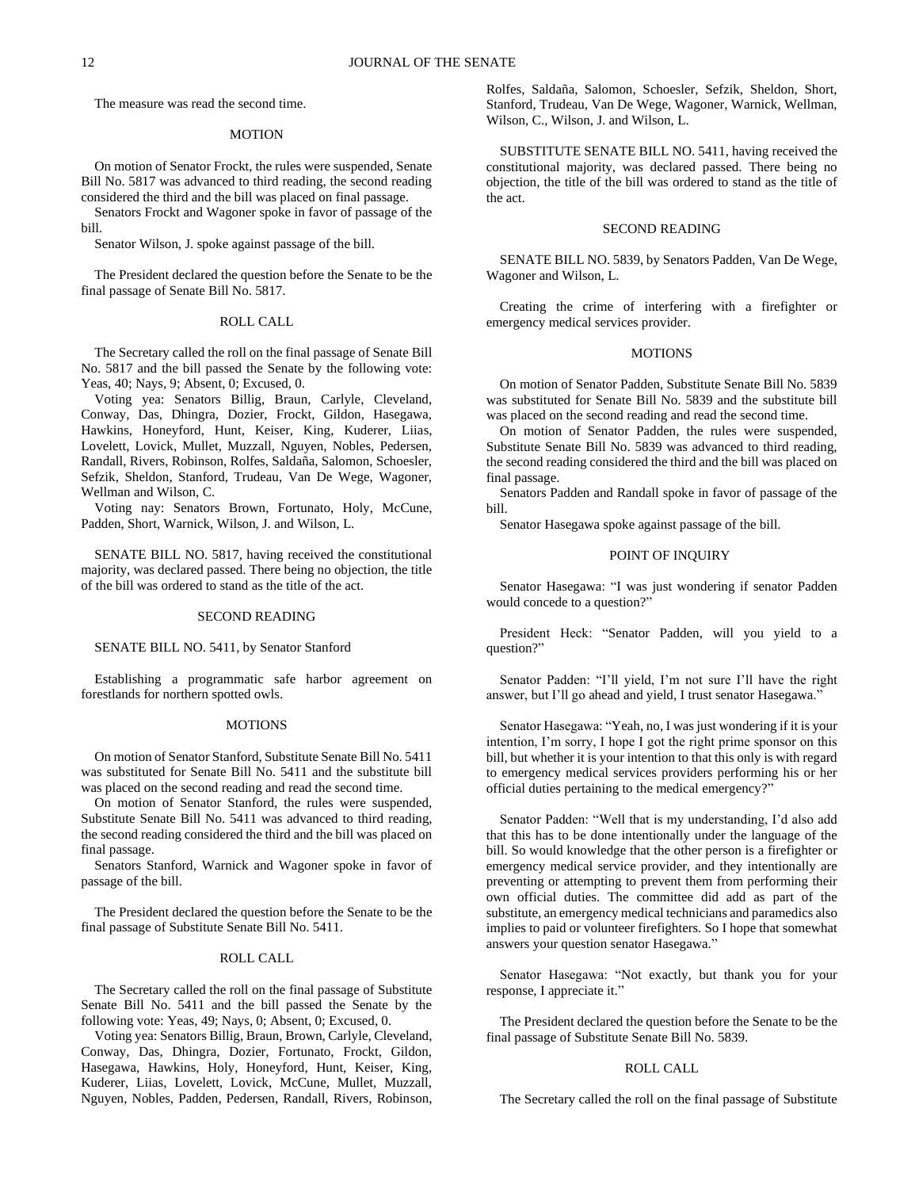The measure was read the second time.

#### **MOTION**

On motion of Senator Frockt, the rules were suspended, Senate Bill No. 5817 was advanced to third reading, the second reading considered the third and the bill was placed on final passage.

Senators Frockt and Wagoner spoke in favor of passage of the bill.

Senator Wilson, J. spoke against passage of the bill.

The President declared the question before the Senate to be the final passage of Senate Bill No. 5817.

### ROLL CALL

The Secretary called the roll on the final passage of Senate Bill No. 5817 and the bill passed the Senate by the following vote: Yeas, 40; Nays, 9; Absent, 0; Excused, 0.

Voting yea: Senators Billig, Braun, Carlyle, Cleveland, Conway, Das, Dhingra, Dozier, Frockt, Gildon, Hasegawa, Hawkins, Honeyford, Hunt, Keiser, King, Kuderer, Liias, Lovelett, Lovick, Mullet, Muzzall, Nguyen, Nobles, Pedersen, Randall, Rivers, Robinson, Rolfes, Saldaña, Salomon, Schoesler, Sefzik, Sheldon, Stanford, Trudeau, Van De Wege, Wagoner, Wellman and Wilson, C.

Voting nay: Senators Brown, Fortunato, Holy, McCune, Padden, Short, Warnick, Wilson, J. and Wilson, L.

SENATE BILL NO. 5817, having received the constitutional majority, was declared passed. There being no objection, the title of the bill was ordered to stand as the title of the act.

#### SECOND READING

# SENATE BILL NO. 5411, by Senator Stanford

Establishing a programmatic safe harbor agreement on forestlands for northern spotted owls.

#### **MOTIONS**

On motion of Senator Stanford, Substitute Senate Bill No. 5411 was substituted for Senate Bill No. 5411 and the substitute bill was placed on the second reading and read the second time.

On motion of Senator Stanford, the rules were suspended, Substitute Senate Bill No. 5411 was advanced to third reading, the second reading considered the third and the bill was placed on final passage.

Senators Stanford, Warnick and Wagoner spoke in favor of passage of the bill.

The President declared the question before the Senate to be the final passage of Substitute Senate Bill No. 5411.

# ROLL CALL

The Secretary called the roll on the final passage of Substitute Senate Bill No. 5411 and the bill passed the Senate by the following vote: Yeas, 49; Nays, 0; Absent, 0; Excused, 0.

Voting yea: Senators Billig, Braun, Brown, Carlyle, Cleveland, Conway, Das, Dhingra, Dozier, Fortunato, Frockt, Gildon, Hasegawa, Hawkins, Holy, Honeyford, Hunt, Keiser, King, Kuderer, Liias, Lovelett, Lovick, McCune, Mullet, Muzzall, Nguyen, Nobles, Padden, Pedersen, Randall, Rivers, Robinson, Rolfes, Saldaña, Salomon, Schoesler, Sefzik, Sheldon, Short, Stanford, Trudeau, Van De Wege, Wagoner, Warnick, Wellman, Wilson, C., Wilson, J. and Wilson, L.

SUBSTITUTE SENATE BILL NO. 5411, having received the constitutional majority, was declared passed. There being no objection, the title of the bill was ordered to stand as the title of the act.

#### SECOND READING

SENATE BILL NO. 5839, by Senators Padden, Van De Wege, Wagoner and Wilson, L.

Creating the crime of interfering with a firefighter or emergency medical services provider.

#### **MOTIONS**

On motion of Senator Padden, Substitute Senate Bill No. 5839 was substituted for Senate Bill No. 5839 and the substitute bill was placed on the second reading and read the second time.

On motion of Senator Padden, the rules were suspended, Substitute Senate Bill No. 5839 was advanced to third reading, the second reading considered the third and the bill was placed on final passage.

Senators Padden and Randall spoke in favor of passage of the bill.

Senator Hasegawa spoke against passage of the bill.

# POINT OF INQUIRY

Senator Hasegawa: "I was just wondering if senator Padden would concede to a question?"

President Heck: "Senator Padden, will you yield to a question?"

Senator Padden: "I'll yield, I'm not sure I'll have the right answer, but I'll go ahead and yield, I trust senator Hasegawa."

Senator Hasegawa: "Yeah, no, I was just wondering if it is your intention, I'm sorry, I hope I got the right prime sponsor on this bill, but whether it is your intention to that this only is with regard to emergency medical services providers performing his or her official duties pertaining to the medical emergency?"

Senator Padden: "Well that is my understanding, I'd also add that this has to be done intentionally under the language of the bill. So would knowledge that the other person is a firefighter or emergency medical service provider, and they intentionally are preventing or attempting to prevent them from performing their own official duties. The committee did add as part of the substitute, an emergency medical technicians and paramedics also implies to paid or volunteer firefighters. So I hope that somewhat answers your question senator Hasegawa."

Senator Hasegawa: "Not exactly, but thank you for your response, I appreciate it."

The President declared the question before the Senate to be the final passage of Substitute Senate Bill No. 5839.

#### ROLL CALL

The Secretary called the roll on the final passage of Substitute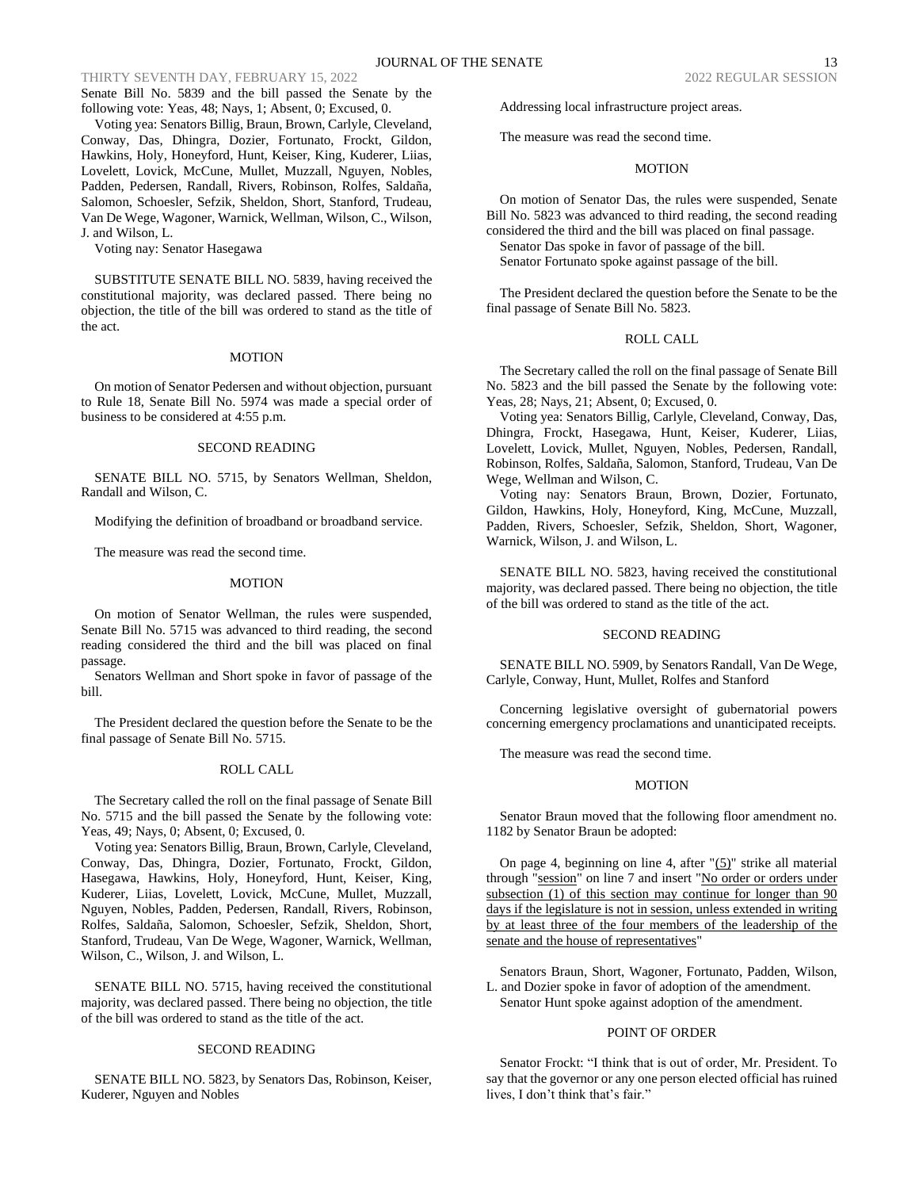Senate Bill No. 5839 and the bill passed the Senate by the following vote: Yeas, 48; Nays, 1; Absent, 0; Excused, 0.

Voting yea: Senators Billig, Braun, Brown, Carlyle, Cleveland, Conway, Das, Dhingra, Dozier, Fortunato, Frockt, Gildon, Hawkins, Holy, Honeyford, Hunt, Keiser, King, Kuderer, Liias, Lovelett, Lovick, McCune, Mullet, Muzzall, Nguyen, Nobles, Padden, Pedersen, Randall, Rivers, Robinson, Rolfes, Saldaña, Salomon, Schoesler, Sefzik, Sheldon, Short, Stanford, Trudeau, Van De Wege, Wagoner, Warnick, Wellman, Wilson, C., Wilson, J. and Wilson, L.

Voting nay: Senator Hasegawa

SUBSTITUTE SENATE BILL NO. 5839, having received the constitutional majority, was declared passed. There being no objection, the title of the bill was ordered to stand as the title of the act.

#### MOTION

On motion of Senator Pedersen and without objection, pursuant to Rule 18, Senate Bill No. 5974 was made a special order of business to be considered at 4:55 p.m.

#### SECOND READING

SENATE BILL NO. 5715, by Senators Wellman, Sheldon, Randall and Wilson, C.

Modifying the definition of broadband or broadband service.

The measure was read the second time.

#### MOTION

On motion of Senator Wellman, the rules were suspended, Senate Bill No. 5715 was advanced to third reading, the second reading considered the third and the bill was placed on final passage.

Senators Wellman and Short spoke in favor of passage of the bill.

The President declared the question before the Senate to be the final passage of Senate Bill No. 5715.

# ROLL CALL

The Secretary called the roll on the final passage of Senate Bill No. 5715 and the bill passed the Senate by the following vote: Yeas, 49; Nays, 0; Absent, 0; Excused, 0.

Voting yea: Senators Billig, Braun, Brown, Carlyle, Cleveland, Conway, Das, Dhingra, Dozier, Fortunato, Frockt, Gildon, Hasegawa, Hawkins, Holy, Honeyford, Hunt, Keiser, King, Kuderer, Liias, Lovelett, Lovick, McCune, Mullet, Muzzall, Nguyen, Nobles, Padden, Pedersen, Randall, Rivers, Robinson, Rolfes, Saldaña, Salomon, Schoesler, Sefzik, Sheldon, Short, Stanford, Trudeau, Van De Wege, Wagoner, Warnick, Wellman, Wilson, C., Wilson, J. and Wilson, L.

SENATE BILL NO. 5715, having received the constitutional majority, was declared passed. There being no objection, the title of the bill was ordered to stand as the title of the act.

#### SECOND READING

SENATE BILL NO. 5823, by Senators Das, Robinson, Keiser, Kuderer, Nguyen and Nobles

Addressing local infrastructure project areas.

The measure was read the second time.

#### MOTION

On motion of Senator Das, the rules were suspended, Senate Bill No. 5823 was advanced to third reading, the second reading considered the third and the bill was placed on final passage. Senator Das spoke in favor of passage of the bill.

Senator Fortunato spoke against passage of the bill.

The President declared the question before the Senate to be the final passage of Senate Bill No. 5823.

# ROLL CALL

The Secretary called the roll on the final passage of Senate Bill No. 5823 and the bill passed the Senate by the following vote: Yeas, 28; Nays, 21; Absent, 0; Excused, 0.

Voting yea: Senators Billig, Carlyle, Cleveland, Conway, Das, Dhingra, Frockt, Hasegawa, Hunt, Keiser, Kuderer, Liias, Lovelett, Lovick, Mullet, Nguyen, Nobles, Pedersen, Randall, Robinson, Rolfes, Saldaña, Salomon, Stanford, Trudeau, Van De Wege, Wellman and Wilson, C.

Voting nay: Senators Braun, Brown, Dozier, Fortunato, Gildon, Hawkins, Holy, Honeyford, King, McCune, Muzzall, Padden, Rivers, Schoesler, Sefzik, Sheldon, Short, Wagoner, Warnick, Wilson, J. and Wilson, L.

SENATE BILL NO. 5823, having received the constitutional majority, was declared passed. There being no objection, the title of the bill was ordered to stand as the title of the act.

# SECOND READING

SENATE BILL NO. 5909, by Senators Randall, Van De Wege, Carlyle, Conway, Hunt, Mullet, Rolfes and Stanford

Concerning legislative oversight of gubernatorial powers concerning emergency proclamations and unanticipated receipts.

The measure was read the second time.

# **MOTION**

Senator Braun moved that the following floor amendment no. 1182 by Senator Braun be adopted:

On page 4, beginning on line 4, after  $\Gamma(5)$ " strike all material through "session" on line 7 and insert "No order or orders under subsection (1) of this section may continue for longer than 90 days if the legislature is not in session, unless extended in writing by at least three of the four members of the leadership of the senate and the house of representatives"

Senators Braun, Short, Wagoner, Fortunato, Padden, Wilson, L. and Dozier spoke in favor of adoption of the amendment. Senator Hunt spoke against adoption of the amendment.

# POINT OF ORDER

Senator Frockt: "I think that is out of order, Mr. President. To say that the governor or any one person elected official has ruined lives, I don't think that's fair."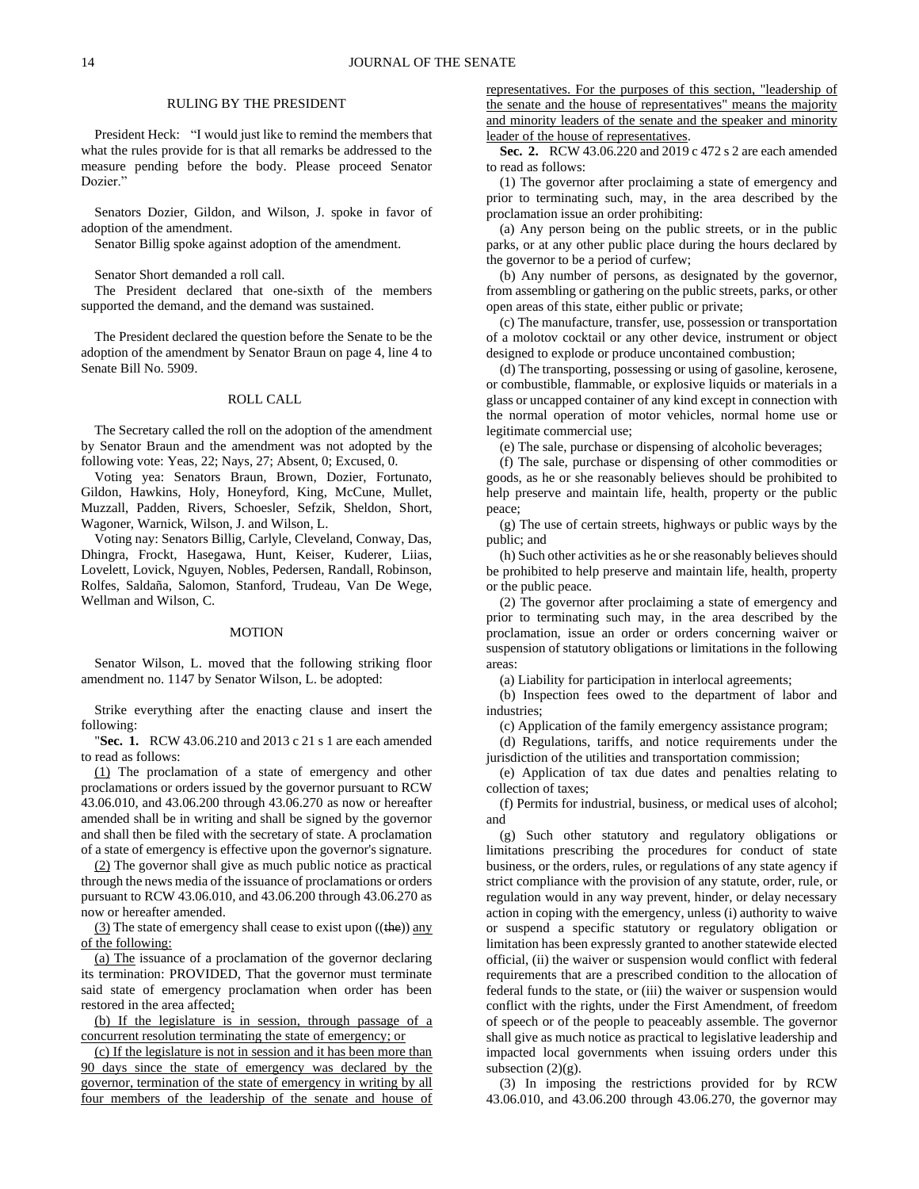#### RULING BY THE PRESIDENT

President Heck: "I would just like to remind the members that what the rules provide for is that all remarks be addressed to the measure pending before the body. Please proceed Senator Dozier.'

Senators Dozier, Gildon, and Wilson, J. spoke in favor of adoption of the amendment.

Senator Billig spoke against adoption of the amendment.

Senator Short demanded a roll call.

The President declared that one-sixth of the members supported the demand, and the demand was sustained.

The President declared the question before the Senate to be the adoption of the amendment by Senator Braun on page 4, line 4 to Senate Bill No. 5909.

#### ROLL CALL

The Secretary called the roll on the adoption of the amendment by Senator Braun and the amendment was not adopted by the following vote: Yeas, 22; Nays, 27; Absent, 0; Excused, 0.

Voting yea: Senators Braun, Brown, Dozier, Fortunato, Gildon, Hawkins, Holy, Honeyford, King, McCune, Mullet, Muzzall, Padden, Rivers, Schoesler, Sefzik, Sheldon, Short, Wagoner, Warnick, Wilson, J. and Wilson, L.

Voting nay: Senators Billig, Carlyle, Cleveland, Conway, Das, Dhingra, Frockt, Hasegawa, Hunt, Keiser, Kuderer, Liias, Lovelett, Lovick, Nguyen, Nobles, Pedersen, Randall, Robinson, Rolfes, Saldaña, Salomon, Stanford, Trudeau, Van De Wege, Wellman and Wilson, C.

#### MOTION

Senator Wilson, L. moved that the following striking floor amendment no. 1147 by Senator Wilson, L. be adopted:

Strike everything after the enacting clause and insert the following:

"**Sec. 1.** RCW 43.06.210 and 2013 c 21 s 1 are each amended to read as follows:

(1) The proclamation of a state of emergency and other proclamations or orders issued by the governor pursuant to RCW 43.06.010, and 43.06.200 through 43.06.270 as now or hereafter amended shall be in writing and shall be signed by the governor and shall then be filed with the secretary of state. A proclamation of a state of emergency is effective upon the governor's signature.

(2) The governor shall give as much public notice as practical through the news media of the issuance of proclamations or orders pursuant to RCW 43.06.010, and 43.06.200 through 43.06.270 as now or hereafter amended.

(3) The state of emergency shall cease to exist upon  $((the))$  any of the following:

(a) The issuance of a proclamation of the governor declaring its termination: PROVIDED, That the governor must terminate said state of emergency proclamation when order has been restored in the area affected;

(b) If the legislature is in session, through passage of a concurrent resolution terminating the state of emergency; or

(c) If the legislature is not in session and it has been more than 90 days since the state of emergency was declared by the governor, termination of the state of emergency in writing by all four members of the leadership of the senate and house of representatives. For the purposes of this section, "leadership of the senate and the house of representatives" means the majority and minority leaders of the senate and the speaker and minority leader of the house of representatives.

**Sec. 2.** RCW 43.06.220 and 2019 c 472 s 2 are each amended to read as follows:

(1) The governor after proclaiming a state of emergency and prior to terminating such, may, in the area described by the proclamation issue an order prohibiting:

(a) Any person being on the public streets, or in the public parks, or at any other public place during the hours declared by the governor to be a period of curfew;

(b) Any number of persons, as designated by the governor, from assembling or gathering on the public streets, parks, or other open areas of this state, either public or private;

(c) The manufacture, transfer, use, possession or transportation of a molotov cocktail or any other device, instrument or object designed to explode or produce uncontained combustion;

(d) The transporting, possessing or using of gasoline, kerosene, or combustible, flammable, or explosive liquids or materials in a glass or uncapped container of any kind except in connection with the normal operation of motor vehicles, normal home use or legitimate commercial use;

(e) The sale, purchase or dispensing of alcoholic beverages;

(f) The sale, purchase or dispensing of other commodities or goods, as he or she reasonably believes should be prohibited to help preserve and maintain life, health, property or the public peace;

(g) The use of certain streets, highways or public ways by the public; and

(h) Such other activities as he or she reasonably believes should be prohibited to help preserve and maintain life, health, property or the public peace.

(2) The governor after proclaiming a state of emergency and prior to terminating such may, in the area described by the proclamation, issue an order or orders concerning waiver or suspension of statutory obligations or limitations in the following areas:

(a) Liability for participation in interlocal agreements;

(b) Inspection fees owed to the department of labor and industries;

(c) Application of the family emergency assistance program;

(d) Regulations, tariffs, and notice requirements under the jurisdiction of the utilities and transportation commission;

(e) Application of tax due dates and penalties relating to collection of taxes;

(f) Permits for industrial, business, or medical uses of alcohol; and

(g) Such other statutory and regulatory obligations or limitations prescribing the procedures for conduct of state business, or the orders, rules, or regulations of any state agency if strict compliance with the provision of any statute, order, rule, or regulation would in any way prevent, hinder, or delay necessary action in coping with the emergency, unless (i) authority to waive or suspend a specific statutory or regulatory obligation or limitation has been expressly granted to another statewide elected official, (ii) the waiver or suspension would conflict with federal requirements that are a prescribed condition to the allocation of federal funds to the state, or (iii) the waiver or suspension would conflict with the rights, under the First Amendment, of freedom of speech or of the people to peaceably assemble. The governor shall give as much notice as practical to legislative leadership and impacted local governments when issuing orders under this subsection  $(2)(g)$ .

(3) In imposing the restrictions provided for by RCW 43.06.010, and 43.06.200 through 43.06.270, the governor may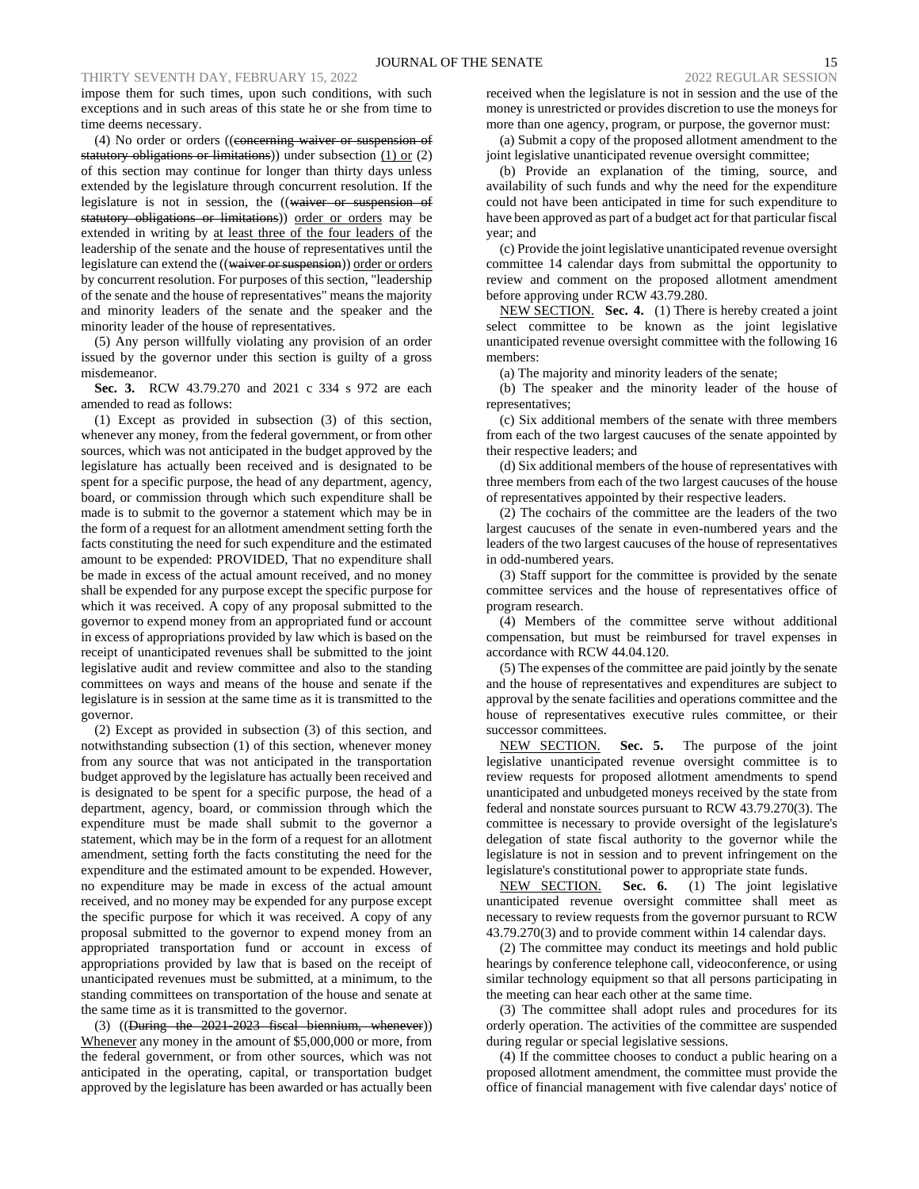impose them for such times, upon such conditions, with such exceptions and in such areas of this state he or she from time to time deems necessary.

(4) No order or orders ((concerning waiver or suspension of statutory obligations or limitations)) under subsection (1) or (2) of this section may continue for longer than thirty days unless extended by the legislature through concurrent resolution. If the legislature is not in session, the ((waiver or suspension of statutory obligations or limitations)) order or orders may be extended in writing by at least three of the four leaders of the leadership of the senate and the house of representatives until the legislature can extend the ((waiver or suspension)) order or orders by concurrent resolution. For purposes of this section, "leadership of the senate and the house of representatives" means the majority and minority leaders of the senate and the speaker and the minority leader of the house of representatives.

(5) Any person willfully violating any provision of an order issued by the governor under this section is guilty of a gross misdemeanor.

**Sec. 3.** RCW 43.79.270 and 2021 c 334 s 972 are each amended to read as follows:

(1) Except as provided in subsection (3) of this section, whenever any money, from the federal government, or from other sources, which was not anticipated in the budget approved by the legislature has actually been received and is designated to be spent for a specific purpose, the head of any department, agency, board, or commission through which such expenditure shall be made is to submit to the governor a statement which may be in the form of a request for an allotment amendment setting forth the facts constituting the need for such expenditure and the estimated amount to be expended: PROVIDED, That no expenditure shall be made in excess of the actual amount received, and no money shall be expended for any purpose except the specific purpose for which it was received. A copy of any proposal submitted to the governor to expend money from an appropriated fund or account in excess of appropriations provided by law which is based on the receipt of unanticipated revenues shall be submitted to the joint legislative audit and review committee and also to the standing committees on ways and means of the house and senate if the legislature is in session at the same time as it is transmitted to the governor.

(2) Except as provided in subsection (3) of this section, and notwithstanding subsection (1) of this section, whenever money from any source that was not anticipated in the transportation budget approved by the legislature has actually been received and is designated to be spent for a specific purpose, the head of a department, agency, board, or commission through which the expenditure must be made shall submit to the governor a statement, which may be in the form of a request for an allotment amendment, setting forth the facts constituting the need for the expenditure and the estimated amount to be expended. However, no expenditure may be made in excess of the actual amount received, and no money may be expended for any purpose except the specific purpose for which it was received. A copy of any proposal submitted to the governor to expend money from an appropriated transportation fund or account in excess of appropriations provided by law that is based on the receipt of unanticipated revenues must be submitted, at a minimum, to the standing committees on transportation of the house and senate at the same time as it is transmitted to the governor.

(3) ((During the 2021-2023 fiscal biennium, whenever)) Whenever any money in the amount of \$5,000,000 or more, from the federal government, or from other sources, which was not anticipated in the operating, capital, or transportation budget approved by the legislature has been awarded or has actually been received when the legislature is not in session and the use of the money is unrestricted or provides discretion to use the moneys for more than one agency, program, or purpose, the governor must:

(a) Submit a copy of the proposed allotment amendment to the joint legislative unanticipated revenue oversight committee;

(b) Provide an explanation of the timing, source, and availability of such funds and why the need for the expenditure could not have been anticipated in time for such expenditure to have been approved as part of a budget act for that particular fiscal year; and

(c) Provide the joint legislative unanticipated revenue oversight committee 14 calendar days from submittal the opportunity to review and comment on the proposed allotment amendment before approving under RCW 43.79.280.

NEW SECTION. **Sec. 4.** (1) There is hereby created a joint select committee to be known as the joint legislative unanticipated revenue oversight committee with the following 16 members:

(a) The majority and minority leaders of the senate;

(b) The speaker and the minority leader of the house of representatives;

(c) Six additional members of the senate with three members from each of the two largest caucuses of the senate appointed by their respective leaders; and

(d) Six additional members of the house of representatives with three members from each of the two largest caucuses of the house of representatives appointed by their respective leaders.

(2) The cochairs of the committee are the leaders of the two largest caucuses of the senate in even-numbered years and the leaders of the two largest caucuses of the house of representatives in odd-numbered years.

(3) Staff support for the committee is provided by the senate committee services and the house of representatives office of program research.

(4) Members of the committee serve without additional compensation, but must be reimbursed for travel expenses in accordance with RCW 44.04.120.

(5) The expenses of the committee are paid jointly by the senate and the house of representatives and expenditures are subject to approval by the senate facilities and operations committee and the house of representatives executive rules committee, or their successor committees.

NEW SECTION. **Sec. 5.** The purpose of the joint legislative unanticipated revenue oversight committee is to review requests for proposed allotment amendments to spend unanticipated and unbudgeted moneys received by the state from federal and nonstate sources pursuant to RCW 43.79.270(3). The committee is necessary to provide oversight of the legislature's delegation of state fiscal authority to the governor while the legislature is not in session and to prevent infringement on the legislature's constitutional power to appropriate state funds.

NEW SECTION. **Sec. 6.** (1) The joint legislative unanticipated revenue oversight committee shall meet as necessary to review requests from the governor pursuant to RCW 43.79.270(3) and to provide comment within 14 calendar days.

(2) The committee may conduct its meetings and hold public hearings by conference telephone call, videoconference, or using similar technology equipment so that all persons participating in the meeting can hear each other at the same time.

(3) The committee shall adopt rules and procedures for its orderly operation. The activities of the committee are suspended during regular or special legislative sessions.

(4) If the committee chooses to conduct a public hearing on a proposed allotment amendment, the committee must provide the office of financial management with five calendar days' notice of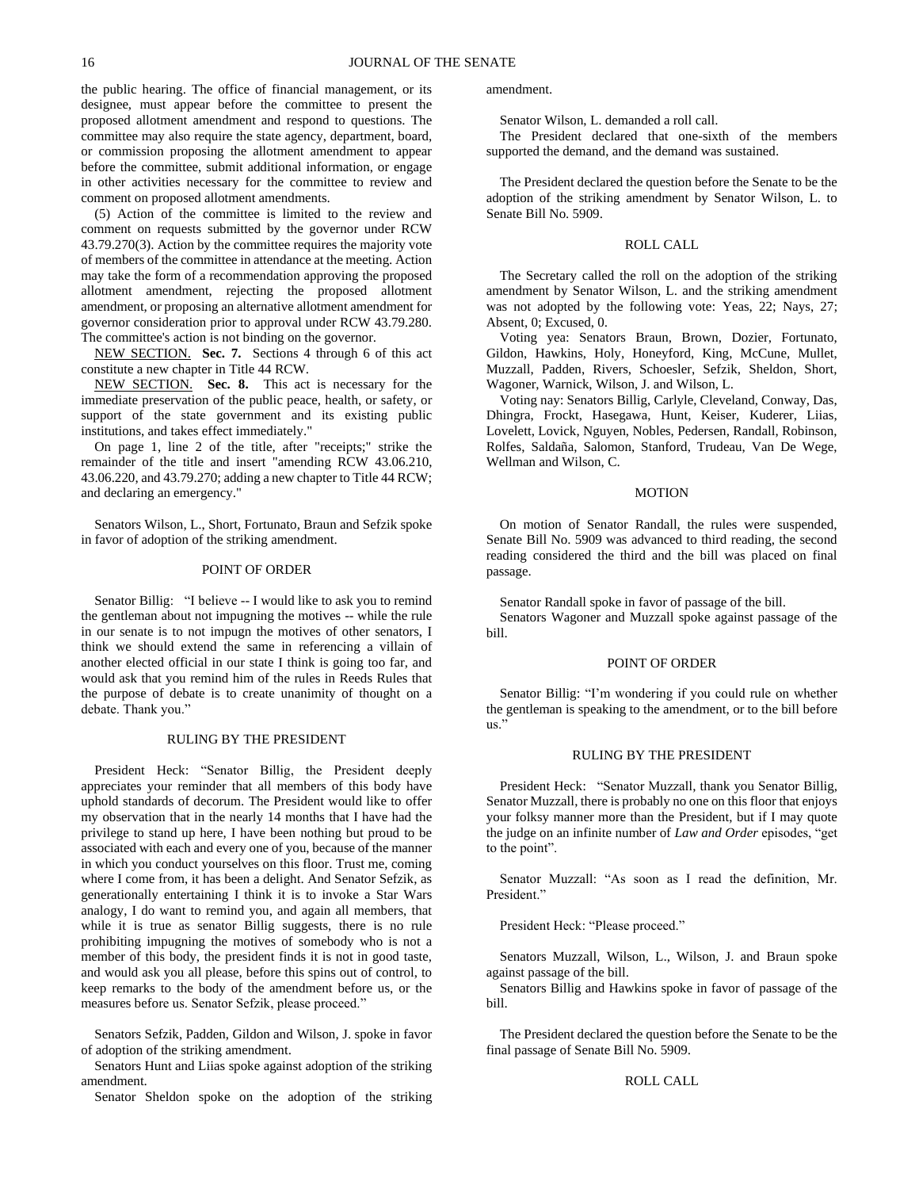the public hearing. The office of financial management, or its designee, must appear before the committee to present the proposed allotment amendment and respond to questions. The committee may also require the state agency, department, board, or commission proposing the allotment amendment to appear before the committee, submit additional information, or engage in other activities necessary for the committee to review and comment on proposed allotment amendments.

(5) Action of the committee is limited to the review and comment on requests submitted by the governor under RCW 43.79.270(3). Action by the committee requires the majority vote of members of the committee in attendance at the meeting. Action may take the form of a recommendation approving the proposed allotment amendment, rejecting the proposed allotment amendment, or proposing an alternative allotment amendment for governor consideration prior to approval under RCW 43.79.280. The committee's action is not binding on the governor.

NEW SECTION. **Sec. 7.** Sections 4 through 6 of this act constitute a new chapter in Title 44 RCW.

NEW SECTION. **Sec. 8.** This act is necessary for the immediate preservation of the public peace, health, or safety, or support of the state government and its existing public institutions, and takes effect immediately."

On page 1, line 2 of the title, after "receipts;" strike the remainder of the title and insert "amending RCW 43.06.210, 43.06.220, and 43.79.270; adding a new chapter to Title 44 RCW; and declaring an emergency."

Senators Wilson, L., Short, Fortunato, Braun and Sefzik spoke in favor of adoption of the striking amendment.

# POINT OF ORDER

Senator Billig: "I believe -- I would like to ask you to remind the gentleman about not impugning the motives -- while the rule in our senate is to not impugn the motives of other senators, I think we should extend the same in referencing a villain of another elected official in our state I think is going too far, and would ask that you remind him of the rules in Reeds Rules that the purpose of debate is to create unanimity of thought on a debate. Thank you."

#### RULING BY THE PRESIDENT

President Heck: "Senator Billig, the President deeply appreciates your reminder that all members of this body have uphold standards of decorum. The President would like to offer my observation that in the nearly 14 months that I have had the privilege to stand up here, I have been nothing but proud to be associated with each and every one of you, because of the manner in which you conduct yourselves on this floor. Trust me, coming where I come from, it has been a delight. And Senator Sefzik, as generationally entertaining I think it is to invoke a Star Wars analogy, I do want to remind you, and again all members, that while it is true as senator Billig suggests, there is no rule prohibiting impugning the motives of somebody who is not a member of this body, the president finds it is not in good taste, and would ask you all please, before this spins out of control, to keep remarks to the body of the amendment before us, or the measures before us. Senator Sefzik, please proceed."

Senators Sefzik, Padden, Gildon and Wilson, J. spoke in favor of adoption of the striking amendment.

Senators Hunt and Liias spoke against adoption of the striking amendment.

Senator Sheldon spoke on the adoption of the striking

amendment.

Senator Wilson, L. demanded a roll call.

The President declared that one-sixth of the members supported the demand, and the demand was sustained.

The President declared the question before the Senate to be the adoption of the striking amendment by Senator Wilson, L. to Senate Bill No. 5909.

#### ROLL CALL

The Secretary called the roll on the adoption of the striking amendment by Senator Wilson, L. and the striking amendment was not adopted by the following vote: Yeas, 22; Nays, 27; Absent, 0; Excused, 0.

Voting yea: Senators Braun, Brown, Dozier, Fortunato, Gildon, Hawkins, Holy, Honeyford, King, McCune, Mullet, Muzzall, Padden, Rivers, Schoesler, Sefzik, Sheldon, Short, Wagoner, Warnick, Wilson, J. and Wilson, L.

Voting nay: Senators Billig, Carlyle, Cleveland, Conway, Das, Dhingra, Frockt, Hasegawa, Hunt, Keiser, Kuderer, Liias, Lovelett, Lovick, Nguyen, Nobles, Pedersen, Randall, Robinson, Rolfes, Saldaña, Salomon, Stanford, Trudeau, Van De Wege, Wellman and Wilson, C.

# MOTION

On motion of Senator Randall, the rules were suspended, Senate Bill No. 5909 was advanced to third reading, the second reading considered the third and the bill was placed on final passage.

Senator Randall spoke in favor of passage of the bill.

Senators Wagoner and Muzzall spoke against passage of the bill.

#### POINT OF ORDER

Senator Billig: "I'm wondering if you could rule on whether the gentleman is speaking to the amendment, or to the bill before us."

#### RULING BY THE PRESIDENT

President Heck: "Senator Muzzall, thank you Senator Billig, Senator Muzzall, there is probably no one on this floor that enjoys your folksy manner more than the President, but if I may quote the judge on an infinite number of *Law and Order* episodes, "get to the point".

Senator Muzzall: "As soon as I read the definition, Mr. President."

President Heck: "Please proceed."

Senators Muzzall, Wilson, L., Wilson, J. and Braun spoke against passage of the bill.

Senators Billig and Hawkins spoke in favor of passage of the bill.

The President declared the question before the Senate to be the final passage of Senate Bill No. 5909.

# ROLL CALL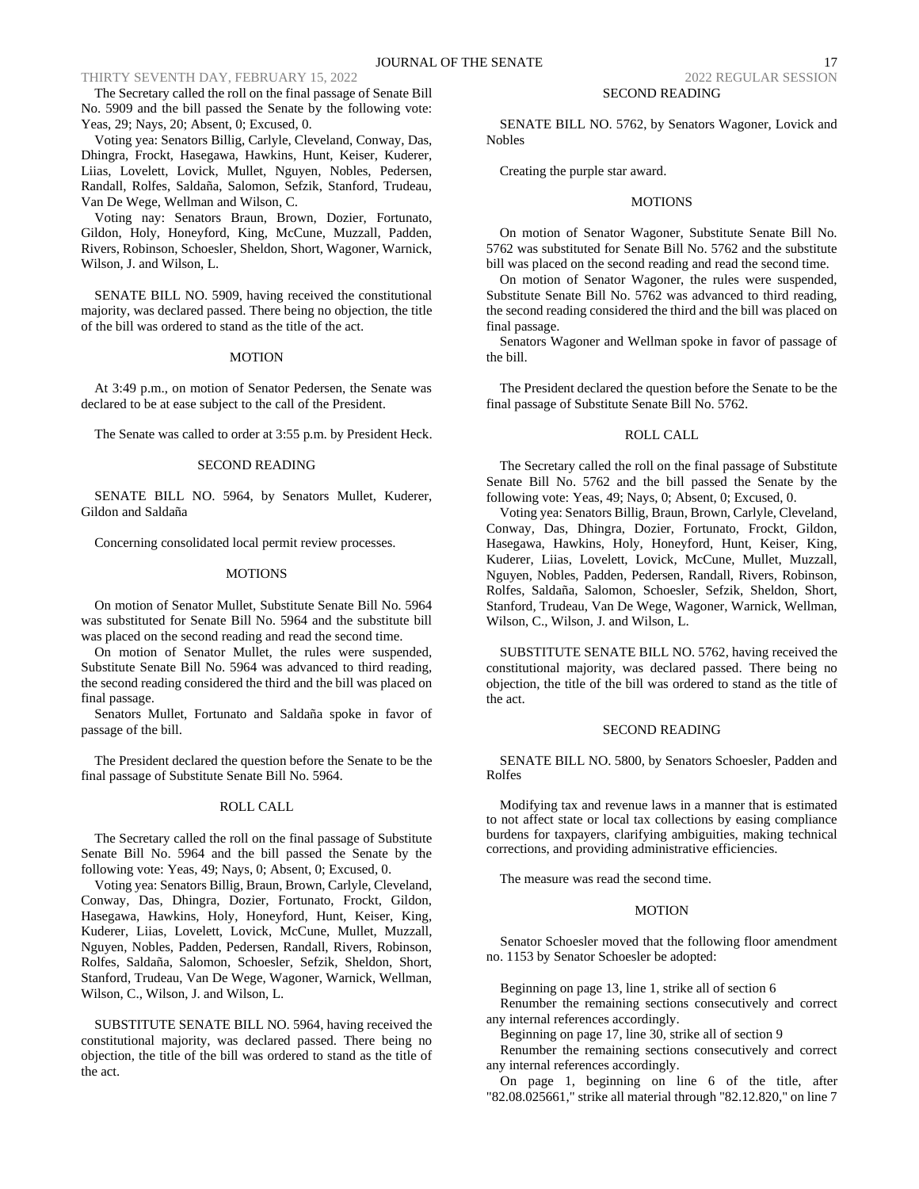The Secretary called the roll on the final passage of Senate Bill No. 5909 and the bill passed the Senate by the following vote: Yeas, 29; Nays, 20; Absent, 0; Excused, 0.

Voting yea: Senators Billig, Carlyle, Cleveland, Conway, Das, Dhingra, Frockt, Hasegawa, Hawkins, Hunt, Keiser, Kuderer, Liias, Lovelett, Lovick, Mullet, Nguyen, Nobles, Pedersen, Randall, Rolfes, Saldaña, Salomon, Sefzik, Stanford, Trudeau, Van De Wege, Wellman and Wilson, C.

Voting nay: Senators Braun, Brown, Dozier, Fortunato, Gildon, Holy, Honeyford, King, McCune, Muzzall, Padden, Rivers, Robinson, Schoesler, Sheldon, Short, Wagoner, Warnick, Wilson, J. and Wilson, L.

SENATE BILL NO. 5909, having received the constitutional majority, was declared passed. There being no objection, the title of the bill was ordered to stand as the title of the act.

### MOTION

At 3:49 p.m., on motion of Senator Pedersen, the Senate was declared to be at ease subject to the call of the President.

The Senate was called to order at 3:55 p.m. by President Heck.

#### SECOND READING

SENATE BILL NO. 5964, by Senators Mullet, Kuderer, Gildon and Saldaña

Concerning consolidated local permit review processes.

#### MOTIONS

On motion of Senator Mullet, Substitute Senate Bill No. 5964 was substituted for Senate Bill No. 5964 and the substitute bill was placed on the second reading and read the second time.

On motion of Senator Mullet, the rules were suspended, Substitute Senate Bill No. 5964 was advanced to third reading, the second reading considered the third and the bill was placed on final passage.

Senators Mullet, Fortunato and Saldaña spoke in favor of passage of the bill.

The President declared the question before the Senate to be the final passage of Substitute Senate Bill No. 5964.

# ROLL CALL

The Secretary called the roll on the final passage of Substitute Senate Bill No. 5964 and the bill passed the Senate by the following vote: Yeas, 49; Nays, 0; Absent, 0; Excused, 0.

Voting yea: Senators Billig, Braun, Brown, Carlyle, Cleveland, Conway, Das, Dhingra, Dozier, Fortunato, Frockt, Gildon, Hasegawa, Hawkins, Holy, Honeyford, Hunt, Keiser, King, Kuderer, Liias, Lovelett, Lovick, McCune, Mullet, Muzzall, Nguyen, Nobles, Padden, Pedersen, Randall, Rivers, Robinson, Rolfes, Saldaña, Salomon, Schoesler, Sefzik, Sheldon, Short, Stanford, Trudeau, Van De Wege, Wagoner, Warnick, Wellman, Wilson, C., Wilson, J. and Wilson, L.

SUBSTITUTE SENATE BILL NO. 5964, having received the constitutional majority, was declared passed. There being no objection, the title of the bill was ordered to stand as the title of the act.

SENATE BILL NO. 5762, by Senators Wagoner, Lovick and Nobles

Creating the purple star award.

#### MOTIONS

On motion of Senator Wagoner, Substitute Senate Bill No. 5762 was substituted for Senate Bill No. 5762 and the substitute bill was placed on the second reading and read the second time.

On motion of Senator Wagoner, the rules were suspended, Substitute Senate Bill No. 5762 was advanced to third reading, the second reading considered the third and the bill was placed on final passage.

Senators Wagoner and Wellman spoke in favor of passage of the bill.

The President declared the question before the Senate to be the final passage of Substitute Senate Bill No. 5762.

# ROLL CALL

The Secretary called the roll on the final passage of Substitute Senate Bill No. 5762 and the bill passed the Senate by the following vote: Yeas, 49; Nays, 0; Absent, 0; Excused, 0.

Voting yea: Senators Billig, Braun, Brown, Carlyle, Cleveland, Conway, Das, Dhingra, Dozier, Fortunato, Frockt, Gildon, Hasegawa, Hawkins, Holy, Honeyford, Hunt, Keiser, King, Kuderer, Liias, Lovelett, Lovick, McCune, Mullet, Muzzall, Nguyen, Nobles, Padden, Pedersen, Randall, Rivers, Robinson, Rolfes, Saldaña, Salomon, Schoesler, Sefzik, Sheldon, Short, Stanford, Trudeau, Van De Wege, Wagoner, Warnick, Wellman, Wilson, C., Wilson, J. and Wilson, L.

SUBSTITUTE SENATE BILL NO. 5762, having received the constitutional majority, was declared passed. There being no objection, the title of the bill was ordered to stand as the title of the act.

#### SECOND READING

SENATE BILL NO. 5800, by Senators Schoesler, Padden and Rolfes

Modifying tax and revenue laws in a manner that is estimated to not affect state or local tax collections by easing compliance burdens for taxpayers, clarifying ambiguities, making technical corrections, and providing administrative efficiencies.

The measure was read the second time.

# MOTION

Senator Schoesler moved that the following floor amendment no. 1153 by Senator Schoesler be adopted:

Beginning on page 13, line 1, strike all of section 6

Renumber the remaining sections consecutively and correct any internal references accordingly.

Beginning on page 17, line 30, strike all of section 9

Renumber the remaining sections consecutively and correct any internal references accordingly.

On page 1, beginning on line 6 of the title, after "82.08.025661," strike all material through "82.12.820," on line 7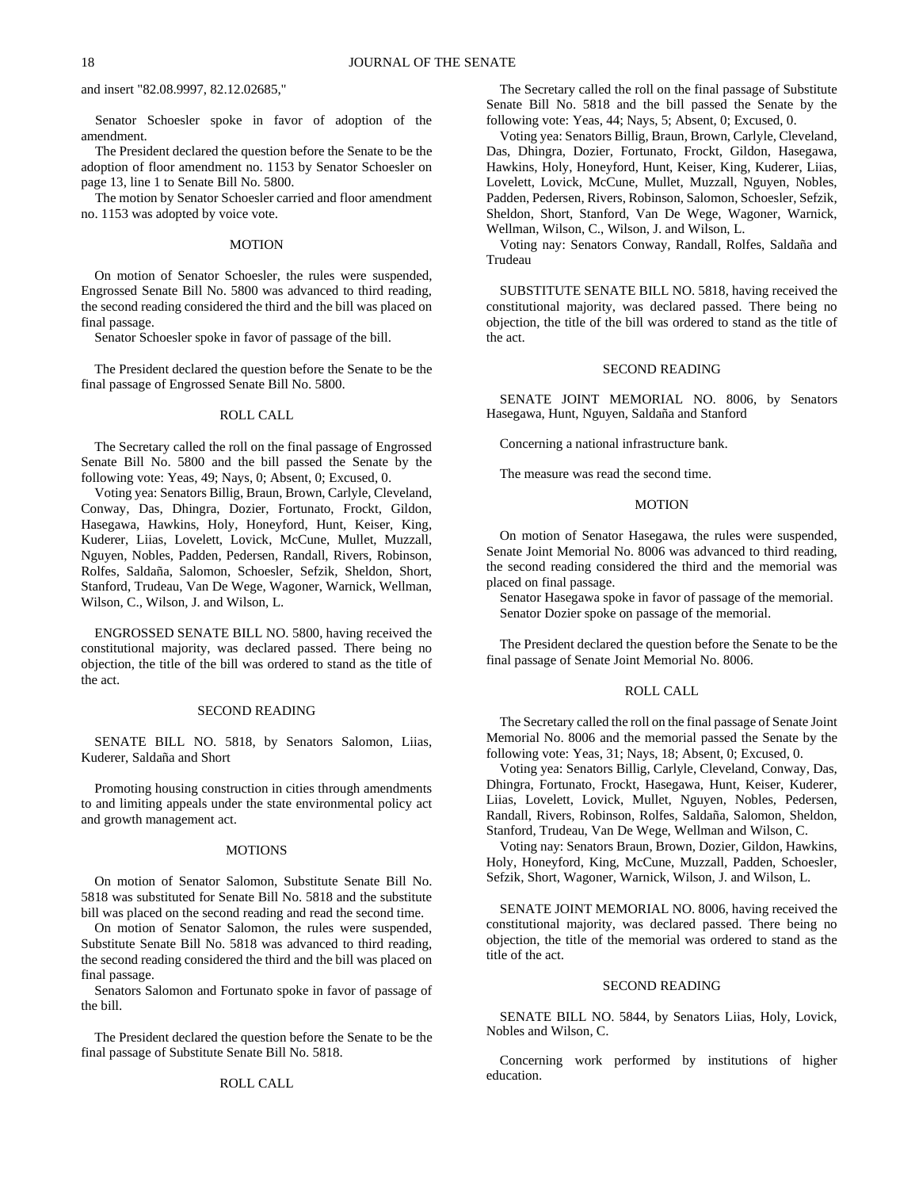and insert "82.08.9997, 82.12.02685,"

Senator Schoesler spoke in favor of adoption of the amendment.

The President declared the question before the Senate to be the adoption of floor amendment no. 1153 by Senator Schoesler on page 13, line 1 to Senate Bill No. 5800.

The motion by Senator Schoesler carried and floor amendment no. 1153 was adopted by voice vote.

#### **MOTION**

On motion of Senator Schoesler, the rules were suspended, Engrossed Senate Bill No. 5800 was advanced to third reading, the second reading considered the third and the bill was placed on final passage.

Senator Schoesler spoke in favor of passage of the bill.

The President declared the question before the Senate to be the final passage of Engrossed Senate Bill No. 5800.

#### ROLL CALL

The Secretary called the roll on the final passage of Engrossed Senate Bill No. 5800 and the bill passed the Senate by the following vote: Yeas, 49; Nays, 0; Absent, 0; Excused, 0.

Voting yea: Senators Billig, Braun, Brown, Carlyle, Cleveland, Conway, Das, Dhingra, Dozier, Fortunato, Frockt, Gildon, Hasegawa, Hawkins, Holy, Honeyford, Hunt, Keiser, King, Kuderer, Liias, Lovelett, Lovick, McCune, Mullet, Muzzall, Nguyen, Nobles, Padden, Pedersen, Randall, Rivers, Robinson, Rolfes, Saldaña, Salomon, Schoesler, Sefzik, Sheldon, Short, Stanford, Trudeau, Van De Wege, Wagoner, Warnick, Wellman, Wilson, C., Wilson, J. and Wilson, L.

ENGROSSED SENATE BILL NO. 5800, having received the constitutional majority, was declared passed. There being no objection, the title of the bill was ordered to stand as the title of the act.

# SECOND READING

SENATE BILL NO. 5818, by Senators Salomon, Liias, Kuderer, Saldaña and Short

Promoting housing construction in cities through amendments to and limiting appeals under the state environmental policy act and growth management act.

# **MOTIONS**

On motion of Senator Salomon, Substitute Senate Bill No. 5818 was substituted for Senate Bill No. 5818 and the substitute bill was placed on the second reading and read the second time.

On motion of Senator Salomon, the rules were suspended, Substitute Senate Bill No. 5818 was advanced to third reading, the second reading considered the third and the bill was placed on final passage.

Senators Salomon and Fortunato spoke in favor of passage of the bill.

The President declared the question before the Senate to be the final passage of Substitute Senate Bill No. 5818.

#### ROLL CALL

The Secretary called the roll on the final passage of Substitute Senate Bill No. 5818 and the bill passed the Senate by the following vote: Yeas, 44; Nays, 5; Absent, 0; Excused, 0.

Voting yea: Senators Billig, Braun, Brown, Carlyle, Cleveland, Das, Dhingra, Dozier, Fortunato, Frockt, Gildon, Hasegawa, Hawkins, Holy, Honeyford, Hunt, Keiser, King, Kuderer, Liias, Lovelett, Lovick, McCune, Mullet, Muzzall, Nguyen, Nobles, Padden, Pedersen, Rivers, Robinson, Salomon, Schoesler, Sefzik, Sheldon, Short, Stanford, Van De Wege, Wagoner, Warnick, Wellman, Wilson, C., Wilson, J. and Wilson, L.

Voting nay: Senators Conway, Randall, Rolfes, Saldaña and Trudeau

SUBSTITUTE SENATE BILL NO. 5818, having received the constitutional majority, was declared passed. There being no objection, the title of the bill was ordered to stand as the title of the act.

# SECOND READING

SENATE JOINT MEMORIAL NO. 8006, by Senators Hasegawa, Hunt, Nguyen, Saldaña and Stanford

Concerning a national infrastructure bank.

The measure was read the second time.

# **MOTION**

On motion of Senator Hasegawa, the rules were suspended, Senate Joint Memorial No. 8006 was advanced to third reading, the second reading considered the third and the memorial was placed on final passage.

Senator Hasegawa spoke in favor of passage of the memorial. Senator Dozier spoke on passage of the memorial.

The President declared the question before the Senate to be the final passage of Senate Joint Memorial No. 8006.

# ROLL CALL

The Secretary called the roll on the final passage of Senate Joint Memorial No. 8006 and the memorial passed the Senate by the following vote: Yeas, 31; Nays, 18; Absent, 0; Excused, 0.

Voting yea: Senators Billig, Carlyle, Cleveland, Conway, Das, Dhingra, Fortunato, Frockt, Hasegawa, Hunt, Keiser, Kuderer, Liias, Lovelett, Lovick, Mullet, Nguyen, Nobles, Pedersen, Randall, Rivers, Robinson, Rolfes, Saldaña, Salomon, Sheldon, Stanford, Trudeau, Van De Wege, Wellman and Wilson, C.

Voting nay: Senators Braun, Brown, Dozier, Gildon, Hawkins, Holy, Honeyford, King, McCune, Muzzall, Padden, Schoesler, Sefzik, Short, Wagoner, Warnick, Wilson, J. and Wilson, L.

SENATE JOINT MEMORIAL NO. 8006, having received the constitutional majority, was declared passed. There being no objection, the title of the memorial was ordered to stand as the title of the act.

#### SECOND READING

SENATE BILL NO. 5844, by Senators Liias, Holy, Lovick, Nobles and Wilson, C.

Concerning work performed by institutions of higher education.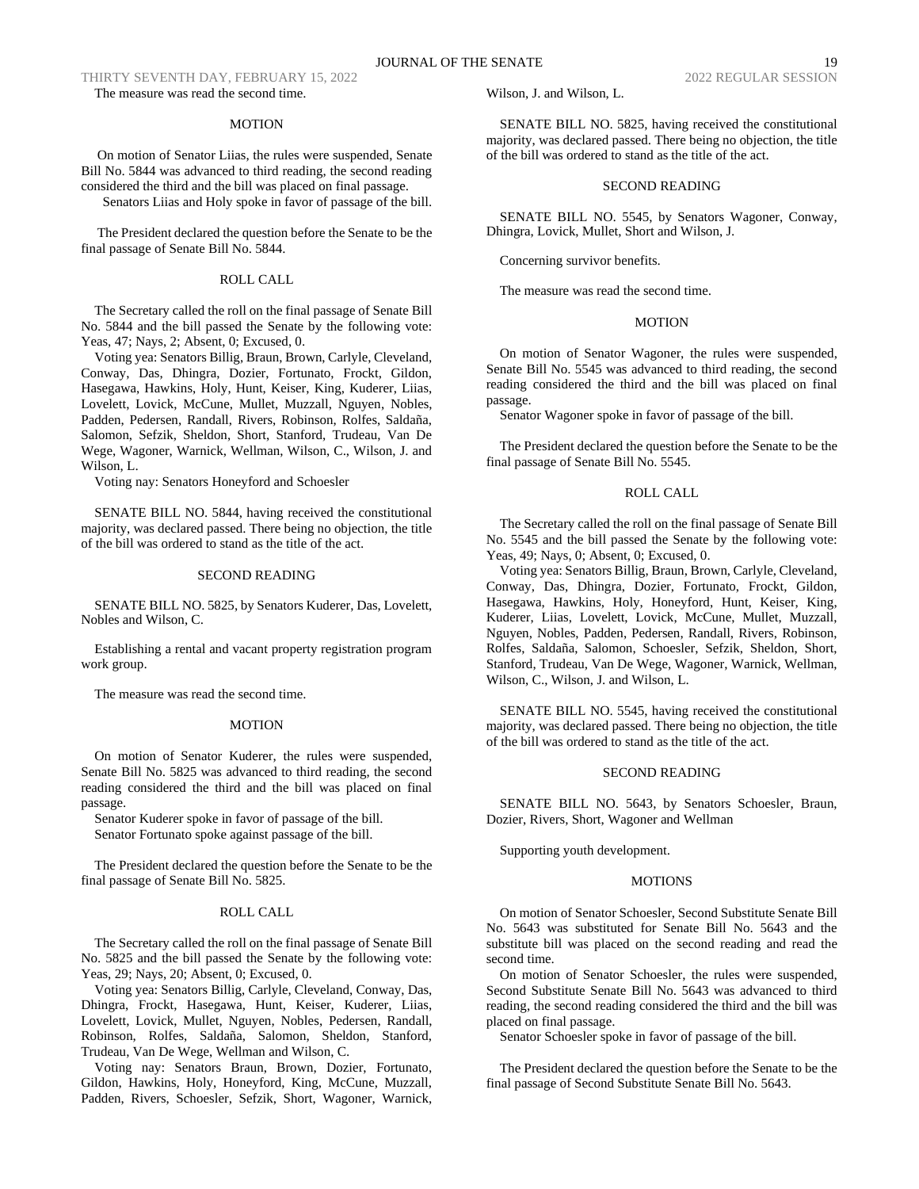THIRTY SEVENTH DAY, FEBRUARY 15, 2022 2022 2022 2022 REGULAR SESSION The measure was read the second time.

# MOTION

On motion of Senator Liias, the rules were suspended, Senate Bill No. 5844 was advanced to third reading, the second reading considered the third and the bill was placed on final passage. Senators Liias and Holy spoke in favor of passage of the bill.

The President declared the question before the Senate to be the final passage of Senate Bill No. 5844.

# ROLL CALL

The Secretary called the roll on the final passage of Senate Bill No. 5844 and the bill passed the Senate by the following vote: Yeas, 47; Nays, 2; Absent, 0; Excused, 0.

Voting yea: Senators Billig, Braun, Brown, Carlyle, Cleveland, Conway, Das, Dhingra, Dozier, Fortunato, Frockt, Gildon, Hasegawa, Hawkins, Holy, Hunt, Keiser, King, Kuderer, Liias, Lovelett, Lovick, McCune, Mullet, Muzzall, Nguyen, Nobles, Padden, Pedersen, Randall, Rivers, Robinson, Rolfes, Saldaña, Salomon, Sefzik, Sheldon, Short, Stanford, Trudeau, Van De Wege, Wagoner, Warnick, Wellman, Wilson, C., Wilson, J. and Wilson, L.

Voting nay: Senators Honeyford and Schoesler

SENATE BILL NO. 5844, having received the constitutional majority, was declared passed. There being no objection, the title of the bill was ordered to stand as the title of the act.

#### SECOND READING

SENATE BILL NO. 5825, by Senators Kuderer, Das, Lovelett, Nobles and Wilson, C.

Establishing a rental and vacant property registration program work group.

The measure was read the second time.

#### MOTION

On motion of Senator Kuderer, the rules were suspended, Senate Bill No. 5825 was advanced to third reading, the second reading considered the third and the bill was placed on final passage.

Senator Kuderer spoke in favor of passage of the bill. Senator Fortunato spoke against passage of the bill.

The President declared the question before the Senate to be the final passage of Senate Bill No. 5825.

#### ROLL CALL

The Secretary called the roll on the final passage of Senate Bill No. 5825 and the bill passed the Senate by the following vote: Yeas, 29; Nays, 20; Absent, 0; Excused, 0.

Voting yea: Senators Billig, Carlyle, Cleveland, Conway, Das, Dhingra, Frockt, Hasegawa, Hunt, Keiser, Kuderer, Liias, Lovelett, Lovick, Mullet, Nguyen, Nobles, Pedersen, Randall, Robinson, Rolfes, Saldaña, Salomon, Sheldon, Stanford, Trudeau, Van De Wege, Wellman and Wilson, C.

Voting nay: Senators Braun, Brown, Dozier, Fortunato, Gildon, Hawkins, Holy, Honeyford, King, McCune, Muzzall, Padden, Rivers, Schoesler, Sefzik, Short, Wagoner, Warnick, Wilson, J. and Wilson, L.

SENATE BILL NO. 5825, having received the constitutional majority, was declared passed. There being no objection, the title of the bill was ordered to stand as the title of the act.

# SECOND READING

SENATE BILL NO. 5545, by Senators Wagoner, Conway, Dhingra, Lovick, Mullet, Short and Wilson, J.

Concerning survivor benefits.

The measure was read the second time.

# **MOTION**

On motion of Senator Wagoner, the rules were suspended, Senate Bill No. 5545 was advanced to third reading, the second reading considered the third and the bill was placed on final passage.

Senator Wagoner spoke in favor of passage of the bill.

The President declared the question before the Senate to be the final passage of Senate Bill No. 5545.

# ROLL CALL

The Secretary called the roll on the final passage of Senate Bill No. 5545 and the bill passed the Senate by the following vote: Yeas, 49; Nays, 0; Absent, 0; Excused, 0.

Voting yea: Senators Billig, Braun, Brown, Carlyle, Cleveland, Conway, Das, Dhingra, Dozier, Fortunato, Frockt, Gildon, Hasegawa, Hawkins, Holy, Honeyford, Hunt, Keiser, King, Kuderer, Liias, Lovelett, Lovick, McCune, Mullet, Muzzall, Nguyen, Nobles, Padden, Pedersen, Randall, Rivers, Robinson, Rolfes, Saldaña, Salomon, Schoesler, Sefzik, Sheldon, Short, Stanford, Trudeau, Van De Wege, Wagoner, Warnick, Wellman, Wilson, C., Wilson, J. and Wilson, L.

SENATE BILL NO. 5545, having received the constitutional majority, was declared passed. There being no objection, the title of the bill was ordered to stand as the title of the act.

#### SECOND READING

SENATE BILL NO. 5643, by Senators Schoesler, Braun, Dozier, Rivers, Short, Wagoner and Wellman

Supporting youth development.

# **MOTIONS**

On motion of Senator Schoesler, Second Substitute Senate Bill No. 5643 was substituted for Senate Bill No. 5643 and the substitute bill was placed on the second reading and read the second time.

On motion of Senator Schoesler, the rules were suspended, Second Substitute Senate Bill No. 5643 was advanced to third reading, the second reading considered the third and the bill was placed on final passage.

Senator Schoesler spoke in favor of passage of the bill.

The President declared the question before the Senate to be the final passage of Second Substitute Senate Bill No. 5643.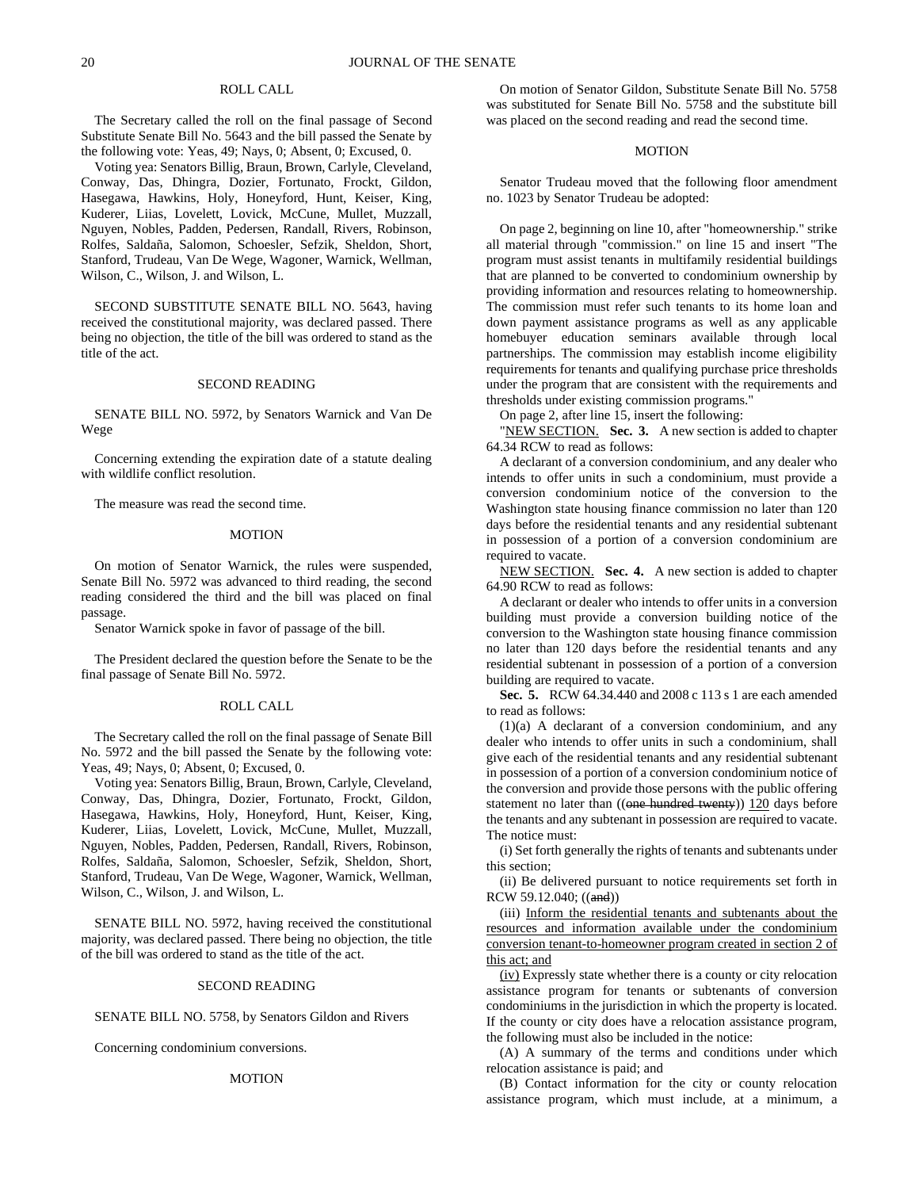# ROLL CALL

The Secretary called the roll on the final passage of Second Substitute Senate Bill No. 5643 and the bill passed the Senate by the following vote: Yeas, 49; Nays, 0; Absent, 0; Excused, 0.

Voting yea: Senators Billig, Braun, Brown, Carlyle, Cleveland, Conway, Das, Dhingra, Dozier, Fortunato, Frockt, Gildon, Hasegawa, Hawkins, Holy, Honeyford, Hunt, Keiser, King, Kuderer, Liias, Lovelett, Lovick, McCune, Mullet, Muzzall, Nguyen, Nobles, Padden, Pedersen, Randall, Rivers, Robinson, Rolfes, Saldaña, Salomon, Schoesler, Sefzik, Sheldon, Short, Stanford, Trudeau, Van De Wege, Wagoner, Warnick, Wellman, Wilson, C., Wilson, J. and Wilson, L.

SECOND SUBSTITUTE SENATE BILL NO. 5643, having received the constitutional majority, was declared passed. There being no objection, the title of the bill was ordered to stand as the title of the act.

#### SECOND READING

SENATE BILL NO. 5972, by Senators Warnick and Van De Wege

Concerning extending the expiration date of a statute dealing with wildlife conflict resolution.

The measure was read the second time.

## **MOTION**

On motion of Senator Warnick, the rules were suspended, Senate Bill No. 5972 was advanced to third reading, the second reading considered the third and the bill was placed on final passage.

Senator Warnick spoke in favor of passage of the bill.

The President declared the question before the Senate to be the final passage of Senate Bill No. 5972.

# ROLL CALL

The Secretary called the roll on the final passage of Senate Bill No. 5972 and the bill passed the Senate by the following vote: Yeas, 49; Nays, 0; Absent, 0; Excused, 0.

Voting yea: Senators Billig, Braun, Brown, Carlyle, Cleveland, Conway, Das, Dhingra, Dozier, Fortunato, Frockt, Gildon, Hasegawa, Hawkins, Holy, Honeyford, Hunt, Keiser, King, Kuderer, Liias, Lovelett, Lovick, McCune, Mullet, Muzzall, Nguyen, Nobles, Padden, Pedersen, Randall, Rivers, Robinson, Rolfes, Saldaña, Salomon, Schoesler, Sefzik, Sheldon, Short, Stanford, Trudeau, Van De Wege, Wagoner, Warnick, Wellman, Wilson, C., Wilson, J. and Wilson, L.

SENATE BILL NO. 5972, having received the constitutional majority, was declared passed. There being no objection, the title of the bill was ordered to stand as the title of the act.

#### SECOND READING

SENATE BILL NO. 5758, by Senators Gildon and Rivers

Concerning condominium conversions.

#### MOTION

On motion of Senator Gildon, Substitute Senate Bill No. 5758 was substituted for Senate Bill No. 5758 and the substitute bill was placed on the second reading and read the second time.

# **MOTION**

Senator Trudeau moved that the following floor amendment no. 1023 by Senator Trudeau be adopted:

On page 2, beginning on line 10, after "homeownership." strike all material through "commission." on line 15 and insert "The program must assist tenants in multifamily residential buildings that are planned to be converted to condominium ownership by providing information and resources relating to homeownership. The commission must refer such tenants to its home loan and down payment assistance programs as well as any applicable homebuyer education seminars available through local partnerships. The commission may establish income eligibility requirements for tenants and qualifying purchase price thresholds under the program that are consistent with the requirements and thresholds under existing commission programs."

On page 2, after line 15, insert the following:

"NEW SECTION. **Sec. 3.** A new section is added to chapter 64.34 RCW to read as follows:

A declarant of a conversion condominium, and any dealer who intends to offer units in such a condominium, must provide a conversion condominium notice of the conversion to the Washington state housing finance commission no later than 120 days before the residential tenants and any residential subtenant in possession of a portion of a conversion condominium are required to vacate.

NEW SECTION. **Sec. 4.** A new section is added to chapter 64.90 RCW to read as follows:

A declarant or dealer who intends to offer units in a conversion building must provide a conversion building notice of the conversion to the Washington state housing finance commission no later than 120 days before the residential tenants and any residential subtenant in possession of a portion of a conversion building are required to vacate.

**Sec. 5.** RCW 64.34.440 and 2008 c 113 s 1 are each amended to read as follows:

(1)(a) A declarant of a conversion condominium, and any dealer who intends to offer units in such a condominium, shall give each of the residential tenants and any residential subtenant in possession of a portion of a conversion condominium notice of the conversion and provide those persons with the public offering statement no later than ((one hundred twenty)) 120 days before the tenants and any subtenant in possession are required to vacate. The notice must:

(i) Set forth generally the rights of tenants and subtenants under this section;

(ii) Be delivered pursuant to notice requirements set forth in RCW 59.12.040; ((and))

(iii) Inform the residential tenants and subtenants about the resources and information available under the condominium conversion tenant-to-homeowner program created in section 2 of this act; and

(iv) Expressly state whether there is a county or city relocation assistance program for tenants or subtenants of conversion condominiums in the jurisdiction in which the property is located. If the county or city does have a relocation assistance program, the following must also be included in the notice:

(A) A summary of the terms and conditions under which relocation assistance is paid; and

(B) Contact information for the city or county relocation assistance program, which must include, at a minimum, a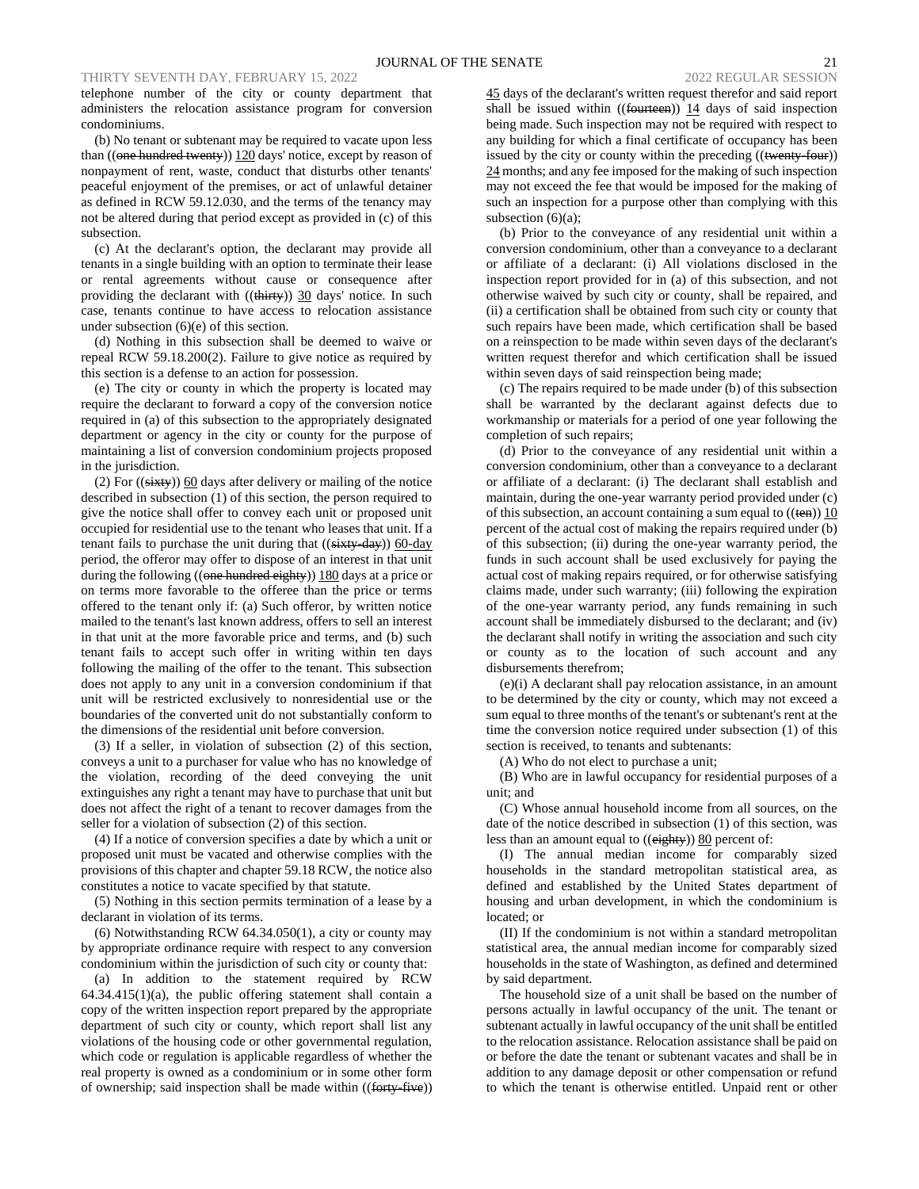telephone number of the city or county department that administers the relocation assistance program for conversion condominiums.

(b) No tenant or subtenant may be required to vacate upon less than ((one hundred twenty)) 120 days' notice, except by reason of nonpayment of rent, waste, conduct that disturbs other tenants' peaceful enjoyment of the premises, or act of unlawful detainer as defined in RCW 59.12.030, and the terms of the tenancy may not be altered during that period except as provided in (c) of this subsection.

(c) At the declarant's option, the declarant may provide all tenants in a single building with an option to terminate their lease or rental agreements without cause or consequence after providing the declarant with  $((**thirty**))$  30 days' notice. In such case, tenants continue to have access to relocation assistance under subsection (6)(e) of this section.

(d) Nothing in this subsection shall be deemed to waive or repeal RCW 59.18.200(2). Failure to give notice as required by this section is a defense to an action for possession.

(e) The city or county in which the property is located may require the declarant to forward a copy of the conversion notice required in (a) of this subsection to the appropriately designated department or agency in the city or county for the purpose of maintaining a list of conversion condominium projects proposed in the jurisdiction.

(2) For  $((sixty))$  60 days after delivery or mailing of the notice described in subsection (1) of this section, the person required to give the notice shall offer to convey each unit or proposed unit occupied for residential use to the tenant who leases that unit. If a tenant fails to purchase the unit during that  $((sixty-day))$  60-day period, the offeror may offer to dispose of an interest in that unit during the following  $((one hundred\; eighty))$  180 days at a price or on terms more favorable to the offeree than the price or terms offered to the tenant only if: (a) Such offeror, by written notice mailed to the tenant's last known address, offers to sell an interest in that unit at the more favorable price and terms, and (b) such tenant fails to accept such offer in writing within ten days following the mailing of the offer to the tenant. This subsection does not apply to any unit in a conversion condominium if that unit will be restricted exclusively to nonresidential use or the boundaries of the converted unit do not substantially conform to the dimensions of the residential unit before conversion.

(3) If a seller, in violation of subsection (2) of this section, conveys a unit to a purchaser for value who has no knowledge of the violation, recording of the deed conveying the unit extinguishes any right a tenant may have to purchase that unit but does not affect the right of a tenant to recover damages from the seller for a violation of subsection (2) of this section.

(4) If a notice of conversion specifies a date by which a unit or proposed unit must be vacated and otherwise complies with the provisions of this chapter and chapter 59.18 RCW, the notice also constitutes a notice to vacate specified by that statute.

(5) Nothing in this section permits termination of a lease by a declarant in violation of its terms.

(6) Notwithstanding RCW 64.34.050(1), a city or county may by appropriate ordinance require with respect to any conversion condominium within the jurisdiction of such city or county that:

(a) In addition to the statement required by RCW  $64.34.415(1)(a)$ , the public offering statement shall contain a copy of the written inspection report prepared by the appropriate department of such city or county, which report shall list any violations of the housing code or other governmental regulation, which code or regulation is applicable regardless of whether the real property is owned as a condominium or in some other form of ownership; said inspection shall be made within ((forty-five)) 45 days of the declarant's written request therefor and said report shall be issued within ((fourteen)) 14 days of said inspection being made. Such inspection may not be required with respect to any building for which a final certificate of occupancy has been issued by the city or county within the preceding ((twenty-four)) 24 months; and any fee imposed for the making of such inspection may not exceed the fee that would be imposed for the making of such an inspection for a purpose other than complying with this subsection  $(6)(a)$ ;

(b) Prior to the conveyance of any residential unit within a conversion condominium, other than a conveyance to a declarant or affiliate of a declarant: (i) All violations disclosed in the inspection report provided for in (a) of this subsection, and not otherwise waived by such city or county, shall be repaired, and (ii) a certification shall be obtained from such city or county that such repairs have been made, which certification shall be based on a reinspection to be made within seven days of the declarant's written request therefor and which certification shall be issued within seven days of said reinspection being made;

(c) The repairs required to be made under (b) of this subsection shall be warranted by the declarant against defects due to workmanship or materials for a period of one year following the completion of such repairs;

(d) Prior to the conveyance of any residential unit within a conversion condominium, other than a conveyance to a declarant or affiliate of a declarant: (i) The declarant shall establish and maintain, during the one-year warranty period provided under (c) of this subsection, an account containing a sum equal to  $((\text{ten}))$  10 percent of the actual cost of making the repairs required under (b) of this subsection; (ii) during the one-year warranty period, the funds in such account shall be used exclusively for paying the actual cost of making repairs required, or for otherwise satisfying claims made, under such warranty; (iii) following the expiration of the one-year warranty period, any funds remaining in such account shall be immediately disbursed to the declarant; and (iv) the declarant shall notify in writing the association and such city or county as to the location of such account and any disbursements therefrom;

(e)(i) A declarant shall pay relocation assistance, in an amount to be determined by the city or county, which may not exceed a sum equal to three months of the tenant's or subtenant's rent at the time the conversion notice required under subsection (1) of this section is received, to tenants and subtenants:

(A) Who do not elect to purchase a unit;

(B) Who are in lawful occupancy for residential purposes of a unit; and

(C) Whose annual household income from all sources, on the date of the notice described in subsection (1) of this section, was less than an amount equal to ((eighty)) 80 percent of:

(I) The annual median income for comparably sized households in the standard metropolitan statistical area, as defined and established by the United States department of housing and urban development, in which the condominium is located; or

(II) If the condominium is not within a standard metropolitan statistical area, the annual median income for comparably sized households in the state of Washington, as defined and determined by said department.

The household size of a unit shall be based on the number of persons actually in lawful occupancy of the unit. The tenant or subtenant actually in lawful occupancy of the unit shall be entitled to the relocation assistance. Relocation assistance shall be paid on or before the date the tenant or subtenant vacates and shall be in addition to any damage deposit or other compensation or refund to which the tenant is otherwise entitled. Unpaid rent or other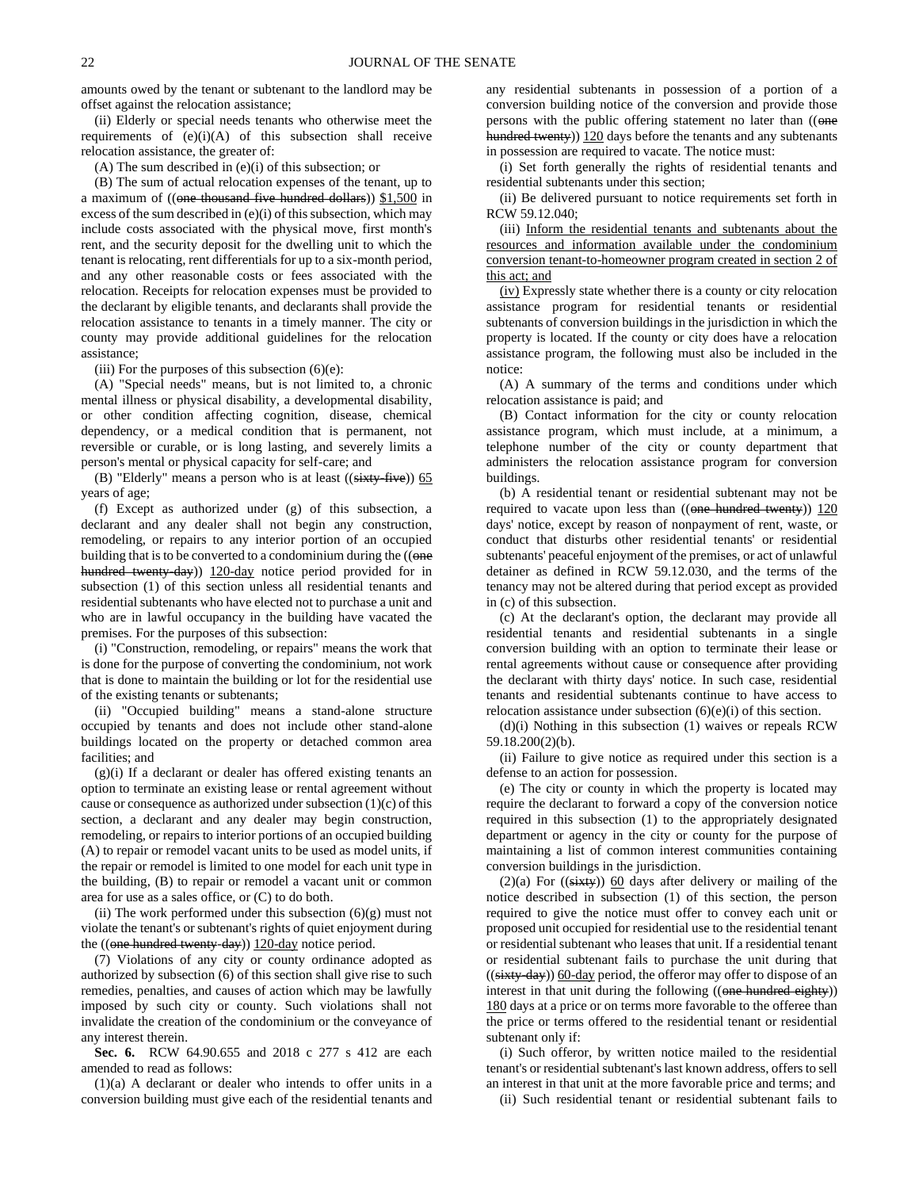amounts owed by the tenant or subtenant to the landlord may be offset against the relocation assistance;

(ii) Elderly or special needs tenants who otherwise meet the requirements of (e)(i)(A) of this subsection shall receive relocation assistance, the greater of:

(A) The sum described in (e)(i) of this subsection; or

(B) The sum of actual relocation expenses of the tenant, up to a maximum of ((one thousand five hundred dollars)) \$1,500 in excess of the sum described in (e)(i) of this subsection, which may include costs associated with the physical move, first month's rent, and the security deposit for the dwelling unit to which the tenant is relocating, rent differentials for up to a six-month period, and any other reasonable costs or fees associated with the relocation. Receipts for relocation expenses must be provided to the declarant by eligible tenants, and declarants shall provide the relocation assistance to tenants in a timely manner. The city or county may provide additional guidelines for the relocation assistance;

(iii) For the purposes of this subsection  $(6)(e)$ :

(A) "Special needs" means, but is not limited to, a chronic mental illness or physical disability, a developmental disability, or other condition affecting cognition, disease, chemical dependency, or a medical condition that is permanent, not reversible or curable, or is long lasting, and severely limits a person's mental or physical capacity for self-care; and

(B) "Elderly" means a person who is at least  $((sixty-five))$  65 years of age;

(f) Except as authorized under (g) of this subsection, a declarant and any dealer shall not begin any construction, remodeling, or repairs to any interior portion of an occupied building that is to be converted to a condominium during the ((one hundred twenty-day)) 120-day notice period provided for in subsection (1) of this section unless all residential tenants and residential subtenants who have elected not to purchase a unit and who are in lawful occupancy in the building have vacated the premises. For the purposes of this subsection:

(i) "Construction, remodeling, or repairs" means the work that is done for the purpose of converting the condominium, not work that is done to maintain the building or lot for the residential use of the existing tenants or subtenants;

(ii) "Occupied building" means a stand-alone structure occupied by tenants and does not include other stand-alone buildings located on the property or detached common area facilities; and

 $(g)(i)$  If a declarant or dealer has offered existing tenants an option to terminate an existing lease or rental agreement without cause or consequence as authorized under subsection (1)(c) of this section, a declarant and any dealer may begin construction, remodeling, or repairs to interior portions of an occupied building (A) to repair or remodel vacant units to be used as model units, if the repair or remodel is limited to one model for each unit type in the building, (B) to repair or remodel a vacant unit or common area for use as a sales office, or (C) to do both.

(ii) The work performed under this subsection (6)(g) must not violate the tenant's or subtenant's rights of quiet enjoyment during the  $((one hundred twenty-day))$   $120-day$  notice period.

(7) Violations of any city or county ordinance adopted as authorized by subsection (6) of this section shall give rise to such remedies, penalties, and causes of action which may be lawfully imposed by such city or county. Such violations shall not invalidate the creation of the condominium or the conveyance of any interest therein.

**Sec. 6.** RCW 64.90.655 and 2018 c 277 s 412 are each amended to read as follows:

(1)(a) A declarant or dealer who intends to offer units in a conversion building must give each of the residential tenants and any residential subtenants in possession of a portion of a conversion building notice of the conversion and provide those persons with the public offering statement no later than ((one hundred twenty)) 120 days before the tenants and any subtenants in possession are required to vacate. The notice must:

(i) Set forth generally the rights of residential tenants and residential subtenants under this section;

(ii) Be delivered pursuant to notice requirements set forth in RCW 59.12.040;

(iii) Inform the residential tenants and subtenants about the resources and information available under the condominium conversion tenant-to-homeowner program created in section 2 of this act; and

(iv) Expressly state whether there is a county or city relocation assistance program for residential tenants or residential subtenants of conversion buildings in the jurisdiction in which the property is located. If the county or city does have a relocation assistance program, the following must also be included in the notice:

(A) A summary of the terms and conditions under which relocation assistance is paid; and

(B) Contact information for the city or county relocation assistance program, which must include, at a minimum, a telephone number of the city or county department that administers the relocation assistance program for conversion buildings.

(b) A residential tenant or residential subtenant may not be required to vacate upon less than  $((one-hundred+wenty))$  120 days' notice, except by reason of nonpayment of rent, waste, or conduct that disturbs other residential tenants' or residential subtenants' peaceful enjoyment of the premises, or act of unlawful detainer as defined in RCW 59.12.030, and the terms of the tenancy may not be altered during that period except as provided in (c) of this subsection.

(c) At the declarant's option, the declarant may provide all residential tenants and residential subtenants in a single conversion building with an option to terminate their lease or rental agreements without cause or consequence after providing the declarant with thirty days' notice. In such case, residential tenants and residential subtenants continue to have access to relocation assistance under subsection (6)(e)(i) of this section.

(d)(i) Nothing in this subsection (1) waives or repeals RCW 59.18.200(2)(b).

(ii) Failure to give notice as required under this section is a defense to an action for possession.

(e) The city or county in which the property is located may require the declarant to forward a copy of the conversion notice required in this subsection (1) to the appropriately designated department or agency in the city or county for the purpose of maintaining a list of common interest communities containing conversion buildings in the jurisdiction.

(2)(a) For  $((sixty))$  60 days after delivery or mailing of the notice described in subsection (1) of this section, the person required to give the notice must offer to convey each unit or proposed unit occupied for residential use to the residential tenant or residential subtenant who leases that unit. If a residential tenant or residential subtenant fails to purchase the unit during that  $((sixty-day))$  60-day period, the offeror may offer to dispose of an interest in that unit during the following ((one hundred eighty)) 180 days at a price or on terms more favorable to the offeree than the price or terms offered to the residential tenant or residential subtenant only if:

(i) Such offeror, by written notice mailed to the residential tenant's or residential subtenant's last known address, offers to sell an interest in that unit at the more favorable price and terms; and

(ii) Such residential tenant or residential subtenant fails to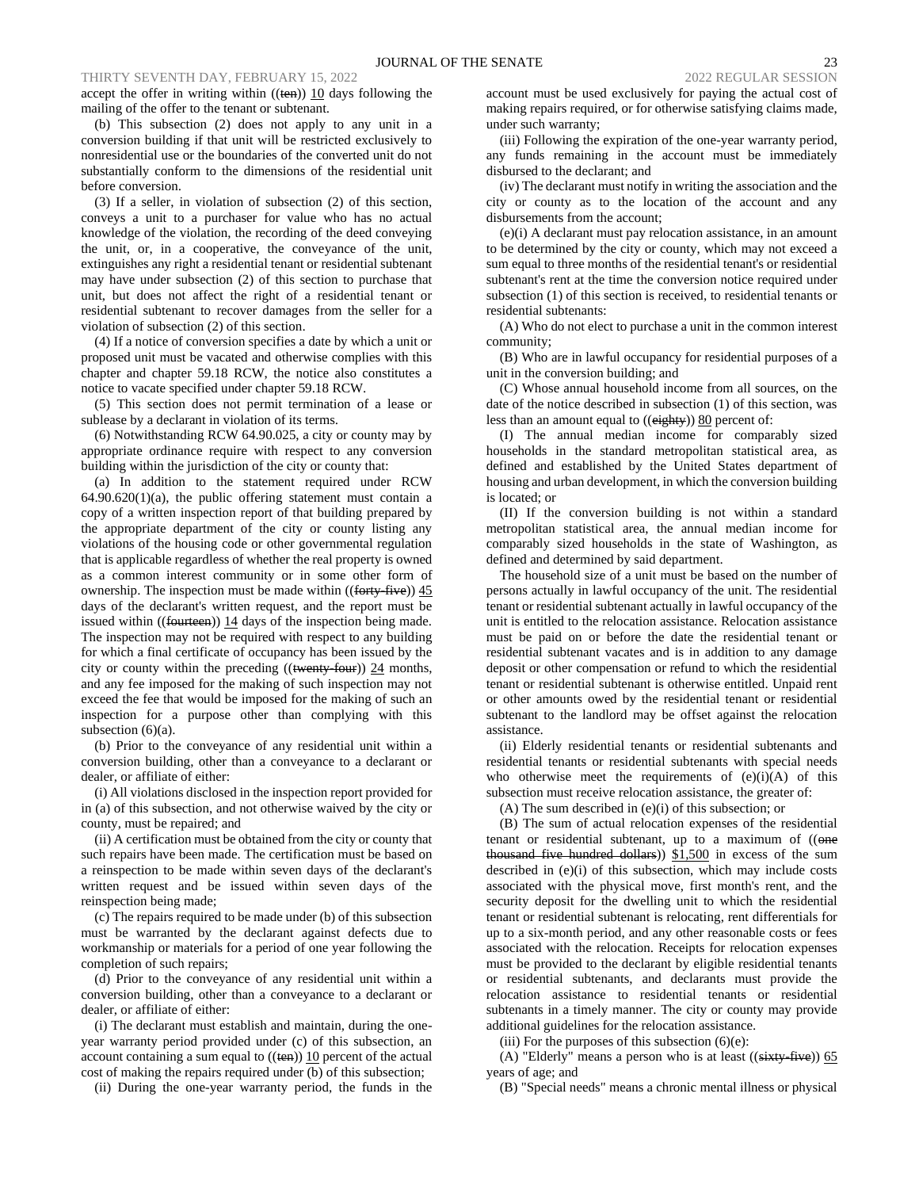accept the offer in writing within ((ten)) 10 days following the mailing of the offer to the tenant or subtenant.

(b) This subsection (2) does not apply to any unit in a conversion building if that unit will be restricted exclusively to nonresidential use or the boundaries of the converted unit do not substantially conform to the dimensions of the residential unit before conversion.

(3) If a seller, in violation of subsection (2) of this section, conveys a unit to a purchaser for value who has no actual knowledge of the violation, the recording of the deed conveying the unit, or, in a cooperative, the conveyance of the unit, extinguishes any right a residential tenant or residential subtenant may have under subsection (2) of this section to purchase that unit, but does not affect the right of a residential tenant or residential subtenant to recover damages from the seller for a violation of subsection (2) of this section.

(4) If a notice of conversion specifies a date by which a unit or proposed unit must be vacated and otherwise complies with this chapter and chapter 59.18 RCW, the notice also constitutes a notice to vacate specified under chapter 59.18 RCW.

(5) This section does not permit termination of a lease or sublease by a declarant in violation of its terms.

(6) Notwithstanding RCW 64.90.025, a city or county may by appropriate ordinance require with respect to any conversion building within the jurisdiction of the city or county that:

(a) In addition to the statement required under RCW  $64.90.620(1)(a)$ , the public offering statement must contain a copy of a written inspection report of that building prepared by the appropriate department of the city or county listing any violations of the housing code or other governmental regulation that is applicable regardless of whether the real property is owned as a common interest community or in some other form of ownership. The inspection must be made within ((forty-five)) 45 days of the declarant's written request, and the report must be issued within ((fourteen)) 14 days of the inspection being made. The inspection may not be required with respect to any building for which a final certificate of occupancy has been issued by the city or county within the preceding  $((\text{~~twenty-four~~))  $24$  months,$ and any fee imposed for the making of such inspection may not exceed the fee that would be imposed for the making of such an inspection for a purpose other than complying with this subsection (6)(a).

(b) Prior to the conveyance of any residential unit within a conversion building, other than a conveyance to a declarant or dealer, or affiliate of either:

(i) All violations disclosed in the inspection report provided for in (a) of this subsection, and not otherwise waived by the city or county, must be repaired; and

(ii) A certification must be obtained from the city or county that such repairs have been made. The certification must be based on a reinspection to be made within seven days of the declarant's written request and be issued within seven days of the reinspection being made;

(c) The repairs required to be made under (b) of this subsection must be warranted by the declarant against defects due to workmanship or materials for a period of one year following the completion of such repairs;

(d) Prior to the conveyance of any residential unit within a conversion building, other than a conveyance to a declarant or dealer, or affiliate of either:

(i) The declarant must establish and maintain, during the oneyear warranty period provided under (c) of this subsection, an account containing a sum equal to  $((ten))$  10 percent of the actual cost of making the repairs required under (b) of this subsection;

(ii) During the one-year warranty period, the funds in the

account must be used exclusively for paying the actual cost of making repairs required, or for otherwise satisfying claims made, under such warranty;

(iii) Following the expiration of the one-year warranty period, any funds remaining in the account must be immediately disbursed to the declarant; and

(iv) The declarant must notify in writing the association and the city or county as to the location of the account and any disbursements from the account;

(e)(i) A declarant must pay relocation assistance, in an amount to be determined by the city or county, which may not exceed a sum equal to three months of the residential tenant's or residential subtenant's rent at the time the conversion notice required under subsection (1) of this section is received, to residential tenants or residential subtenants:

(A) Who do not elect to purchase a unit in the common interest community;

(B) Who are in lawful occupancy for residential purposes of a unit in the conversion building; and

(C) Whose annual household income from all sources, on the date of the notice described in subsection (1) of this section, was less than an amount equal to ((eighty)) 80 percent of:

(I) The annual median income for comparably sized households in the standard metropolitan statistical area, as defined and established by the United States department of housing and urban development, in which the conversion building is located; or

(II) If the conversion building is not within a standard metropolitan statistical area, the annual median income for comparably sized households in the state of Washington, as defined and determined by said department.

The household size of a unit must be based on the number of persons actually in lawful occupancy of the unit. The residential tenant or residential subtenant actually in lawful occupancy of the unit is entitled to the relocation assistance. Relocation assistance must be paid on or before the date the residential tenant or residential subtenant vacates and is in addition to any damage deposit or other compensation or refund to which the residential tenant or residential subtenant is otherwise entitled. Unpaid rent or other amounts owed by the residential tenant or residential subtenant to the landlord may be offset against the relocation assistance.

(ii) Elderly residential tenants or residential subtenants and residential tenants or residential subtenants with special needs who otherwise meet the requirements of  $(e)(i)(A)$  of this subsection must receive relocation assistance, the greater of:

(A) The sum described in (e)(i) of this subsection; or

(B) The sum of actual relocation expenses of the residential tenant or residential subtenant, up to a maximum of  $((\Theta_{\text{max}}))$ thousand five hundred dollars))  $$1,500$  in excess of the sum described in (e)(i) of this subsection, which may include costs associated with the physical move, first month's rent, and the security deposit for the dwelling unit to which the residential tenant or residential subtenant is relocating, rent differentials for up to a six-month period, and any other reasonable costs or fees associated with the relocation. Receipts for relocation expenses must be provided to the declarant by eligible residential tenants or residential subtenants, and declarants must provide the relocation assistance to residential tenants or residential subtenants in a timely manner. The city or county may provide additional guidelines for the relocation assistance.

(iii) For the purposes of this subsection  $(6)(e)$ :

(A) "Elderly" means a person who is at least  $((sixty-five))$  65 years of age; and

(B) "Special needs" means a chronic mental illness or physical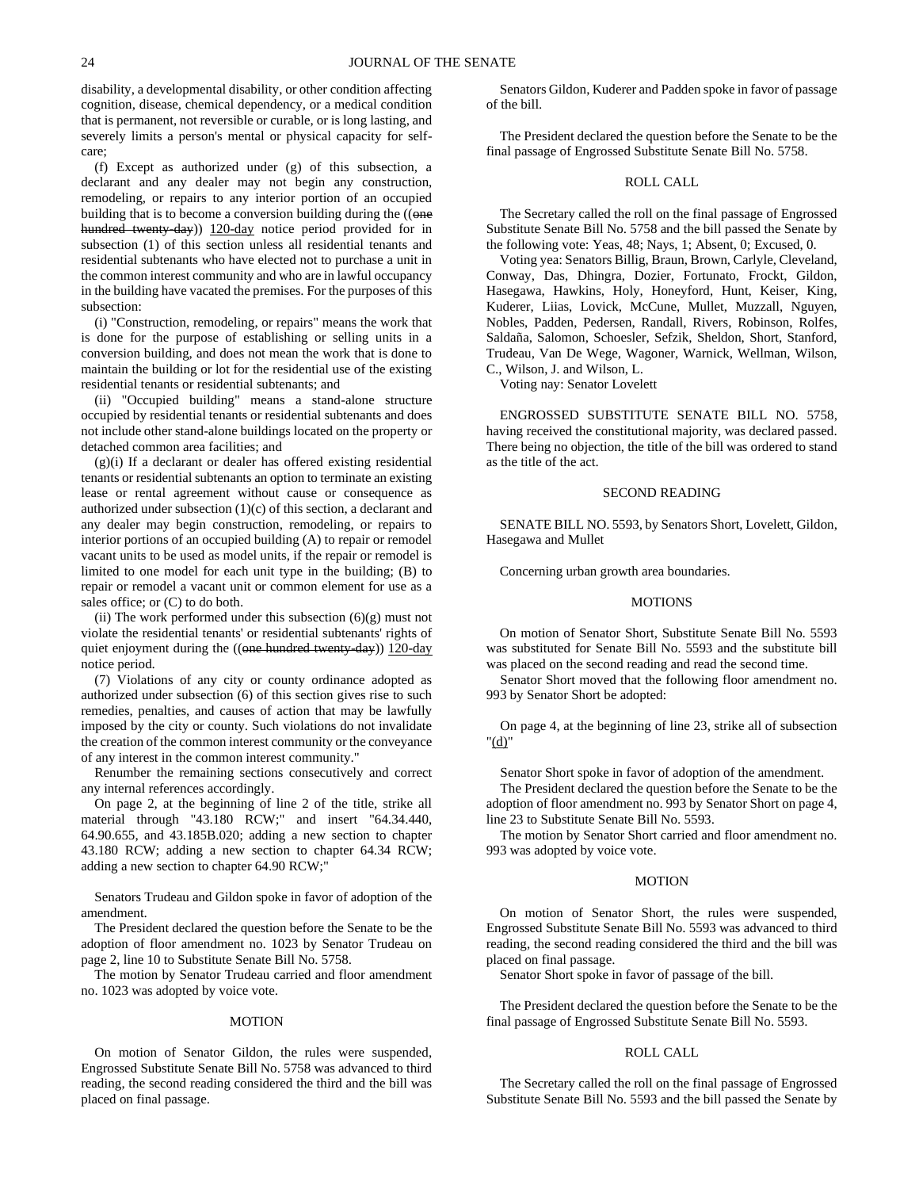disability, a developmental disability, or other condition affecting cognition, disease, chemical dependency, or a medical condition that is permanent, not reversible or curable, or is long lasting, and severely limits a person's mental or physical capacity for selfcare;

(f) Except as authorized under (g) of this subsection, a declarant and any dealer may not begin any construction, remodeling, or repairs to any interior portion of an occupied building that is to become a conversion building during the ((one hundred twenty-day)) 120-day notice period provided for in subsection (1) of this section unless all residential tenants and residential subtenants who have elected not to purchase a unit in the common interest community and who are in lawful occupancy in the building have vacated the premises. For the purposes of this subsection:

(i) "Construction, remodeling, or repairs" means the work that is done for the purpose of establishing or selling units in a conversion building, and does not mean the work that is done to maintain the building or lot for the residential use of the existing residential tenants or residential subtenants; and

(ii) "Occupied building" means a stand-alone structure occupied by residential tenants or residential subtenants and does not include other stand-alone buildings located on the property or detached common area facilities; and

(g)(i) If a declarant or dealer has offered existing residential tenants or residential subtenants an option to terminate an existing lease or rental agreement without cause or consequence as authorized under subsection (1)(c) of this section, a declarant and any dealer may begin construction, remodeling, or repairs to interior portions of an occupied building (A) to repair or remodel vacant units to be used as model units, if the repair or remodel is limited to one model for each unit type in the building; (B) to repair or remodel a vacant unit or common element for use as a sales office; or (C) to do both.

(ii) The work performed under this subsection  $(6)(g)$  must not violate the residential tenants' or residential subtenants' rights of quiet enjoyment during the ((one hundred twenty-day)) 120-day notice period.

(7) Violations of any city or county ordinance adopted as authorized under subsection (6) of this section gives rise to such remedies, penalties, and causes of action that may be lawfully imposed by the city or county. Such violations do not invalidate the creation of the common interest community or the conveyance of any interest in the common interest community."

Renumber the remaining sections consecutively and correct any internal references accordingly.

On page 2, at the beginning of line 2 of the title, strike all material through "43.180 RCW;" and insert "64.34.440, 64.90.655, and 43.185B.020; adding a new section to chapter 43.180 RCW; adding a new section to chapter 64.34 RCW; adding a new section to chapter 64.90 RCW;"

Senators Trudeau and Gildon spoke in favor of adoption of the amendment.

The President declared the question before the Senate to be the adoption of floor amendment no. 1023 by Senator Trudeau on page 2, line 10 to Substitute Senate Bill No. 5758.

The motion by Senator Trudeau carried and floor amendment no. 1023 was adopted by voice vote.

#### **MOTION**

On motion of Senator Gildon, the rules were suspended, Engrossed Substitute Senate Bill No. 5758 was advanced to third reading, the second reading considered the third and the bill was placed on final passage.

Senators Gildon, Kuderer and Padden spoke in favor of passage of the bill.

The President declared the question before the Senate to be the final passage of Engrossed Substitute Senate Bill No. 5758.

# ROLL CALL

The Secretary called the roll on the final passage of Engrossed Substitute Senate Bill No. 5758 and the bill passed the Senate by the following vote: Yeas, 48; Nays, 1; Absent, 0; Excused, 0.

Voting yea: Senators Billig, Braun, Brown, Carlyle, Cleveland, Conway, Das, Dhingra, Dozier, Fortunato, Frockt, Gildon, Hasegawa, Hawkins, Holy, Honeyford, Hunt, Keiser, King, Kuderer, Liias, Lovick, McCune, Mullet, Muzzall, Nguyen, Nobles, Padden, Pedersen, Randall, Rivers, Robinson, Rolfes, Saldaña, Salomon, Schoesler, Sefzik, Sheldon, Short, Stanford, Trudeau, Van De Wege, Wagoner, Warnick, Wellman, Wilson, C., Wilson, J. and Wilson, L.

Voting nay: Senator Lovelett

ENGROSSED SUBSTITUTE SENATE BILL NO. 5758, having received the constitutional majority, was declared passed. There being no objection, the title of the bill was ordered to stand as the title of the act.

# SECOND READING

SENATE BILL NO. 5593, by Senators Short, Lovelett, Gildon, Hasegawa and Mullet

Concerning urban growth area boundaries.

# MOTIONS

On motion of Senator Short, Substitute Senate Bill No. 5593 was substituted for Senate Bill No. 5593 and the substitute bill was placed on the second reading and read the second time.

Senator Short moved that the following floor amendment no. 993 by Senator Short be adopted:

On page 4, at the beginning of line 23, strike all of subsection "(d)"

Senator Short spoke in favor of adoption of the amendment.

The President declared the question before the Senate to be the adoption of floor amendment no. 993 by Senator Short on page 4, line 23 to Substitute Senate Bill No. 5593.

The motion by Senator Short carried and floor amendment no. 993 was adopted by voice vote.

#### MOTION

On motion of Senator Short, the rules were suspended, Engrossed Substitute Senate Bill No. 5593 was advanced to third reading, the second reading considered the third and the bill was placed on final passage.

Senator Short spoke in favor of passage of the bill.

The President declared the question before the Senate to be the final passage of Engrossed Substitute Senate Bill No. 5593.

#### ROLL CALL

The Secretary called the roll on the final passage of Engrossed Substitute Senate Bill No. 5593 and the bill passed the Senate by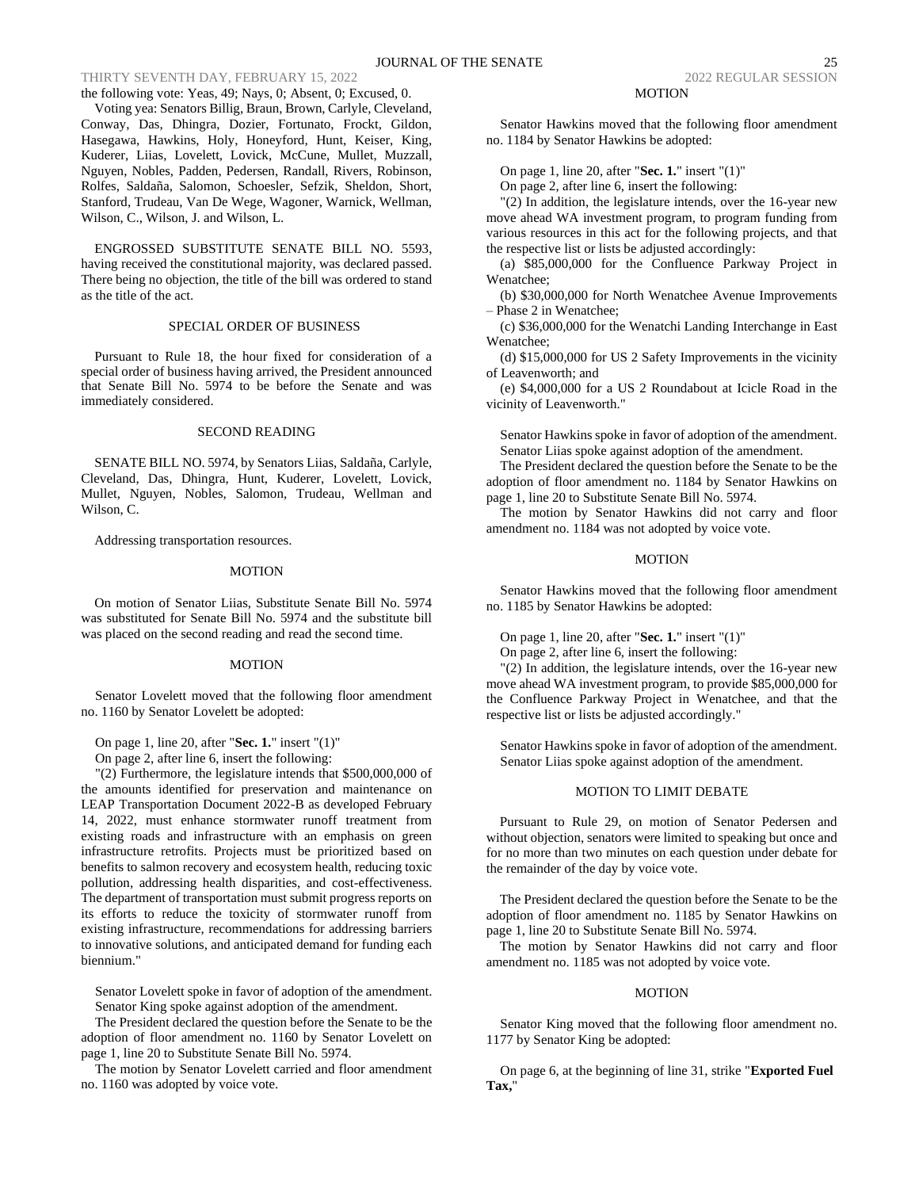the following vote: Yeas, 49; Nays, 0; Absent, 0; Excused, 0. Voting yea: Senators Billig, Braun, Brown, Carlyle, Cleveland, Conway, Das, Dhingra, Dozier, Fortunato, Frockt, Gildon, Hasegawa, Hawkins, Holy, Honeyford, Hunt, Keiser, King, Kuderer, Liias, Lovelett, Lovick, McCune, Mullet, Muzzall, Nguyen, Nobles, Padden, Pedersen, Randall, Rivers, Robinson, Rolfes, Saldaña, Salomon, Schoesler, Sefzik, Sheldon, Short, Stanford, Trudeau, Van De Wege, Wagoner, Warnick, Wellman, Wilson, C., Wilson, J. and Wilson, L.

ENGROSSED SUBSTITUTE SENATE BILL NO. 5593, having received the constitutional majority, was declared passed. There being no objection, the title of the bill was ordered to stand as the title of the act.

# SPECIAL ORDER OF BUSINESS

Pursuant to Rule 18, the hour fixed for consideration of a special order of business having arrived, the President announced that Senate Bill No. 5974 to be before the Senate and was immediately considered.

# SECOND READING

SENATE BILL NO. 5974, by Senators Liias, Saldaña, Carlyle, Cleveland, Das, Dhingra, Hunt, Kuderer, Lovelett, Lovick, Mullet, Nguyen, Nobles, Salomon, Trudeau, Wellman and Wilson, C.

Addressing transportation resources.

#### MOTION

On motion of Senator Liias, Substitute Senate Bill No. 5974 was substituted for Senate Bill No. 5974 and the substitute bill was placed on the second reading and read the second time.

#### MOTION

Senator Lovelett moved that the following floor amendment no. 1160 by Senator Lovelett be adopted:

On page 1, line 20, after "**Sec. 1.**" insert "(1)"

On page 2, after line 6, insert the following:

"(2) Furthermore, the legislature intends that \$500,000,000 of the amounts identified for preservation and maintenance on LEAP Transportation Document 2022-B as developed February 14, 2022, must enhance stormwater runoff treatment from existing roads and infrastructure with an emphasis on green infrastructure retrofits. Projects must be prioritized based on benefits to salmon recovery and ecosystem health, reducing toxic pollution, addressing health disparities, and cost-effectiveness. The department of transportation must submit progress reports on its efforts to reduce the toxicity of stormwater runoff from existing infrastructure, recommendations for addressing barriers to innovative solutions, and anticipated demand for funding each biennium."

Senator Lovelett spoke in favor of adoption of the amendment. Senator King spoke against adoption of the amendment.

The President declared the question before the Senate to be the adoption of floor amendment no. 1160 by Senator Lovelett on page 1, line 20 to Substitute Senate Bill No. 5974.

The motion by Senator Lovelett carried and floor amendment no. 1160 was adopted by voice vote.

#### MOTION

Senator Hawkins moved that the following floor amendment no. 1184 by Senator Hawkins be adopted:

On page 1, line 20, after "**Sec. 1.**" insert "(1)"

On page 2, after line 6, insert the following:

"(2) In addition, the legislature intends, over the 16-year new move ahead WA investment program, to program funding from various resources in this act for the following projects, and that the respective list or lists be adjusted accordingly:

(a) \$85,000,000 for the Confluence Parkway Project in Wenatchee;

(b) \$30,000,000 for North Wenatchee Avenue Improvements – Phase 2 in Wenatchee;

(c) \$36,000,000 for the Wenatchi Landing Interchange in East Wenatchee;

(d) \$15,000,000 for US 2 Safety Improvements in the vicinity of Leavenworth; and

(e) \$4,000,000 for a US 2 Roundabout at Icicle Road in the vicinity of Leavenworth."

Senator Hawkins spoke in favor of adoption of the amendment. Senator Liias spoke against adoption of the amendment.

The President declared the question before the Senate to be the adoption of floor amendment no. 1184 by Senator Hawkins on page 1, line 20 to Substitute Senate Bill No. 5974.

The motion by Senator Hawkins did not carry and floor amendment no. 1184 was not adopted by voice vote.

# MOTION

Senator Hawkins moved that the following floor amendment no. 1185 by Senator Hawkins be adopted:

On page 1, line 20, after "**Sec. 1.**" insert "(1)"

On page 2, after line 6, insert the following:

"(2) In addition, the legislature intends, over the 16-year new move ahead WA investment program, to provide \$85,000,000 for the Confluence Parkway Project in Wenatchee, and that the respective list or lists be adjusted accordingly."

Senator Hawkins spoke in favor of adoption of the amendment. Senator Liias spoke against adoption of the amendment.

#### MOTION TO LIMIT DEBATE

Pursuant to Rule 29, on motion of Senator Pedersen and without objection, senators were limited to speaking but once and for no more than two minutes on each question under debate for the remainder of the day by voice vote.

The President declared the question before the Senate to be the adoption of floor amendment no. 1185 by Senator Hawkins on page 1, line 20 to Substitute Senate Bill No. 5974.

The motion by Senator Hawkins did not carry and floor amendment no. 1185 was not adopted by voice vote.

#### MOTION

Senator King moved that the following floor amendment no. 1177 by Senator King be adopted:

On page 6, at the beginning of line 31, strike "**Exported Fuel Tax,**"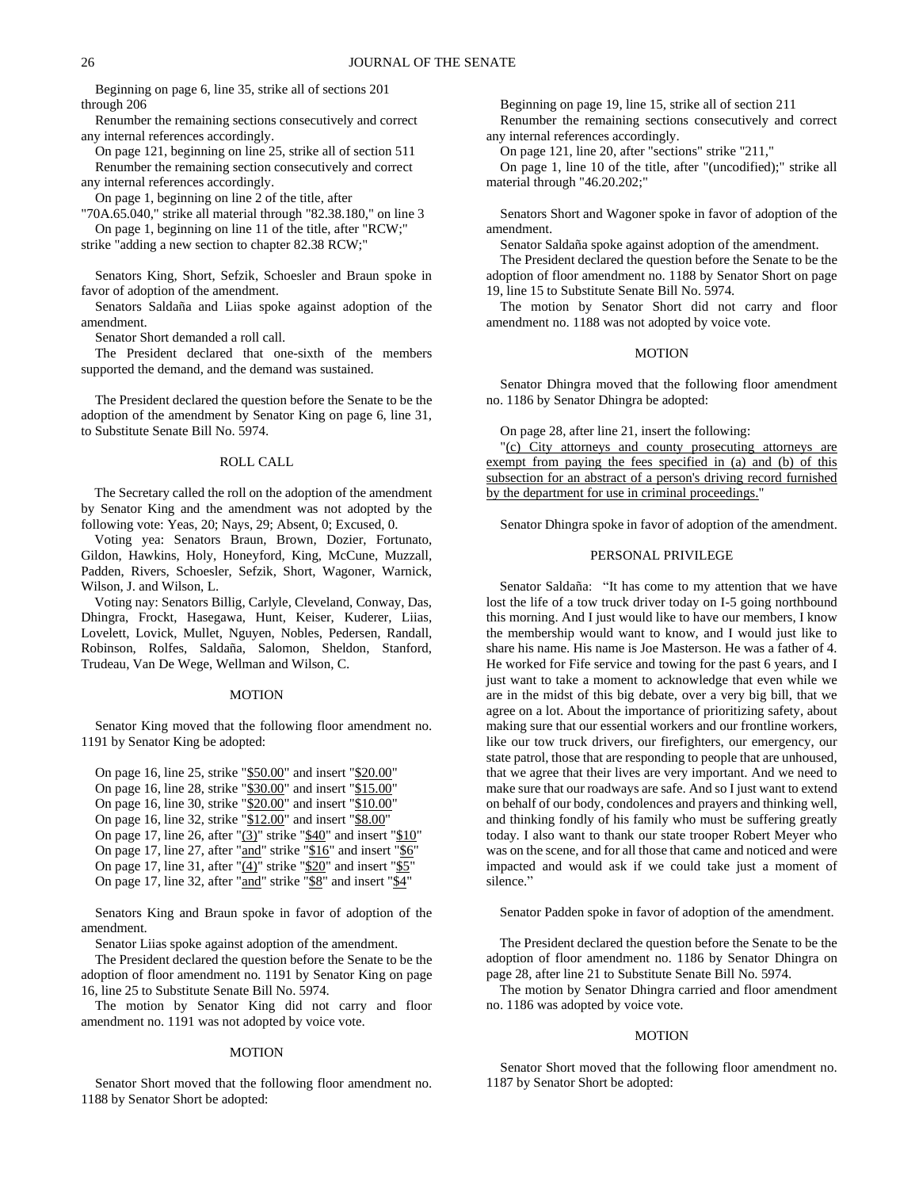Beginning on page 6, line 35, strike all of sections 201 through 206

Renumber the remaining sections consecutively and correct any internal references accordingly.

On page 121, beginning on line 25, strike all of section 511 Renumber the remaining section consecutively and correct any internal references accordingly.

On page 1, beginning on line 2 of the title, after

"70A.65.040," strike all material through "82.38.180," on line 3 On page 1, beginning on line 11 of the title, after "RCW;"

strike "adding a new section to chapter 82.38 RCW;"

Senators King, Short, Sefzik, Schoesler and Braun spoke in favor of adoption of the amendment.

Senators Saldaña and Liias spoke against adoption of the amendment.

Senator Short demanded a roll call.

The President declared that one-sixth of the members supported the demand, and the demand was sustained.

The President declared the question before the Senate to be the adoption of the amendment by Senator King on page 6, line 31, to Substitute Senate Bill No. 5974.

# ROLL CALL

The Secretary called the roll on the adoption of the amendment by Senator King and the amendment was not adopted by the following vote: Yeas, 20; Nays, 29; Absent, 0; Excused, 0.

Voting yea: Senators Braun, Brown, Dozier, Fortunato, Gildon, Hawkins, Holy, Honeyford, King, McCune, Muzzall, Padden, Rivers, Schoesler, Sefzik, Short, Wagoner, Warnick, Wilson, J. and Wilson, L.

Voting nay: Senators Billig, Carlyle, Cleveland, Conway, Das, Dhingra, Frockt, Hasegawa, Hunt, Keiser, Kuderer, Liias, Lovelett, Lovick, Mullet, Nguyen, Nobles, Pedersen, Randall, Robinson, Rolfes, Saldaña, Salomon, Sheldon, Stanford, Trudeau, Van De Wege, Wellman and Wilson, C.

#### MOTION

Senator King moved that the following floor amendment no. 1191 by Senator King be adopted:

On page 16, line 25, strike "\$50.00" and insert "\$20.00" On page 16, line 28, strike "\$30.00" and insert "\$15.00" On page 16, line 30, strike "\$20.00" and insert "\$10.00" On page 16, line 32, strike "\$12.00" and insert "\$8.00" On page 17, line 26, after " $(3)$ " strike " $$40$ " and insert " $$10$ " On page 17, line 27, after "and" strike "\$16" and insert "\$6' On page 17, line 31, after " $(4)$ " strike "\$20" and insert "\$5" On page 17, line 32, after "and" strike "\$8" and insert "\$4"

Senators King and Braun spoke in favor of adoption of the amendment.

Senator Liias spoke against adoption of the amendment.

The President declared the question before the Senate to be the adoption of floor amendment no. 1191 by Senator King on page 16, line 25 to Substitute Senate Bill No. 5974.

The motion by Senator King did not carry and floor amendment no. 1191 was not adopted by voice vote.

#### MOTION

Senator Short moved that the following floor amendment no. 1188 by Senator Short be adopted:

Beginning on page 19, line 15, strike all of section 211 Renumber the remaining sections consecutively and correct any internal references accordingly.

On page 121, line 20, after "sections" strike "211,"

On page 1, line 10 of the title, after "(uncodified);" strike all material through "46.20.202;"

Senators Short and Wagoner spoke in favor of adoption of the amendment.

Senator Saldaña spoke against adoption of the amendment.

The President declared the question before the Senate to be the adoption of floor amendment no. 1188 by Senator Short on page 19, line 15 to Substitute Senate Bill No. 5974.

The motion by Senator Short did not carry and floor amendment no. 1188 was not adopted by voice vote.

# MOTION

Senator Dhingra moved that the following floor amendment no. 1186 by Senator Dhingra be adopted:

On page 28, after line 21, insert the following:

"(c) City attorneys and county prosecuting attorneys are exempt from paying the fees specified in (a) and (b) of this subsection for an abstract of a person's driving record furnished by the department for use in criminal proceedings."

Senator Dhingra spoke in favor of adoption of the amendment.

# PERSONAL PRIVILEGE

Senator Saldaña: "It has come to my attention that we have lost the life of a tow truck driver today on I-5 going northbound this morning. And I just would like to have our members, I know the membership would want to know, and I would just like to share his name. His name is Joe Masterson. He was a father of 4. He worked for Fife service and towing for the past 6 years, and I just want to take a moment to acknowledge that even while we are in the midst of this big debate, over a very big bill, that we agree on a lot. About the importance of prioritizing safety, about making sure that our essential workers and our frontline workers, like our tow truck drivers, our firefighters, our emergency, our state patrol, those that are responding to people that are unhoused, that we agree that their lives are very important. And we need to make sure that our roadways are safe. And so I just want to extend on behalf of our body, condolences and prayers and thinking well, and thinking fondly of his family who must be suffering greatly today. I also want to thank our state trooper Robert Meyer who was on the scene, and for all those that came and noticed and were impacted and would ask if we could take just a moment of silence."

Senator Padden spoke in favor of adoption of the amendment.

The President declared the question before the Senate to be the adoption of floor amendment no. 1186 by Senator Dhingra on page 28, after line 21 to Substitute Senate Bill No. 5974.

The motion by Senator Dhingra carried and floor amendment no. 1186 was adopted by voice vote.

#### MOTION

Senator Short moved that the following floor amendment no. 1187 by Senator Short be adopted: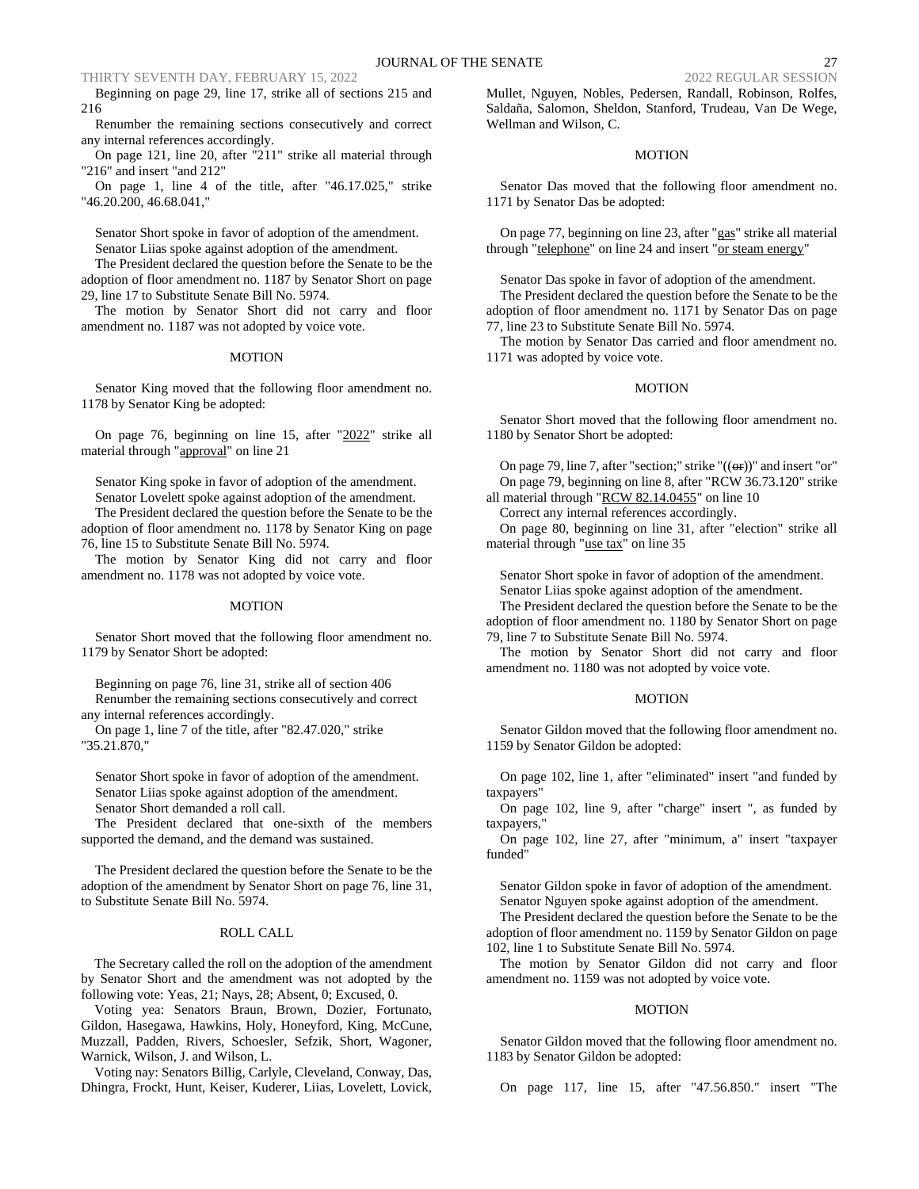Beginning on page 29, line 17, strike all of sections 215 and 216

Renumber the remaining sections consecutively and correct any internal references accordingly.

On page 121, line 20, after "211" strike all material through "216" and insert "and 212"

On page 1, line 4 of the title, after "46.17.025," strike "46.20.200, 46.68.041,"

Senator Short spoke in favor of adoption of the amendment. Senator Liias spoke against adoption of the amendment.

The President declared the question before the Senate to be the adoption of floor amendment no. 1187 by Senator Short on page 29, line 17 to Substitute Senate Bill No. 5974.

The motion by Senator Short did not carry and floor amendment no. 1187 was not adopted by voice vote.

### MOTION

Senator King moved that the following floor amendment no. 1178 by Senator King be adopted:

On page 76, beginning on line 15, after "2022" strike all material through "approval" on line 21

Senator King spoke in favor of adoption of the amendment.

Senator Lovelett spoke against adoption of the amendment.

The President declared the question before the Senate to be the adoption of floor amendment no. 1178 by Senator King on page 76, line 15 to Substitute Senate Bill No. 5974.

The motion by Senator King did not carry and floor amendment no. 1178 was not adopted by voice vote.

#### MOTION

Senator Short moved that the following floor amendment no. 1179 by Senator Short be adopted:

Beginning on page 76, line 31, strike all of section 406 Renumber the remaining sections consecutively and correct any internal references accordingly.

On page 1, line 7 of the title, after "82.47.020," strike "35.21.870,"

Senator Short spoke in favor of adoption of the amendment. Senator Liias spoke against adoption of the amendment. Senator Short demanded a roll call.

The President declared that one-sixth of the members supported the demand, and the demand was sustained.

The President declared the question before the Senate to be the adoption of the amendment by Senator Short on page 76, line 31, to Substitute Senate Bill No. 5974.

#### ROLL CALL

The Secretary called the roll on the adoption of the amendment by Senator Short and the amendment was not adopted by the following vote: Yeas, 21; Nays, 28; Absent, 0; Excused, 0.

Voting yea: Senators Braun, Brown, Dozier, Fortunato, Gildon, Hasegawa, Hawkins, Holy, Honeyford, King, McCune, Muzzall, Padden, Rivers, Schoesler, Sefzik, Short, Wagoner, Warnick, Wilson, J. and Wilson, L.

Voting nay: Senators Billig, Carlyle, Cleveland, Conway, Das, Dhingra, Frockt, Hunt, Keiser, Kuderer, Liias, Lovelett, Lovick, Mullet, Nguyen, Nobles, Pedersen, Randall, Robinson, Rolfes, Saldaña, Salomon, Sheldon, Stanford, Trudeau, Van De Wege, Wellman and Wilson, C.

# MOTION

Senator Das moved that the following floor amendment no. 1171 by Senator Das be adopted:

On page 77, beginning on line 23, after "gas" strike all material through "telephone" on line 24 and insert "or steam energy"

Senator Das spoke in favor of adoption of the amendment.

The President declared the question before the Senate to be the adoption of floor amendment no. 1171 by Senator Das on page 77, line 23 to Substitute Senate Bill No. 5974.

The motion by Senator Das carried and floor amendment no. 1171 was adopted by voice vote.

# MOTION

Senator Short moved that the following floor amendment no. 1180 by Senator Short be adopted:

On page 79, line 7, after "section;" strike " $((\theta \cdot \mathbf{r}))$ " and insert "or" On page 79, beginning on line 8, after "RCW 36.73.120" strike all material through "RCW 82.14.0455" on line 10

Correct any internal references accordingly.

On page 80, beginning on line 31, after "election" strike all material through "use tax" on line 35

Senator Short spoke in favor of adoption of the amendment.

Senator Liias spoke against adoption of the amendment.

The President declared the question before the Senate to be the adoption of floor amendment no. 1180 by Senator Short on page 79, line 7 to Substitute Senate Bill No. 5974.

The motion by Senator Short did not carry and floor amendment no. 1180 was not adopted by voice vote.

#### MOTION

Senator Gildon moved that the following floor amendment no. 1159 by Senator Gildon be adopted:

On page 102, line 1, after "eliminated" insert "and funded by taxpayers"

On page 102, line 9, after "charge" insert ", as funded by taxpayers,

On page 102, line 27, after "minimum, a" insert "taxpayer funded"

Senator Gildon spoke in favor of adoption of the amendment. Senator Nguyen spoke against adoption of the amendment.

The President declared the question before the Senate to be the adoption of floor amendment no. 1159 by Senator Gildon on page 102, line 1 to Substitute Senate Bill No. 5974.

The motion by Senator Gildon did not carry and floor amendment no. 1159 was not adopted by voice vote.

#### MOTION

Senator Gildon moved that the following floor amendment no. 1183 by Senator Gildon be adopted:

On page 117, line 15, after "47.56.850." insert "The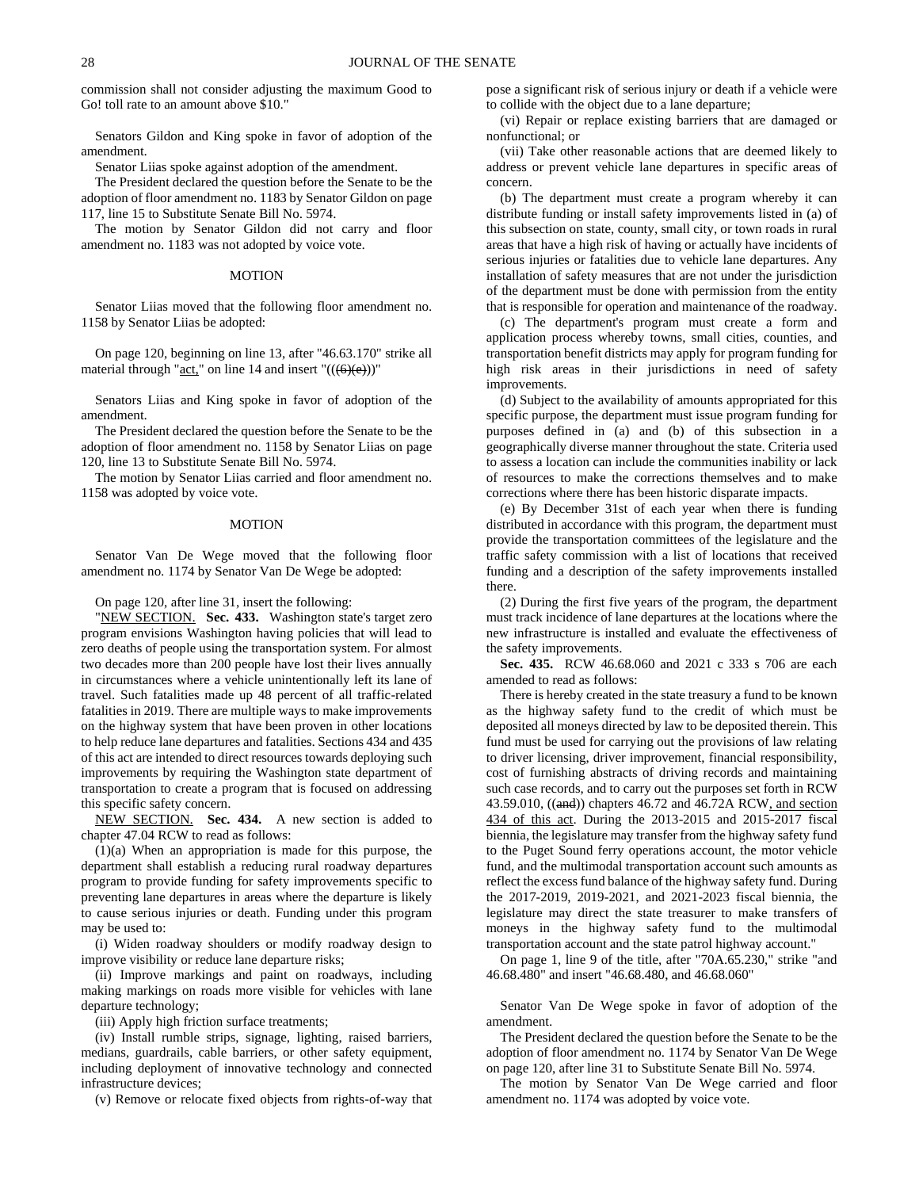commission shall not consider adjusting the maximum Good to Go! toll rate to an amount above \$10."

Senators Gildon and King spoke in favor of adoption of the amendment.

Senator Liias spoke against adoption of the amendment.

The President declared the question before the Senate to be the adoption of floor amendment no. 1183 by Senator Gildon on page 117, line 15 to Substitute Senate Bill No. 5974.

The motion by Senator Gildon did not carry and floor amendment no. 1183 was not adopted by voice vote.

#### MOTION

Senator Liias moved that the following floor amendment no. 1158 by Senator Liias be adopted:

On page 120, beginning on line 13, after "46.63.170" strike all material through " $act$ " on line 14 and insert " $(((6)(e)))$ "</u>

Senators Liias and King spoke in favor of adoption of the amendment.

The President declared the question before the Senate to be the adoption of floor amendment no. 1158 by Senator Liias on page 120, line 13 to Substitute Senate Bill No. 5974.

The motion by Senator Liias carried and floor amendment no. 1158 was adopted by voice vote.

#### MOTION

Senator Van De Wege moved that the following floor amendment no. 1174 by Senator Van De Wege be adopted:

On page 120, after line 31, insert the following:

"NEW SECTION. Sec. 433. Washington state's target zero program envisions Washington having policies that will lead to zero deaths of people using the transportation system. For almost two decades more than 200 people have lost their lives annually in circumstances where a vehicle unintentionally left its lane of travel. Such fatalities made up 48 percent of all traffic-related fatalities in 2019. There are multiple ways to make improvements on the highway system that have been proven in other locations to help reduce lane departures and fatalities. Sections 434 and 435 of this act are intended to direct resources towards deploying such improvements by requiring the Washington state department of transportation to create a program that is focused on addressing this specific safety concern.

NEW SECTION. **Sec. 434.** A new section is added to chapter 47.04 RCW to read as follows:

(1)(a) When an appropriation is made for this purpose, the department shall establish a reducing rural roadway departures program to provide funding for safety improvements specific to preventing lane departures in areas where the departure is likely to cause serious injuries or death. Funding under this program may be used to:

(i) Widen roadway shoulders or modify roadway design to improve visibility or reduce lane departure risks;

(ii) Improve markings and paint on roadways, including making markings on roads more visible for vehicles with lane departure technology;

(iii) Apply high friction surface treatments;

(iv) Install rumble strips, signage, lighting, raised barriers, medians, guardrails, cable barriers, or other safety equipment, including deployment of innovative technology and connected infrastructure devices;

(v) Remove or relocate fixed objects from rights-of-way that

pose a significant risk of serious injury or death if a vehicle were to collide with the object due to a lane departure;

(vi) Repair or replace existing barriers that are damaged or nonfunctional; or

(vii) Take other reasonable actions that are deemed likely to address or prevent vehicle lane departures in specific areas of concern.

(b) The department must create a program whereby it can distribute funding or install safety improvements listed in (a) of this subsection on state, county, small city, or town roads in rural areas that have a high risk of having or actually have incidents of serious injuries or fatalities due to vehicle lane departures. Any installation of safety measures that are not under the jurisdiction of the department must be done with permission from the entity that is responsible for operation and maintenance of the roadway.

(c) The department's program must create a form and application process whereby towns, small cities, counties, and transportation benefit districts may apply for program funding for high risk areas in their jurisdictions in need of safety improvements.

(d) Subject to the availability of amounts appropriated for this specific purpose, the department must issue program funding for purposes defined in (a) and (b) of this subsection in a geographically diverse manner throughout the state. Criteria used to assess a location can include the communities inability or lack of resources to make the corrections themselves and to make corrections where there has been historic disparate impacts.

(e) By December 31st of each year when there is funding distributed in accordance with this program, the department must provide the transportation committees of the legislature and the traffic safety commission with a list of locations that received funding and a description of the safety improvements installed there.

(2) During the first five years of the program, the department must track incidence of lane departures at the locations where the new infrastructure is installed and evaluate the effectiveness of the safety improvements.

**Sec. 435.** RCW 46.68.060 and 2021 c 333 s 706 are each amended to read as follows:

There is hereby created in the state treasury a fund to be known as the highway safety fund to the credit of which must be deposited all moneys directed by law to be deposited therein. This fund must be used for carrying out the provisions of law relating to driver licensing, driver improvement, financial responsibility, cost of furnishing abstracts of driving records and maintaining such case records, and to carry out the purposes set forth in RCW 43.59.010, ((and)) chapters 46.72 and 46.72A RCW, and section 434 of this act. During the 2013-2015 and 2015-2017 fiscal biennia, the legislature may transfer from the highway safety fund to the Puget Sound ferry operations account, the motor vehicle fund, and the multimodal transportation account such amounts as reflect the excess fund balance of the highway safety fund. During the 2017-2019, 2019-2021, and 2021-2023 fiscal biennia, the legislature may direct the state treasurer to make transfers of moneys in the highway safety fund to the multimodal transportation account and the state patrol highway account."

On page 1, line 9 of the title, after "70A.65.230," strike "and 46.68.480" and insert "46.68.480, and 46.68.060"

Senator Van De Wege spoke in favor of adoption of the amendment.

The President declared the question before the Senate to be the adoption of floor amendment no. 1174 by Senator Van De Wege on page 120, after line 31 to Substitute Senate Bill No. 5974.

The motion by Senator Van De Wege carried and floor amendment no. 1174 was adopted by voice vote.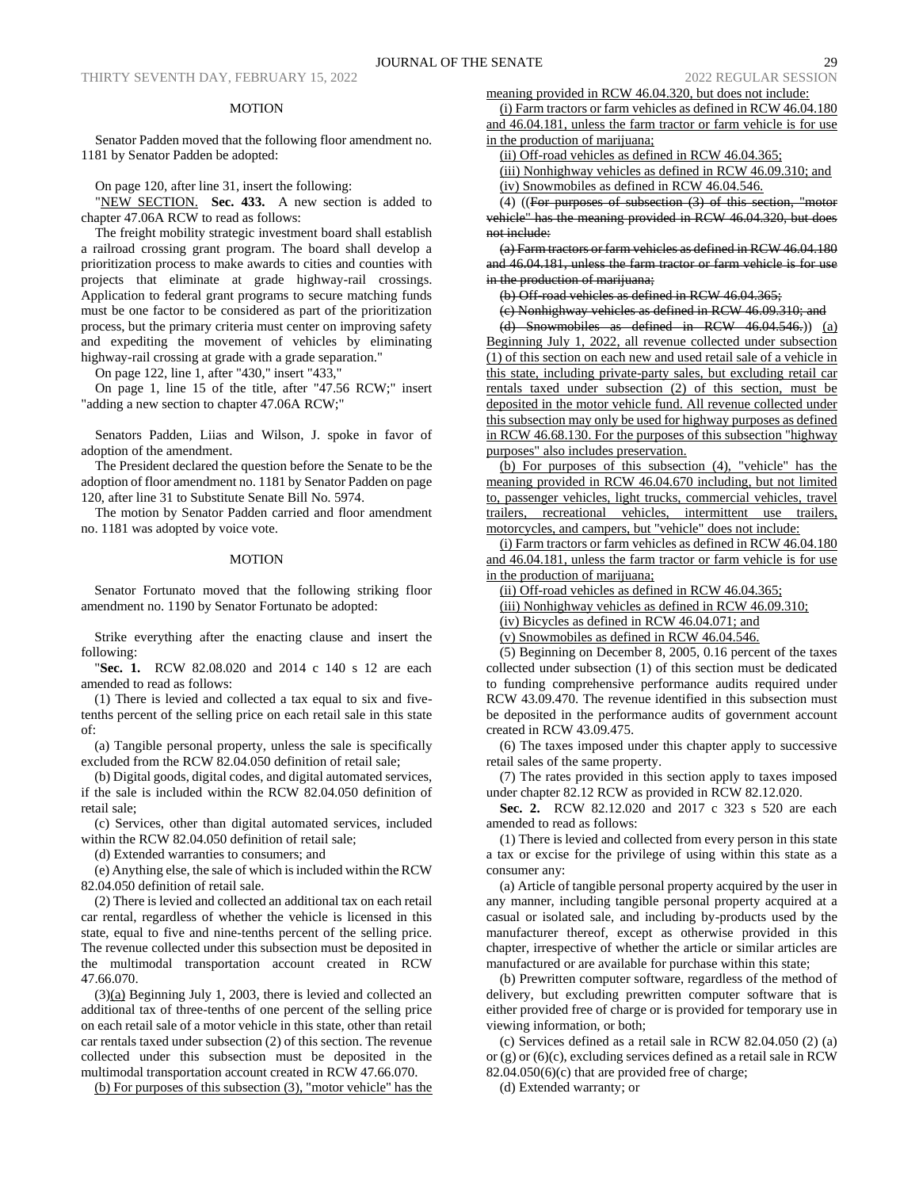#### MOTION

Senator Padden moved that the following floor amendment no. 1181 by Senator Padden be adopted:

On page 120, after line 31, insert the following:

"NEW SECTION. **Sec. 433.** A new section is added to chapter 47.06A RCW to read as follows:

The freight mobility strategic investment board shall establish a railroad crossing grant program. The board shall develop a prioritization process to make awards to cities and counties with projects that eliminate at grade highway-rail crossings. Application to federal grant programs to secure matching funds must be one factor to be considered as part of the prioritization process, but the primary criteria must center on improving safety and expediting the movement of vehicles by eliminating highway-rail crossing at grade with a grade separation."

On page 122, line 1, after "430," insert "433,"

On page 1, line 15 of the title, after "47.56 RCW;" insert "adding a new section to chapter 47.06A RCW;"

Senators Padden, Liias and Wilson, J. spoke in favor of adoption of the amendment.

The President declared the question before the Senate to be the adoption of floor amendment no. 1181 by Senator Padden on page 120, after line 31 to Substitute Senate Bill No. 5974.

The motion by Senator Padden carried and floor amendment no. 1181 was adopted by voice vote.

# MOTION

Senator Fortunato moved that the following striking floor amendment no. 1190 by Senator Fortunato be adopted:

Strike everything after the enacting clause and insert the following:

"**Sec. 1.** RCW 82.08.020 and 2014 c 140 s 12 are each amended to read as follows:

(1) There is levied and collected a tax equal to six and fivetenths percent of the selling price on each retail sale in this state of:

(a) Tangible personal property, unless the sale is specifically excluded from the RCW 82.04.050 definition of retail sale;

(b) Digital goods, digital codes, and digital automated services, if the sale is included within the RCW 82.04.050 definition of retail sale;

(c) Services, other than digital automated services, included within the RCW 82.04.050 definition of retail sale;

(d) Extended warranties to consumers; and

(e) Anything else, the sale of which is included within the RCW 82.04.050 definition of retail sale.

(2) There is levied and collected an additional tax on each retail car rental, regardless of whether the vehicle is licensed in this state, equal to five and nine-tenths percent of the selling price. The revenue collected under this subsection must be deposited in the multimodal transportation account created in RCW 47.66.070.

(3)(a) Beginning July 1, 2003, there is levied and collected an additional tax of three-tenths of one percent of the selling price on each retail sale of a motor vehicle in this state, other than retail car rentals taxed under subsection (2) of this section. The revenue collected under this subsection must be deposited in the multimodal transportation account created in RCW 47.66.070.

(b) For purposes of this subsection (3), "motor vehicle" has the

meaning provided in RCW 46.04.320, but does not include:

(i) Farm tractors or farm vehicles as defined in RCW 46.04.180 and 46.04.181, unless the farm tractor or farm vehicle is for use in the production of marijuana;

(ii) Off-road vehicles as defined in RCW 46.04.365;

(iii) Nonhighway vehicles as defined in RCW 46.09.310; and (iv) Snowmobiles as defined in RCW 46.04.546.

 $(4)$  ((For purposes of subsection  $(3)$  of this section,

vehicle" has the meaning provided in RCW 46.04.320, but does not include:

(a) Farm tractors or farm vehicles as defined in RCW 46.04.180 and 46.04.181, unless the farm tractor or farm vehicle is for use in the production of marijuana;

(b) Off-road vehicles as defined in RCW 46.04.365;

(c) Nonhighway vehicles as defined in RCW 46.09.310; and

(d) Snowmobiles as defined in RCW 46.04.546.)) (a) Beginning July 1, 2022, all revenue collected under subsection (1) of this section on each new and used retail sale of a vehicle in this state, including private-party sales, but excluding retail car rentals taxed under subsection (2) of this section, must be deposited in the motor vehicle fund. All revenue collected under this subsection may only be used for highway purposes as defined in RCW 46.68.130. For the purposes of this subsection "highway purposes" also includes preservation.

(b) For purposes of this subsection (4), "vehicle" has the meaning provided in RCW 46.04.670 including, but not limited to, passenger vehicles, light trucks, commercial vehicles, travel trailers, recreational vehicles, intermittent use trailers, motorcycles, and campers, but "vehicle" does not include:

(i) Farm tractors or farm vehicles as defined in RCW 46.04.180 and 46.04.181, unless the farm tractor or farm vehicle is for use in the production of marijuana;

(ii) Off-road vehicles as defined in RCW 46.04.365;

(iii) Nonhighway vehicles as defined in RCW 46.09.310;

(iv) Bicycles as defined in RCW 46.04.071; and

(v) Snowmobiles as defined in RCW 46.04.546.

(5) Beginning on December 8, 2005, 0.16 percent of the taxes collected under subsection (1) of this section must be dedicated to funding comprehensive performance audits required under RCW 43.09.470. The revenue identified in this subsection must be deposited in the performance audits of government account created in RCW 43.09.475.

(6) The taxes imposed under this chapter apply to successive retail sales of the same property.

(7) The rates provided in this section apply to taxes imposed under chapter 82.12 RCW as provided in RCW 82.12.020.

**Sec. 2.** RCW 82.12.020 and 2017 c 323 s 520 are each amended to read as follows:

(1) There is levied and collected from every person in this state a tax or excise for the privilege of using within this state as a consumer any:

(a) Article of tangible personal property acquired by the user in any manner, including tangible personal property acquired at a casual or isolated sale, and including by-products used by the manufacturer thereof, except as otherwise provided in this chapter, irrespective of whether the article or similar articles are manufactured or are available for purchase within this state;

(b) Prewritten computer software, regardless of the method of delivery, but excluding prewritten computer software that is either provided free of charge or is provided for temporary use in viewing information, or both;

(c) Services defined as a retail sale in RCW 82.04.050 (2) (a) or (g) or (6)(c), excluding services defined as a retail sale in RCW  $82.04.050(6)(c)$  that are provided free of charge;

(d) Extended warranty; or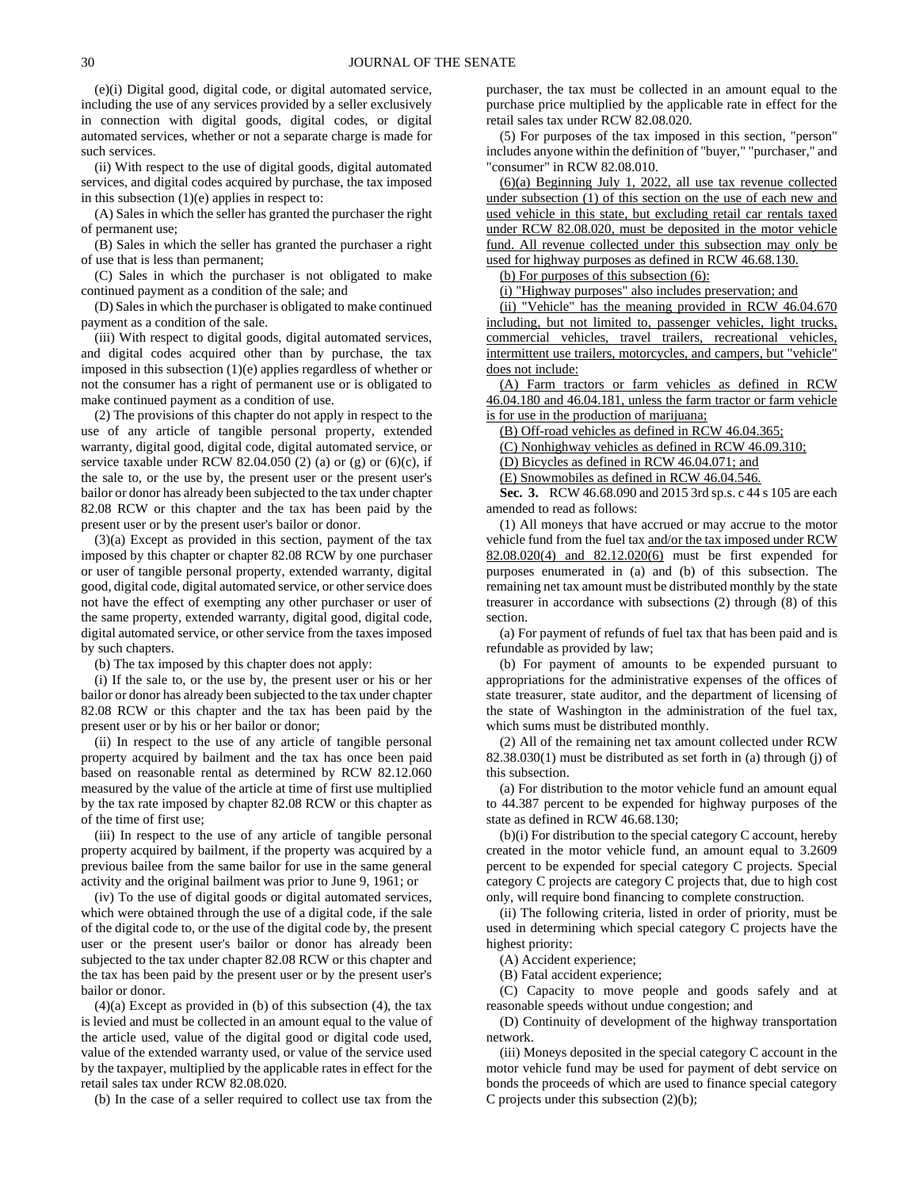(e)(i) Digital good, digital code, or digital automated service, including the use of any services provided by a seller exclusively in connection with digital goods, digital codes, or digital automated services, whether or not a separate charge is made for such services.

(ii) With respect to the use of digital goods, digital automated services, and digital codes acquired by purchase, the tax imposed in this subsection  $(1)(e)$  applies in respect to:

(A) Sales in which the seller has granted the purchaser the right of permanent use;

(B) Sales in which the seller has granted the purchaser a right of use that is less than permanent;

(C) Sales in which the purchaser is not obligated to make continued payment as a condition of the sale; and

(D) Sales in which the purchaser is obligated to make continued payment as a condition of the sale.

(iii) With respect to digital goods, digital automated services, and digital codes acquired other than by purchase, the tax imposed in this subsection (1)(e) applies regardless of whether or not the consumer has a right of permanent use or is obligated to make continued payment as a condition of use.

(2) The provisions of this chapter do not apply in respect to the use of any article of tangible personal property, extended warranty, digital good, digital code, digital automated service, or service taxable under RCW 82.04.050 (2) (a) or (g) or (6)(c), if the sale to, or the use by, the present user or the present user's bailor or donor has already been subjected to the tax under chapter 82.08 RCW or this chapter and the tax has been paid by the present user or by the present user's bailor or donor.

(3)(a) Except as provided in this section, payment of the tax imposed by this chapter or chapter 82.08 RCW by one purchaser or user of tangible personal property, extended warranty, digital good, digital code, digital automated service, or other service does not have the effect of exempting any other purchaser or user of the same property, extended warranty, digital good, digital code, digital automated service, or other service from the taxes imposed by such chapters.

(b) The tax imposed by this chapter does not apply:

(i) If the sale to, or the use by, the present user or his or her bailor or donor has already been subjected to the tax under chapter 82.08 RCW or this chapter and the tax has been paid by the present user or by his or her bailor or donor;

(ii) In respect to the use of any article of tangible personal property acquired by bailment and the tax has once been paid based on reasonable rental as determined by RCW 82.12.060 measured by the value of the article at time of first use multiplied by the tax rate imposed by chapter 82.08 RCW or this chapter as of the time of first use;

(iii) In respect to the use of any article of tangible personal property acquired by bailment, if the property was acquired by a previous bailee from the same bailor for use in the same general activity and the original bailment was prior to June 9, 1961; or

(iv) To the use of digital goods or digital automated services, which were obtained through the use of a digital code, if the sale of the digital code to, or the use of the digital code by, the present user or the present user's bailor or donor has already been subjected to the tax under chapter 82.08 RCW or this chapter and the tax has been paid by the present user or by the present user's bailor or donor.

 $(4)(a)$  Except as provided in (b) of this subsection  $(4)$ , the tax is levied and must be collected in an amount equal to the value of the article used, value of the digital good or digital code used, value of the extended warranty used, or value of the service used by the taxpayer, multiplied by the applicable rates in effect for the retail sales tax under RCW 82.08.020.

(b) In the case of a seller required to collect use tax from the

purchaser, the tax must be collected in an amount equal to the purchase price multiplied by the applicable rate in effect for the retail sales tax under RCW 82.08.020.

(5) For purposes of the tax imposed in this section, "person" includes anyone within the definition of "buyer," "purchaser," and "consumer" in RCW 82.08.010.

(6)(a) Beginning July 1, 2022, all use tax revenue collected under subsection (1) of this section on the use of each new and used vehicle in this state, but excluding retail car rentals taxed under RCW 82.08.020, must be deposited in the motor vehicle fund. All revenue collected under this subsection may only be used for highway purposes as defined in RCW 46.68.130.

(b) For purposes of this subsection (6):

(i) "Highway purposes" also includes preservation; and

(ii) "Vehicle" has the meaning provided in RCW 46.04.670 including, but not limited to, passenger vehicles, light trucks, commercial vehicles, travel trailers, recreational vehicles, intermittent use trailers, motorcycles, and campers, but "vehicle" does not include:

(A) Farm tractors or farm vehicles as defined in RCW 46.04.180 and 46.04.181, unless the farm tractor or farm vehicle is for use in the production of marijuana;

(B) Off-road vehicles as defined in RCW 46.04.365;

(C) Nonhighway vehicles as defined in RCW 46.09.310;

(D) Bicycles as defined in RCW 46.04.071; and

(E) Snowmobiles as defined in RCW 46.04.546.

**Sec. 3.** RCW 46.68.090 and 2015 3rd sp.s. c 44 s 105 are each amended to read as follows:

(1) All moneys that have accrued or may accrue to the motor vehicle fund from the fuel tax and/or the tax imposed under RCW 82.08.020(4) and 82.12.020(6) must be first expended for purposes enumerated in (a) and (b) of this subsection. The remaining net tax amount must be distributed monthly by the state treasurer in accordance with subsections (2) through (8) of this section.

(a) For payment of refunds of fuel tax that has been paid and is refundable as provided by law;

(b) For payment of amounts to be expended pursuant to appropriations for the administrative expenses of the offices of state treasurer, state auditor, and the department of licensing of the state of Washington in the administration of the fuel tax, which sums must be distributed monthly.

(2) All of the remaining net tax amount collected under RCW 82.38.030(1) must be distributed as set forth in (a) through (j) of this subsection.

(a) For distribution to the motor vehicle fund an amount equal to 44.387 percent to be expended for highway purposes of the state as defined in RCW 46.68.130;

(b)(i) For distribution to the special category C account, hereby created in the motor vehicle fund, an amount equal to 3.2609 percent to be expended for special category C projects. Special category C projects are category C projects that, due to high cost only, will require bond financing to complete construction.

(ii) The following criteria, listed in order of priority, must be used in determining which special category C projects have the highest priority:

(A) Accident experience;

(B) Fatal accident experience;

(C) Capacity to move people and goods safely and at reasonable speeds without undue congestion; and

(D) Continuity of development of the highway transportation network.

(iii) Moneys deposited in the special category C account in the motor vehicle fund may be used for payment of debt service on bonds the proceeds of which are used to finance special category C projects under this subsection (2)(b);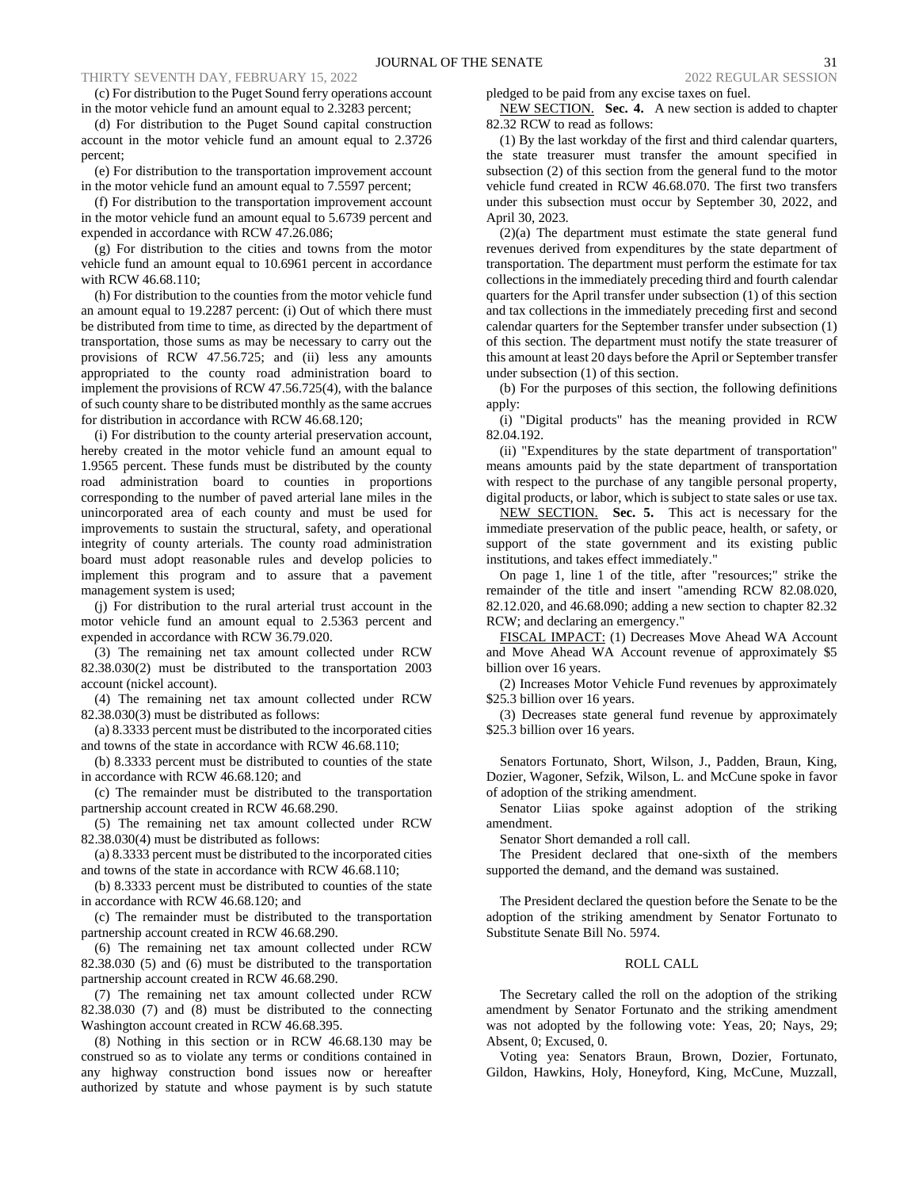(c) For distribution to the Puget Sound ferry operations account in the motor vehicle fund an amount equal to 2.3283 percent;

(d) For distribution to the Puget Sound capital construction account in the motor vehicle fund an amount equal to 2.3726 percent;

(e) For distribution to the transportation improvement account in the motor vehicle fund an amount equal to 7.5597 percent;

(f) For distribution to the transportation improvement account in the motor vehicle fund an amount equal to 5.6739 percent and expended in accordance with RCW 47.26.086;

(g) For distribution to the cities and towns from the motor vehicle fund an amount equal to 10.6961 percent in accordance with RCW 46.68.110;

(h) For distribution to the counties from the motor vehicle fund an amount equal to 19.2287 percent: (i) Out of which there must be distributed from time to time, as directed by the department of transportation, those sums as may be necessary to carry out the provisions of RCW 47.56.725; and (ii) less any amounts appropriated to the county road administration board to implement the provisions of RCW 47.56.725(4), with the balance of such county share to be distributed monthly as the same accrues for distribution in accordance with RCW 46.68.120;

(i) For distribution to the county arterial preservation account, hereby created in the motor vehicle fund an amount equal to 1.9565 percent. These funds must be distributed by the county road administration board to counties in proportions corresponding to the number of paved arterial lane miles in the unincorporated area of each county and must be used for improvements to sustain the structural, safety, and operational integrity of county arterials. The county road administration board must adopt reasonable rules and develop policies to implement this program and to assure that a pavement management system is used;

(j) For distribution to the rural arterial trust account in the motor vehicle fund an amount equal to 2.5363 percent and expended in accordance with RCW 36.79.020.

(3) The remaining net tax amount collected under RCW 82.38.030(2) must be distributed to the transportation 2003 account (nickel account).

(4) The remaining net tax amount collected under RCW 82.38.030(3) must be distributed as follows:

(a) 8.3333 percent must be distributed to the incorporated cities and towns of the state in accordance with RCW 46.68.110;

(b) 8.3333 percent must be distributed to counties of the state in accordance with RCW 46.68.120; and

(c) The remainder must be distributed to the transportation partnership account created in RCW 46.68.290.

(5) The remaining net tax amount collected under RCW 82.38.030(4) must be distributed as follows:

(a) 8.3333 percent must be distributed to the incorporated cities and towns of the state in accordance with RCW 46.68.110;

(b) 8.3333 percent must be distributed to counties of the state in accordance with RCW 46.68.120; and

(c) The remainder must be distributed to the transportation partnership account created in RCW 46.68.290.

(6) The remaining net tax amount collected under RCW 82.38.030 (5) and (6) must be distributed to the transportation partnership account created in RCW 46.68.290.

(7) The remaining net tax amount collected under RCW 82.38.030 (7) and (8) must be distributed to the connecting Washington account created in RCW 46.68.395.

(8) Nothing in this section or in RCW 46.68.130 may be construed so as to violate any terms or conditions contained in any highway construction bond issues now or hereafter authorized by statute and whose payment is by such statute pledged to be paid from any excise taxes on fuel.

NEW SECTION. **Sec. 4.** A new section is added to chapter 82.32 RCW to read as follows:

(1) By the last workday of the first and third calendar quarters, the state treasurer must transfer the amount specified in subsection (2) of this section from the general fund to the motor vehicle fund created in RCW 46.68.070. The first two transfers under this subsection must occur by September 30, 2022, and April 30, 2023.

(2)(a) The department must estimate the state general fund revenues derived from expenditures by the state department of transportation. The department must perform the estimate for tax collections in the immediately preceding third and fourth calendar quarters for the April transfer under subsection (1) of this section and tax collections in the immediately preceding first and second calendar quarters for the September transfer under subsection (1) of this section. The department must notify the state treasurer of this amount at least 20 days before the April or September transfer under subsection (1) of this section.

(b) For the purposes of this section, the following definitions apply:

(i) "Digital products" has the meaning provided in RCW 82.04.192.

(ii) "Expenditures by the state department of transportation" means amounts paid by the state department of transportation with respect to the purchase of any tangible personal property, digital products, or labor, which is subject to state sales or use tax.

NEW SECTION. **Sec. 5.** This act is necessary for the immediate preservation of the public peace, health, or safety, or support of the state government and its existing public institutions, and takes effect immediately."

On page 1, line 1 of the title, after "resources;" strike the remainder of the title and insert "amending RCW 82.08.020, 82.12.020, and 46.68.090; adding a new section to chapter 82.32 RCW; and declaring an emergency."

FISCAL IMPACT: (1) Decreases Move Ahead WA Account and Move Ahead WA Account revenue of approximately \$5 billion over 16 years.

(2) Increases Motor Vehicle Fund revenues by approximately \$25.3 billion over 16 years.

(3) Decreases state general fund revenue by approximately \$25.3 billion over 16 years.

Senators Fortunato, Short, Wilson, J., Padden, Braun, King, Dozier, Wagoner, Sefzik, Wilson, L. and McCune spoke in favor of adoption of the striking amendment.

Senator Liias spoke against adoption of the striking amendment.

Senator Short demanded a roll call.

The President declared that one-sixth of the members supported the demand, and the demand was sustained.

The President declared the question before the Senate to be the adoption of the striking amendment by Senator Fortunato to Substitute Senate Bill No. 5974.

# ROLL CALL

The Secretary called the roll on the adoption of the striking amendment by Senator Fortunato and the striking amendment was not adopted by the following vote: Yeas, 20; Nays, 29; Absent, 0; Excused, 0.

Voting yea: Senators Braun, Brown, Dozier, Fortunato, Gildon, Hawkins, Holy, Honeyford, King, McCune, Muzzall,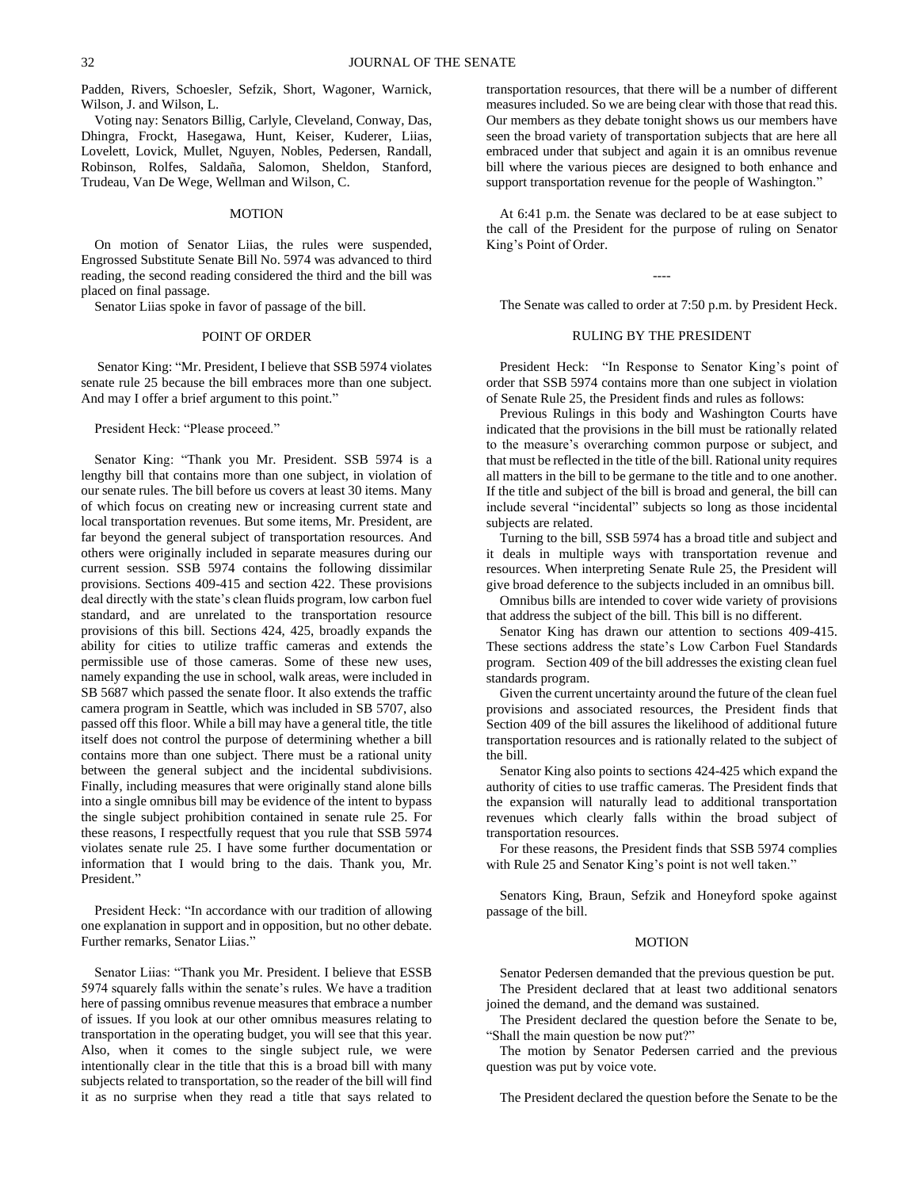Padden, Rivers, Schoesler, Sefzik, Short, Wagoner, Warnick, Wilson, J. and Wilson, L.

Voting nay: Senators Billig, Carlyle, Cleveland, Conway, Das, Dhingra, Frockt, Hasegawa, Hunt, Keiser, Kuderer, Liias, Lovelett, Lovick, Mullet, Nguyen, Nobles, Pedersen, Randall, Robinson, Rolfes, Saldaña, Salomon, Sheldon, Stanford, Trudeau, Van De Wege, Wellman and Wilson, C.

# MOTION

On motion of Senator Liias, the rules were suspended, Engrossed Substitute Senate Bill No. 5974 was advanced to third reading, the second reading considered the third and the bill was placed on final passage.

Senator Liias spoke in favor of passage of the bill.

#### POINT OF ORDER

Senator King: "Mr. President, I believe that SSB 5974 violates senate rule 25 because the bill embraces more than one subject. And may I offer a brief argument to this point."

President Heck: "Please proceed."

Senator King: "Thank you Mr. President. SSB 5974 is a lengthy bill that contains more than one subject, in violation of our senate rules. The bill before us covers at least 30 items. Many of which focus on creating new or increasing current state and local transportation revenues. But some items, Mr. President, are far beyond the general subject of transportation resources. And others were originally included in separate measures during our current session. SSB 5974 contains the following dissimilar provisions. Sections 409-415 and section 422. These provisions deal directly with the state's clean fluids program, low carbon fuel standard, and are unrelated to the transportation resource provisions of this bill. Sections 424, 425, broadly expands the ability for cities to utilize traffic cameras and extends the permissible use of those cameras. Some of these new uses, namely expanding the use in school, walk areas, were included in SB 5687 which passed the senate floor. It also extends the traffic camera program in Seattle, which was included in SB 5707, also passed off this floor. While a bill may have a general title, the title itself does not control the purpose of determining whether a bill contains more than one subject. There must be a rational unity between the general subject and the incidental subdivisions. Finally, including measures that were originally stand alone bills into a single omnibus bill may be evidence of the intent to bypass the single subject prohibition contained in senate rule 25. For these reasons, I respectfully request that you rule that SSB 5974 violates senate rule 25. I have some further documentation or information that I would bring to the dais. Thank you, Mr. President."

President Heck: "In accordance with our tradition of allowing one explanation in support and in opposition, but no other debate. Further remarks, Senator Liias."

Senator Liias: "Thank you Mr. President. I believe that ESSB 5974 squarely falls within the senate's rules. We have a tradition here of passing omnibus revenue measures that embrace a number of issues. If you look at our other omnibus measures relating to transportation in the operating budget, you will see that this year. Also, when it comes to the single subject rule, we were intentionally clear in the title that this is a broad bill with many subjects related to transportation, so the reader of the bill will find it as no surprise when they read a title that says related to

transportation resources, that there will be a number of different measures included. So we are being clear with those that read this. Our members as they debate tonight shows us our members have seen the broad variety of transportation subjects that are here all embraced under that subject and again it is an omnibus revenue bill where the various pieces are designed to both enhance and support transportation revenue for the people of Washington."

At 6:41 p.m. the Senate was declared to be at ease subject to the call of the President for the purpose of ruling on Senator King's Point of Order.

----

The Senate was called to order at 7:50 p.m. by President Heck.

# RULING BY THE PRESIDENT

President Heck: "In Response to Senator King's point of order that SSB 5974 contains more than one subject in violation of Senate Rule 25, the President finds and rules as follows:

Previous Rulings in this body and Washington Courts have indicated that the provisions in the bill must be rationally related to the measure's overarching common purpose or subject, and that must be reflected in the title of the bill. Rational unity requires all matters in the bill to be germane to the title and to one another. If the title and subject of the bill is broad and general, the bill can include several "incidental" subjects so long as those incidental subjects are related.

Turning to the bill, SSB 5974 has a broad title and subject and it deals in multiple ways with transportation revenue and resources. When interpreting Senate Rule 25, the President will give broad deference to the subjects included in an omnibus bill.

Omnibus bills are intended to cover wide variety of provisions that address the subject of the bill. This bill is no different.

Senator King has drawn our attention to sections 409-415. These sections address the state's Low Carbon Fuel Standards program. Section 409 of the bill addresses the existing clean fuel standards program.

Given the current uncertainty around the future of the clean fuel provisions and associated resources, the President finds that Section 409 of the bill assures the likelihood of additional future transportation resources and is rationally related to the subject of the bill.

Senator King also points to sections 424-425 which expand the authority of cities to use traffic cameras. The President finds that the expansion will naturally lead to additional transportation revenues which clearly falls within the broad subject of transportation resources.

For these reasons, the President finds that SSB 5974 complies with Rule 25 and Senator King's point is not well taken."

Senators King, Braun, Sefzik and Honeyford spoke against passage of the bill.

## MOTION

Senator Pedersen demanded that the previous question be put. The President declared that at least two additional senators joined the demand, and the demand was sustained.

The President declared the question before the Senate to be, "Shall the main question be now put?"

The motion by Senator Pedersen carried and the previous question was put by voice vote.

The President declared the question before the Senate to be the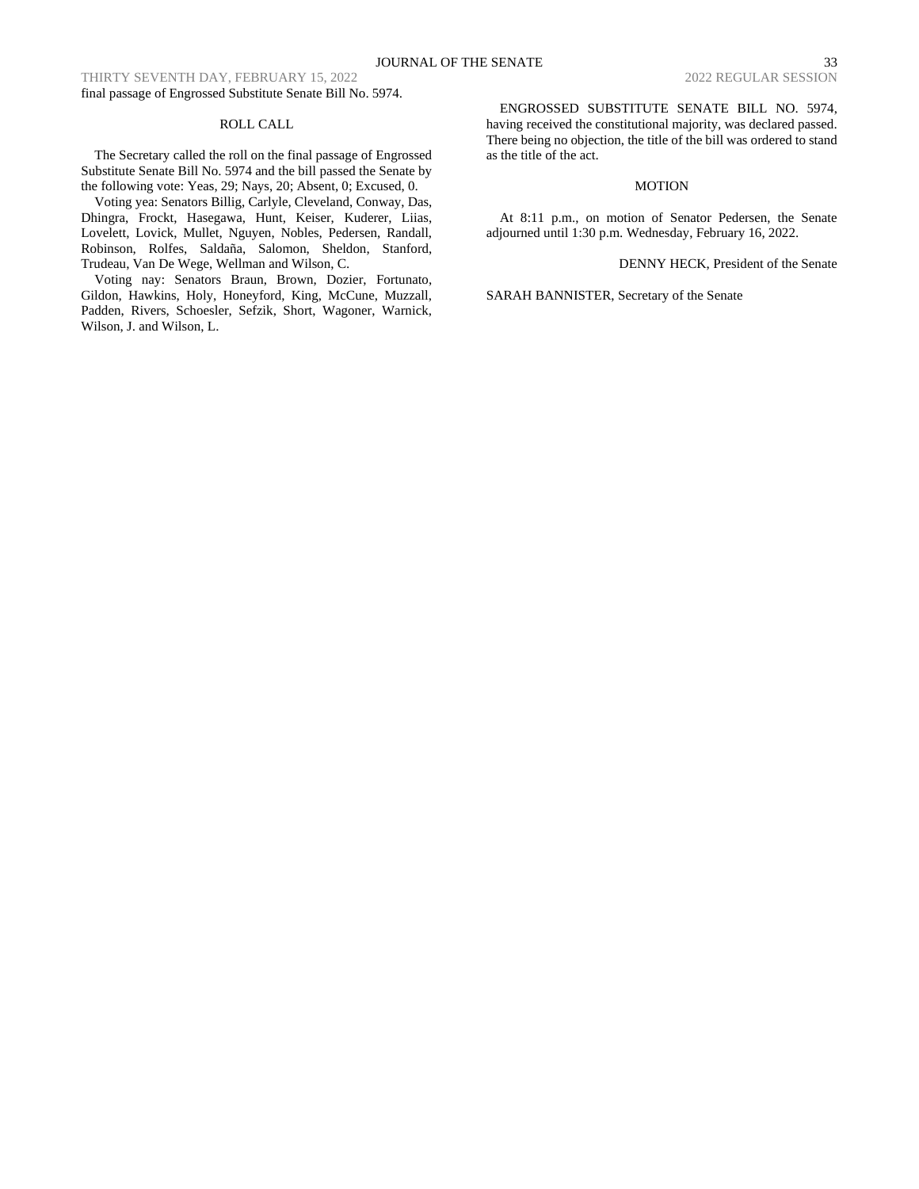THIRTY SEVENTH DAY, FEBRUARY 15, 2022 2022 2022 2022 REGULAR SESSION final passage of Engrossed Substitute Senate Bill No. 5974.

# ROLL CALL

The Secretary called the roll on the final passage of Engrossed Substitute Senate Bill No. 5974 and the bill passed the Senate by the following vote: Yeas, 29; Nays, 20; Absent, 0; Excused, 0.

Voting yea: Senators Billig, Carlyle, Cleveland, Conway, Das, Dhingra, Frockt, Hasegawa, Hunt, Keiser, Kuderer, Liias, Lovelett, Lovick, Mullet, Nguyen, Nobles, Pedersen, Randall, Robinson, Rolfes, Saldaña, Salomon, Sheldon, Stanford, Trudeau, Van De Wege, Wellman and Wilson, C.

Voting nay: Senators Braun, Brown, Dozier, Fortunato, Gildon, Hawkins, Holy, Honeyford, King, McCune, Muzzall, Padden, Rivers, Schoesler, Sefzik, Short, Wagoner, Warnick, Wilson, J. and Wilson, L.

ENGROSSED SUBSTITUTE SENATE BILL NO. 5974, having received the constitutional majority, was declared passed. There being no objection, the title of the bill was ordered to stand as the title of the act.

# MOTION

At 8:11 p.m., on motion of Senator Pedersen, the Senate adjourned until 1:30 p.m. Wednesday, February 16, 2022.

DENNY HECK, President of the Senate

SARAH BANNISTER, Secretary of the Senate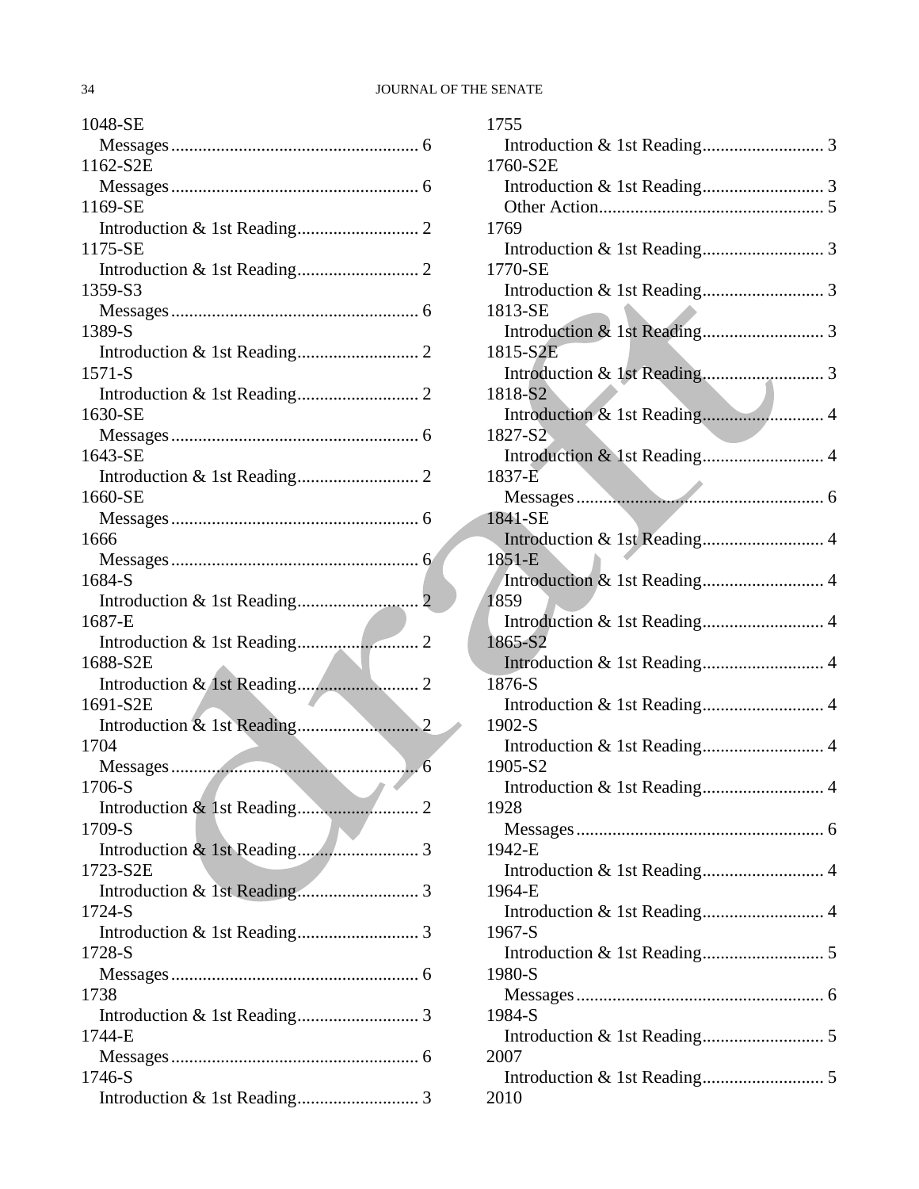# 34 JOURNAL OF THE SENATE

| 1048-SE                                     |
|---------------------------------------------|
|                                             |
| 1162-S2E                                    |
|                                             |
| 1169-SE                                     |
|                                             |
| 1175-SE                                     |
|                                             |
| 1359-S3                                     |
|                                             |
| 1389-S                                      |
| $1571 - S$                                  |
|                                             |
| 1630-SE                                     |
|                                             |
| 1643-SE                                     |
|                                             |
| 1660-SE                                     |
|                                             |
| 1666                                        |
|                                             |
| 1684-S                                      |
|                                             |
| 1687-E                                      |
|                                             |
| 1688-S2E                                    |
| 1691-S2E                                    |
|                                             |
| 1704                                        |
|                                             |
| 1706-S<br>and the state of the state of the |
|                                             |
| 1709-S                                      |
|                                             |
| 1723-S2E                                    |
|                                             |
| 1724-S                                      |
|                                             |
| 1728-S                                      |
|                                             |
| 1738                                        |
| 1744-E                                      |
|                                             |
| 1746-S                                      |
|                                             |
|                                             |

| 1755                                   |  |
|----------------------------------------|--|
|                                        |  |
| 1760-S2E                               |  |
|                                        |  |
|                                        |  |
| 1769                                   |  |
|                                        |  |
| 1770-SE                                |  |
|                                        |  |
| 1813-SE                                |  |
|                                        |  |
| 1815-S2E                               |  |
|                                        |  |
| 1818-S2                                |  |
| Introduction & 1st Reading 4           |  |
| 1827-S <sub>2</sub>                    |  |
| Introduction & 1st Reading 4           |  |
| 1837-E                                 |  |
|                                        |  |
| 1841-SE                                |  |
| Introduction & 1st Reading 4           |  |
| 1851-E                                 |  |
| Introduction & 1st Reading 4           |  |
| 1859                                   |  |
|                                        |  |
| 1865-S2                                |  |
| Introduction & 1st Reading 4           |  |
| 1876-S                                 |  |
| Introduction & 1st Reading 4           |  |
| 1902-S                                 |  |
|                                        |  |
| 1905-S2                                |  |
| Introduction & 1st Reading 4           |  |
| 1928                                   |  |
|                                        |  |
| 1942-E                                 |  |
|                                        |  |
| Introduction & 1st Reading 4<br>1964-E |  |
|                                        |  |
|                                        |  |
| 1967-S                                 |  |
|                                        |  |
| 1980-S                                 |  |
|                                        |  |
| 1984-S                                 |  |
|                                        |  |
| 2007                                   |  |
|                                        |  |
| 2010                                   |  |